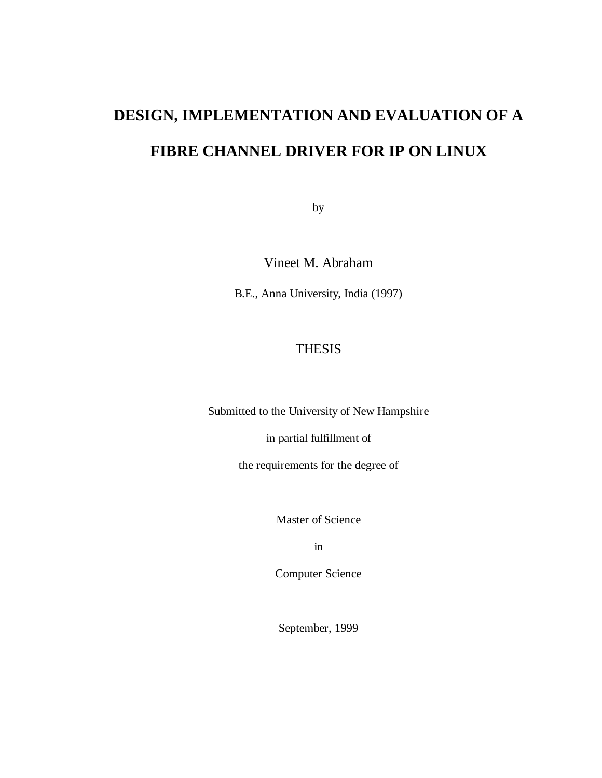# **DESIGN, IMPLEMENTATION AND EVALUATION OF A FIBRE CHANNEL DRIVER FOR IP ON LINUX**

by

Vineet M. Abraham

B.E., Anna University, India (1997)

# THESIS

Submitted to the University of New Hampshire

in partial fulfillment of

the requirements for the degree of

Master of Science

in

Computer Science

September, 1999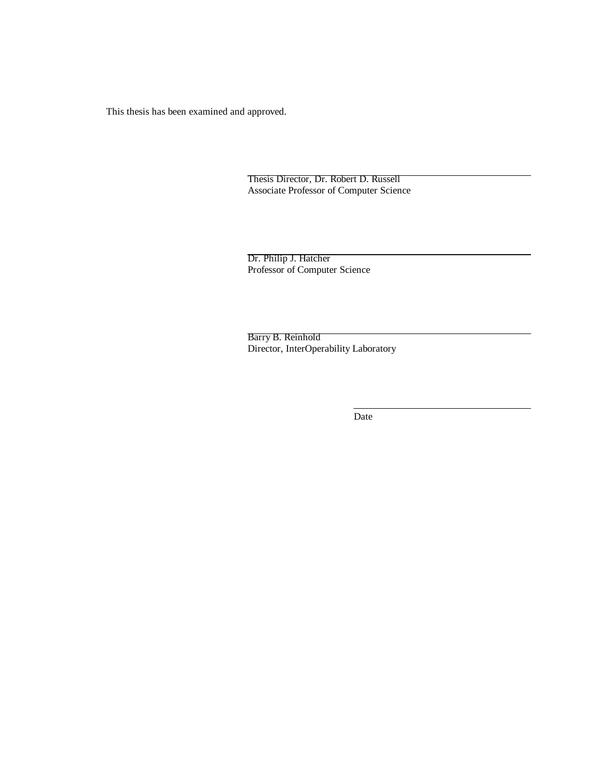This thesis has been examined and approved.

Thesis Director, Dr. Robert D. Russell Associate Professor of Computer Science

Dr. Philip J. Hatcher Professor of Computer Science

Barry B. Reinhold Director, InterOperability Laboratory

Date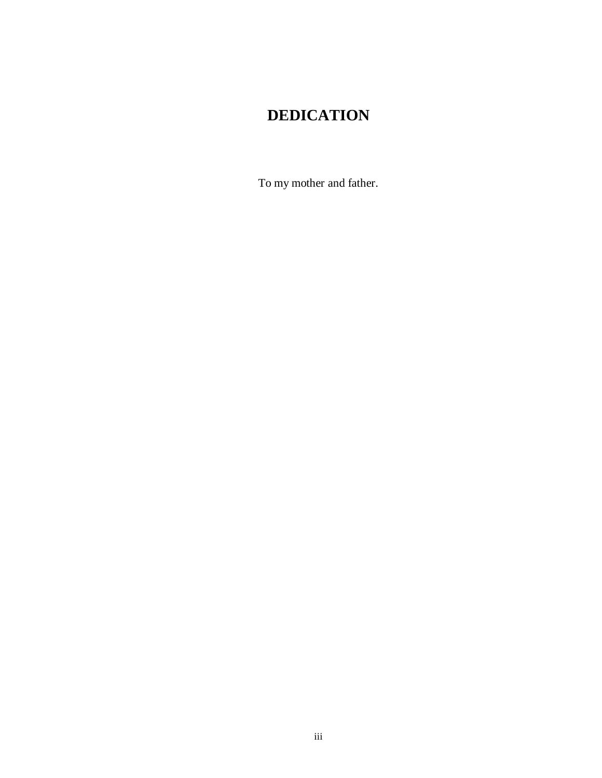# **DEDICATION**

To my mother and father.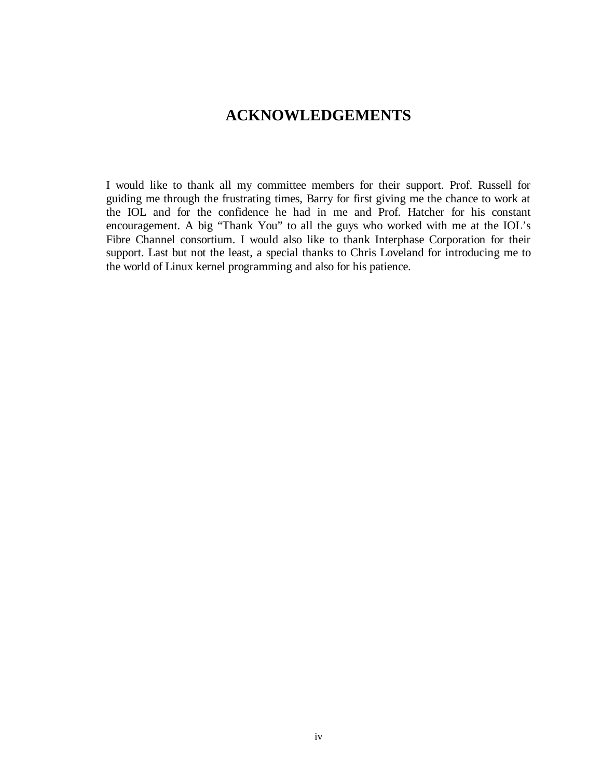# **ACKNOWLEDGEMENTS**

I would like to thank all my committee members for their support. Prof. Russell for guiding me through the frustrating times, Barry for first giving me the chance to work at the IOL and for the confidence he had in me and Prof. Hatcher for his constant encouragement. A big "Thank You" to all the guys who worked with me at the IOL's Fibre Channel consortium. I would also like to thank Interphase Corporation for their support. Last but not the least, a special thanks to Chris Loveland for introducing me to the world of Linux kernel programming and also for his patience.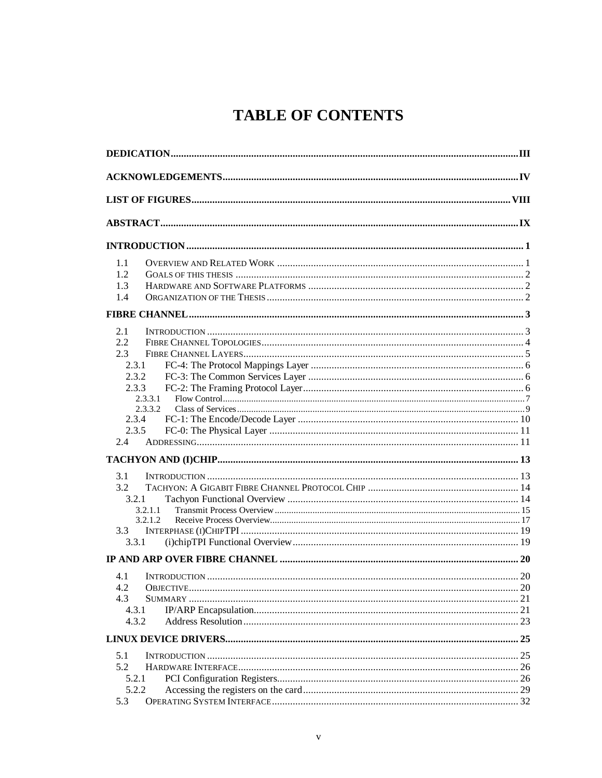# **TABLE OF CONTENTS**

| 1.1     |  |
|---------|--|
| 1.2     |  |
| 1.3     |  |
| 1.4     |  |
|         |  |
| 2.1     |  |
| 2.2     |  |
| 2.3     |  |
| 2.3.1   |  |
| 2.3.2   |  |
| 2.3.3   |  |
| 2.3.3.1 |  |
| 2.3.3.2 |  |
| 2.3.4   |  |
| 2.3.5   |  |
| 2.4     |  |
|         |  |
| 3.1     |  |
| 3.2     |  |
| 3.2.1   |  |
| 3.2.1.1 |  |
| 3.2.1.2 |  |
| 3.3     |  |
| 3.3.1   |  |
|         |  |
| 4.1     |  |
| 4.2     |  |
| 4.3     |  |
| 4.3.1   |  |
| 4.3.2   |  |
|         |  |
| 5.1     |  |
| 5.2     |  |
| 5.2.1   |  |
| 5.2.2   |  |
| 5.3     |  |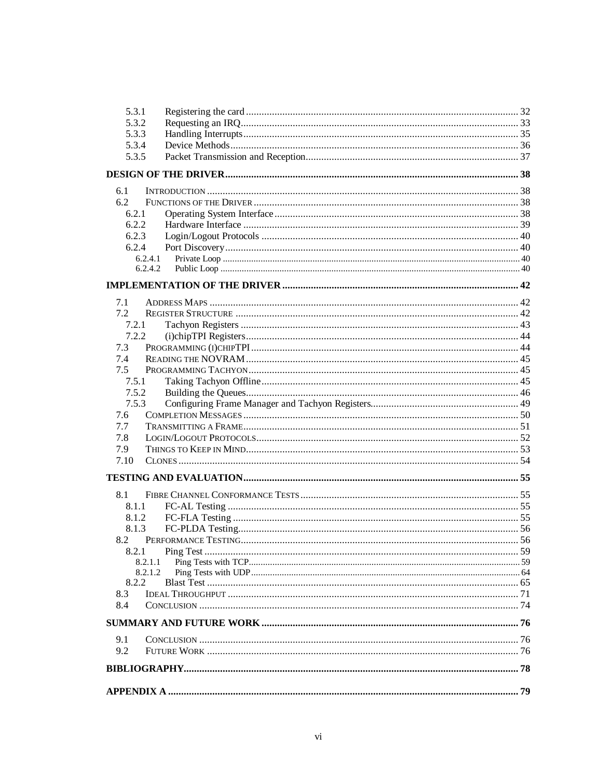| 5.3.1<br>5.3.2     |                     |  |
|--------------------|---------------------|--|
| 5.3.3              |                     |  |
| 5.3.4              |                     |  |
| 5.3.5              |                     |  |
|                    |                     |  |
|                    |                     |  |
| 6.1                |                     |  |
| 6.2                |                     |  |
| 6.2.1              |                     |  |
| 6.2.2              |                     |  |
| 6.2.3              |                     |  |
| 6.2.4              |                     |  |
| 6.2.4.1<br>6.2.4.2 |                     |  |
|                    |                     |  |
|                    |                     |  |
| 7.1                |                     |  |
| 7.2                |                     |  |
| 7.2.1              |                     |  |
| 7.2.2              |                     |  |
| 7.3                |                     |  |
| 7.4                |                     |  |
| 7.5                |                     |  |
| 7.5.1              |                     |  |
| 7.5.2              |                     |  |
| 7.5.3              |                     |  |
| 7.6                |                     |  |
| 7.7<br>7.8         |                     |  |
| 7.9                |                     |  |
| 7.10               |                     |  |
|                    |                     |  |
|                    |                     |  |
| 8.1                |                     |  |
| 8.1.1              |                     |  |
| 8.1.2              |                     |  |
| 8.1.3              |                     |  |
| 8.2                | PERFORMANCE TESTING |  |
| 8.2.1              |                     |  |
| 8.2.1.1            |                     |  |
| 8.2.1.2<br>8.2.2   |                     |  |
| 8.3                |                     |  |
| 8.4                |                     |  |
|                    |                     |  |
|                    |                     |  |
| 9.1                |                     |  |
| 9.2                |                     |  |
|                    |                     |  |
|                    |                     |  |
|                    |                     |  |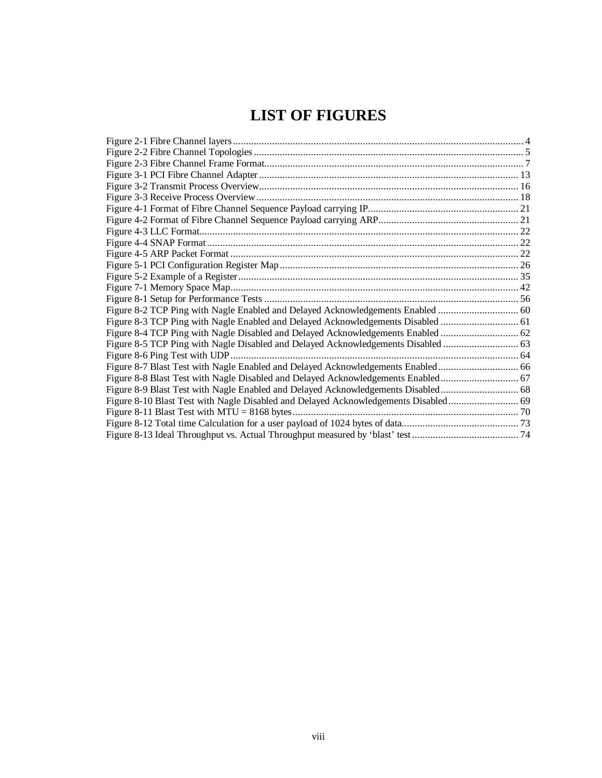# **LIST OF FIGURES**

| Figure 8-3 TCP Ping with Nagle Enabled and Delayed Acknowledgements Disabled  61  |  |
|-----------------------------------------------------------------------------------|--|
| Figure 8-4 TCP Ping with Nagle Disabled and Delayed Acknowledgements Enabled  62  |  |
| Figure 8-5 TCP Ping with Nagle Disabled and Delayed Acknowledgements Disabled     |  |
|                                                                                   |  |
|                                                                                   |  |
| Figure 8-8 Blast Test with Nagle Disabled and Delayed Acknowledgements Enabled 67 |  |
| Figure 8-9 Blast Test with Nagle Enabled and Delayed Acknowledgements Disabled 68 |  |
|                                                                                   |  |
|                                                                                   |  |
|                                                                                   |  |
|                                                                                   |  |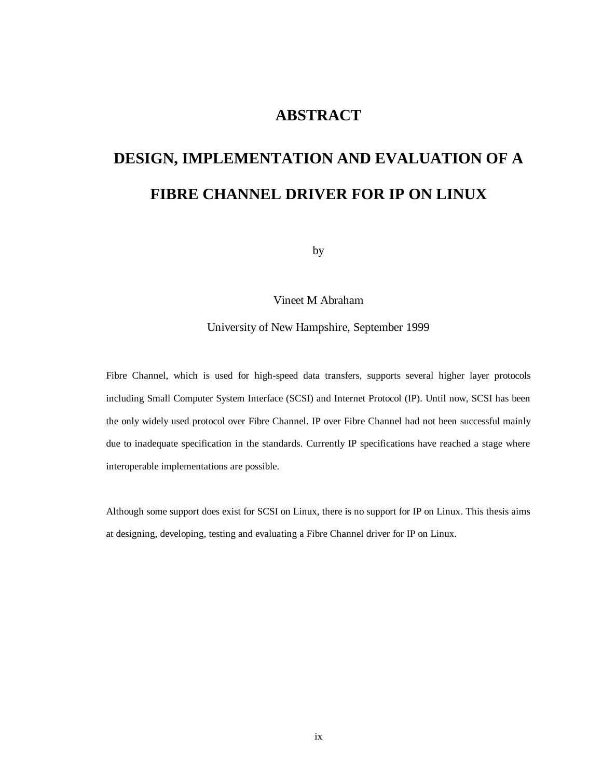# **ABSTRACT**

# **DESIGN, IMPLEMENTATION AND EVALUATION OF A FIBRE CHANNEL DRIVER FOR IP ON LINUX**

by

Vineet M Abraham

University of New Hampshire, September 1999

Fibre Channel, which is used for high-speed data transfers, supports several higher layer protocols including Small Computer System Interface (SCSI) and Internet Protocol (IP). Until now, SCSI has been the only widely used protocol over Fibre Channel. IP over Fibre Channel had not been successful mainly due to inadequate specification in the standards. Currently IP specifications have reached a stage where interoperable implementations are possible.

Although some support does exist for SCSI on Linux, there is no support for IP on Linux. This thesis aims at designing, developing, testing and evaluating a Fibre Channel driver for IP on Linux.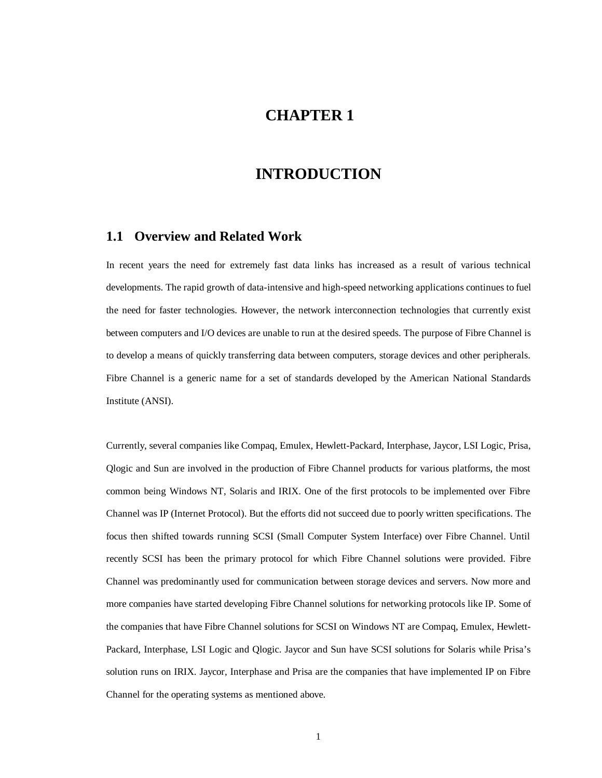# **CHAPTER 1**

# **INTRODUCTION**

### **1.1 Overview and Related Work**

In recent years the need for extremely fast data links has increased as a result of various technical developments. The rapid growth of data-intensive and high-speed networking applications continues to fuel the need for faster technologies. However, the network interconnection technologies that currently exist between computers and I/O devices are unable to run at the desired speeds. The purpose of Fibre Channel is to develop a means of quickly transferring data between computers, storage devices and other peripherals. Fibre Channel is a generic name for a set of standards developed by the American National Standards Institute (ANSI).

Currently, several companies like Compaq, Emulex, Hewlett-Packard, Interphase, Jaycor, LSI Logic, Prisa, Qlogic and Sun are involved in the production of Fibre Channel products for various platforms, the most common being Windows NT, Solaris and IRIX. One of the first protocols to be implemented over Fibre Channel was IP (Internet Protocol). But the efforts did not succeed due to poorly written specifications. The focus then shifted towards running SCSI (Small Computer System Interface) over Fibre Channel. Until recently SCSI has been the primary protocol for which Fibre Channel solutions were provided. Fibre Channel was predominantly used for communication between storage devices and servers. Now more and more companies have started developing Fibre Channel solutions for networking protocols like IP. Some of the companies that have Fibre Channel solutions for SCSI on Windows NT are Compaq, Emulex, Hewlett-Packard, Interphase, LSI Logic and Qlogic. Jaycor and Sun have SCSI solutions for Solaris while Prisa's solution runs on IRIX. Jaycor, Interphase and Prisa are the companies that have implemented IP on Fibre Channel for the operating systems as mentioned above.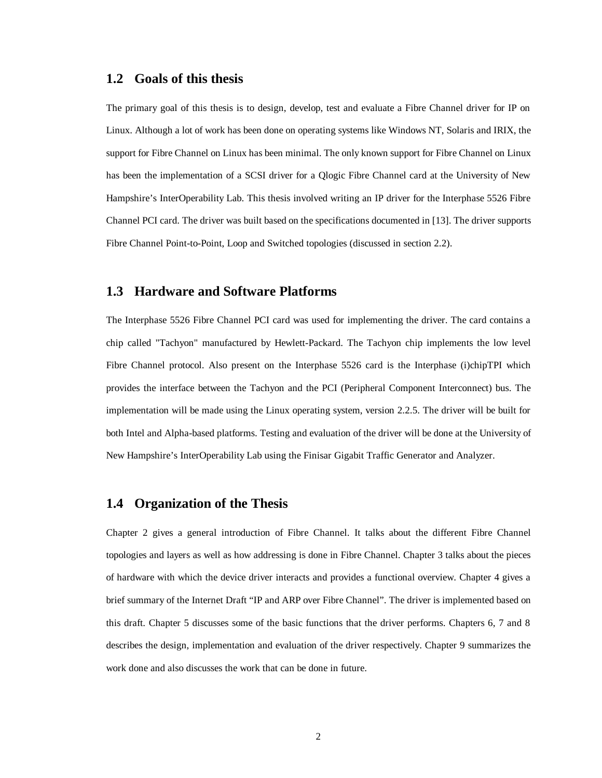### **1.2 Goals of this thesis**

The primary goal of this thesis is to design, develop, test and evaluate a Fibre Channel driver for IP on Linux. Although a lot of work has been done on operating systems like Windows NT, Solaris and IRIX, the support for Fibre Channel on Linux has been minimal. The only known support for Fibre Channel on Linux has been the implementation of a SCSI driver for a Qlogic Fibre Channel card at the University of New Hampshire's InterOperability Lab. This thesis involved writing an IP driver for the Interphase 5526 Fibre Channel PCI card. The driver was built based on the specifications documented in [13]. The driver supports Fibre Channel Point-to-Point, Loop and Switched topologies (discussed in section 2.2).

### **1.3 Hardware and Software Platforms**

The Interphase 5526 Fibre Channel PCI card was used for implementing the driver. The card contains a chip called "Tachyon" manufactured by Hewlett-Packard. The Tachyon chip implements the low level Fibre Channel protocol. Also present on the Interphase 5526 card is the Interphase (i)chipTPI which provides the interface between the Tachyon and the PCI (Peripheral Component Interconnect) bus. The implementation will be made using the Linux operating system, version 2.2.5. The driver will be built for both Intel and Alpha-based platforms. Testing and evaluation of the driver will be done at the University of New Hampshire's InterOperability Lab using the Finisar Gigabit Traffic Generator and Analyzer.

### **1.4 Organization of the Thesis**

Chapter 2 gives a general introduction of Fibre Channel. It talks about the different Fibre Channel topologies and layers as well as how addressing is done in Fibre Channel. Chapter 3 talks about the pieces of hardware with which the device driver interacts and provides a functional overview. Chapter 4 gives a brief summary of the Internet Draft "IP and ARP over Fibre Channel". The driver is implemented based on this draft. Chapter 5 discusses some of the basic functions that the driver performs. Chapters 6, 7 and 8 describes the design, implementation and evaluation of the driver respectively. Chapter 9 summarizes the work done and also discusses the work that can be done in future.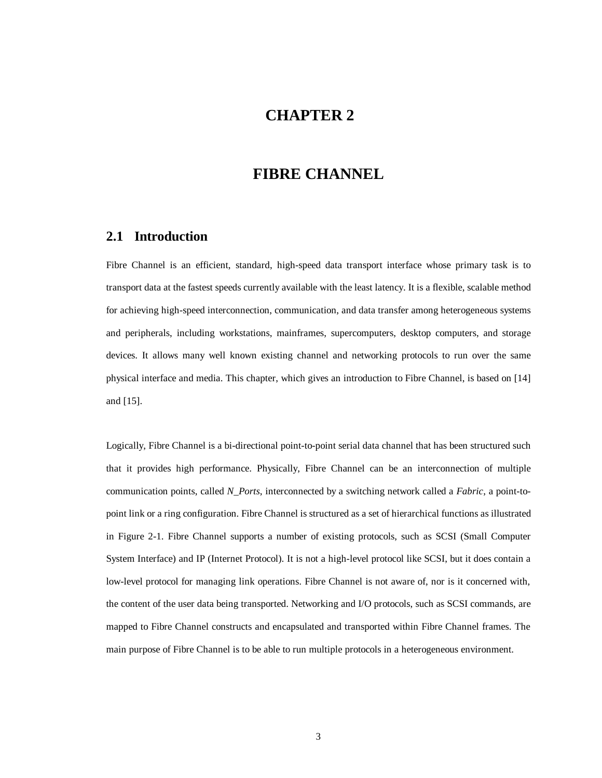# **CHAPTER 2**

# **FIBRE CHANNEL**

### **2.1 Introduction**

Fibre Channel is an efficient, standard, high-speed data transport interface whose primary task is to transport data at the fastest speeds currently available with the least latency. It is a flexible, scalable method for achieving high-speed interconnection, communication, and data transfer among heterogeneous systems and peripherals, including workstations, mainframes, supercomputers, desktop computers, and storage devices. It allows many well known existing channel and networking protocols to run over the same physical interface and media. This chapter, which gives an introduction to Fibre Channel, is based on [14] and [15].

Logically, Fibre Channel is a bi-directional point-to-point serial data channel that has been structured such that it provides high performance. Physically, Fibre Channel can be an interconnection of multiple communication points, called *N\_Ports*, interconnected by a switching network called a *Fabric*, a point-topoint link or a ring configuration. Fibre Channel is structured as a set of hierarchical functions as illustrated in Figure 2-1. Fibre Channel supports a number of existing protocols, such as SCSI (Small Computer System Interface) and IP (Internet Protocol). It is not a high-level protocol like SCSI, but it does contain a low-level protocol for managing link operations. Fibre Channel is not aware of, nor is it concerned with, the content of the user data being transported. Networking and I/O protocols, such as SCSI commands, are mapped to Fibre Channel constructs and encapsulated and transported within Fibre Channel frames. The main purpose of Fibre Channel is to be able to run multiple protocols in a heterogeneous environment.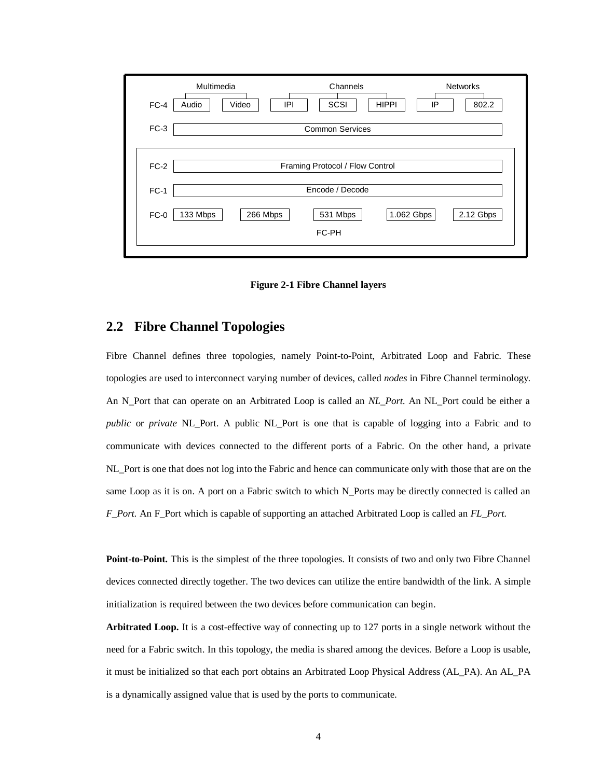| $FC-4$ | Multimedia<br>Channels<br><b>Networks</b><br>SCSI<br><b>HIPPI</b><br>Audio<br>Video<br>IPI<br>IP<br>802.2 |
|--------|-----------------------------------------------------------------------------------------------------------|
| $FC-3$ | <b>Common Services</b>                                                                                    |
| $FC-2$ | Framing Protocol / Flow Control                                                                           |
| $FC-1$ | Encode / Decode                                                                                           |
| $FC-0$ | 1.062 Gbps<br>2.12 Gbps<br>133 Mbps<br>266 Mbps<br>531 Mbps<br>FC-PH                                      |

**Figure 2-1 Fibre Channel layers**

### **2.2 Fibre Channel Topologies**

Fibre Channel defines three topologies, namely Point-to-Point, Arbitrated Loop and Fabric. These topologies are used to interconnect varying number of devices, called *nodes* in Fibre Channel terminology. An N\_Port that can operate on an Arbitrated Loop is called an *NL\_Port.* An NL\_Port could be either a *public* or *private* NL\_Port. A public NL\_Port is one that is capable of logging into a Fabric and to communicate with devices connected to the different ports of a Fabric. On the other hand, a private NL\_Port is one that does not log into the Fabric and hence can communicate only with those that are on the same Loop as it is on. A port on a Fabric switch to which N\_Ports may be directly connected is called an *F\_Port.* An F\_Port which is capable of supporting an attached Arbitrated Loop is called an *FL\_Port.*

**Point-to-Point.** This is the simplest of the three topologies. It consists of two and only two Fibre Channel devices connected directly together. The two devices can utilize the entire bandwidth of the link. A simple initialization is required between the two devices before communication can begin.

**Arbitrated Loop.** It is a cost-effective way of connecting up to 127 ports in a single network without the need for a Fabric switch. In this topology, the media is shared among the devices. Before a Loop is usable, it must be initialized so that each port obtains an Arbitrated Loop Physical Address (AL\_PA). An AL\_PA is a dynamically assigned value that is used by the ports to communicate.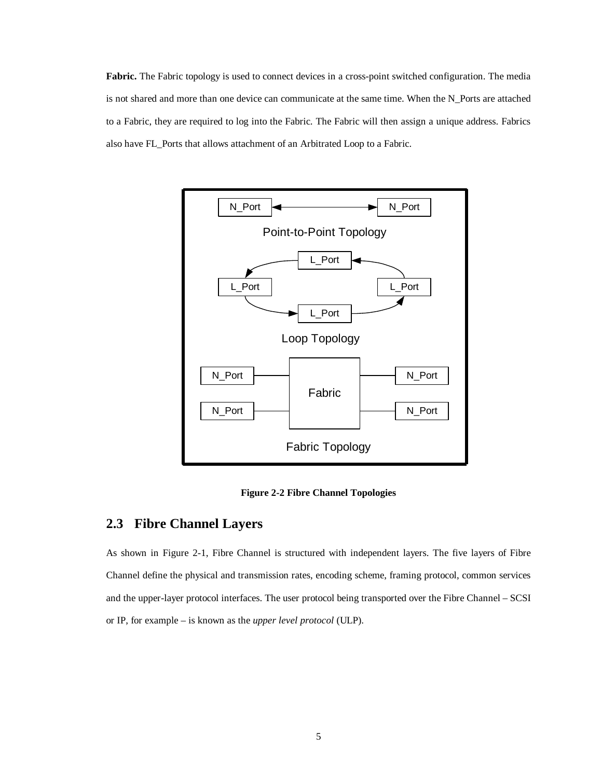**Fabric.** The Fabric topology is used to connect devices in a cross-point switched configuration. The media is not shared and more than one device can communicate at the same time. When the N\_Ports are attached to a Fabric, they are required to log into the Fabric. The Fabric will then assign a unique address. Fabrics also have FL\_Ports that allows attachment of an Arbitrated Loop to a Fabric.



**Figure 2-2 Fibre Channel Topologies**

## **2.3 Fibre Channel Layers**

As shown in Figure 2-1, Fibre Channel is structured with independent layers. The five layers of Fibre Channel define the physical and transmission rates, encoding scheme, framing protocol, common services and the upper-layer protocol interfaces. The user protocol being transported over the Fibre Channel – SCSI or IP, for example – is known as the *upper level protocol* (ULP).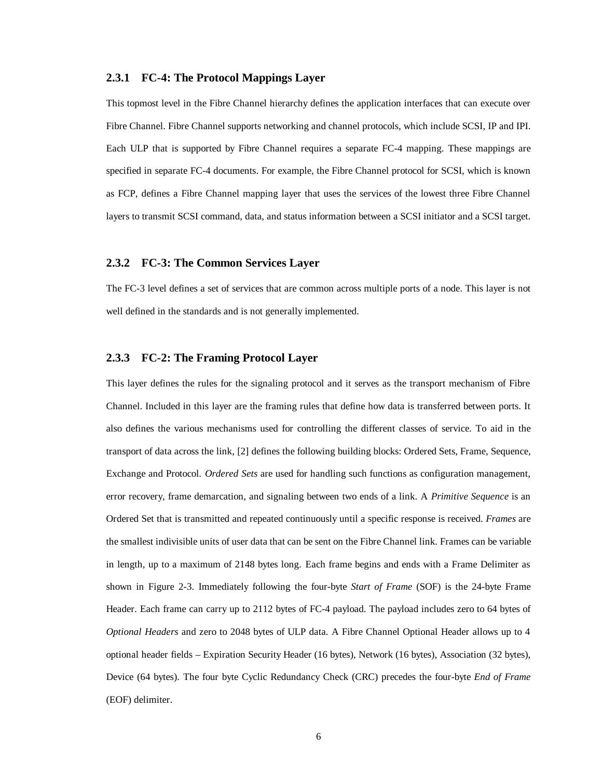#### **2.3.1 FC-4: The Protocol Mappings Layer**

This topmost level in the Fibre Channel hierarchy defines the application interfaces that can execute over Fibre Channel. Fibre Channel supports networking and channel protocols, which include SCSI, IP and IPI. Each ULP that is supported by Fibre Channel requires a separate FC-4 mapping. These mappings are specified in separate FC-4 documents. For example, the Fibre Channel protocol for SCSI, which is known as FCP, defines a Fibre Channel mapping layer that uses the services of the lowest three Fibre Channel layers to transmit SCSI command, data, and status information between a SCSI initiator and a SCSI target.

#### **2.3.2 FC-3: The Common Services Layer**

The FC-3 level defines a set of services that are common across multiple ports of a node. This layer is not well defined in the standards and is not generally implemented.

#### **2.3.3 FC-2: The Framing Protocol Layer**

This layer defines the rules for the signaling protocol and it serves as the transport mechanism of Fibre Channel. Included in this layer are the framing rules that define how data is transferred between ports. It also defines the various mechanisms used for controlling the different classes of service. To aid in the transport of data across the link, [2] defines the following building blocks: Ordered Sets, Frame, Sequence, Exchange and Protocol. *Ordered Sets* are used for handling such functions as configuration management, error recovery, frame demarcation, and signaling between two ends of a link. A *Primitive Sequence* is an Ordered Set that is transmitted and repeated continuously until a specific response is received. *Frames* are the smallest indivisible units of user data that can be sent on the Fibre Channel link. Frames can be variable in length, up to a maximum of 2148 bytes long. Each frame begins and ends with a Frame Delimiter as shown in Figure 2-3. Immediately following the four-byte *Start of Frame* (SOF) is the 24-byte Frame Header. Each frame can carry up to 2112 bytes of FC-4 payload. The payload includes zero to 64 bytes of *Optional Headers* and zero to 2048 bytes of ULP data. A Fibre Channel Optional Header allows up to 4 optional header fields – Expiration Security Header (16 bytes), Network (16 bytes), Association (32 bytes), Device (64 bytes). The four byte Cyclic Redundancy Check (CRC) precedes the four-byte *End of Frame* (EOF) delimiter.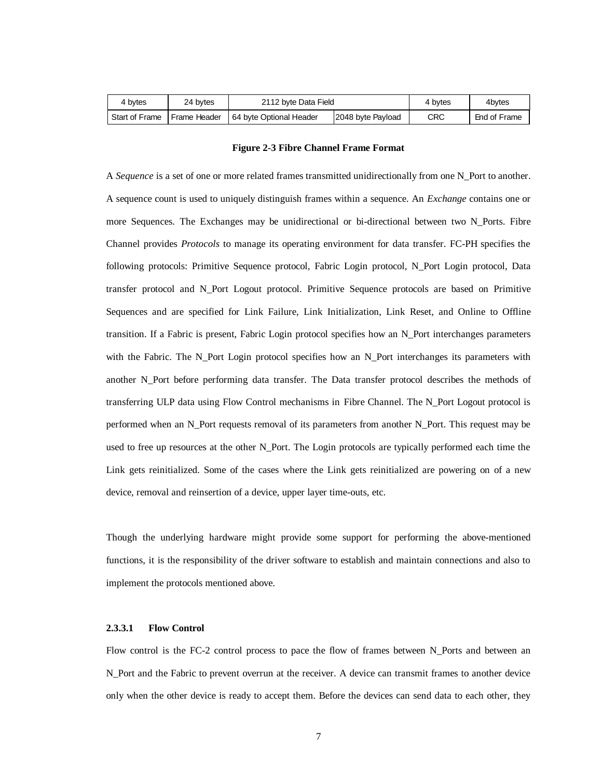| 4 bytes                       | 24 bytes | 2112 byte Data Field                          |  | 4 bytes | 4bytes       |
|-------------------------------|----------|-----------------------------------------------|--|---------|--------------|
| Start of Frame   Frame Header |          | 164 byte Optional Header<br>2048 byte Payload |  | CRC     | End of Frame |

#### **Figure 2-3 Fibre Channel Frame Format**

A *Sequence* is a set of one or more related frames transmitted unidirectionally from one N\_Port to another. A sequence count is used to uniquely distinguish frames within a sequence. An *Exchange* contains one or more Sequences. The Exchanges may be unidirectional or bi-directional between two N\_Ports. Fibre Channel provides *Protocols* to manage its operating environment for data transfer. FC-PH specifies the following protocols: Primitive Sequence protocol, Fabric Login protocol, N\_Port Login protocol, Data transfer protocol and N\_Port Logout protocol. Primitive Sequence protocols are based on Primitive Sequences and are specified for Link Failure, Link Initialization, Link Reset, and Online to Offline transition. If a Fabric is present, Fabric Login protocol specifies how an N\_Port interchanges parameters with the Fabric. The N\_Port Login protocol specifies how an N\_Port interchanges its parameters with another N\_Port before performing data transfer. The Data transfer protocol describes the methods of transferring ULP data using Flow Control mechanisms in Fibre Channel. The N\_Port Logout protocol is performed when an N\_Port requests removal of its parameters from another N\_Port. This request may be used to free up resources at the other N\_Port. The Login protocols are typically performed each time the Link gets reinitialized. Some of the cases where the Link gets reinitialized are powering on of a new device, removal and reinsertion of a device, upper layer time-outs, etc.

Though the underlying hardware might provide some support for performing the above-mentioned functions, it is the responsibility of the driver software to establish and maintain connections and also to implement the protocols mentioned above.

#### **2.3.3.1 Flow Control**

Flow control is the FC-2 control process to pace the flow of frames between N Ports and between an N\_Port and the Fabric to prevent overrun at the receiver. A device can transmit frames to another device only when the other device is ready to accept them. Before the devices can send data to each other, they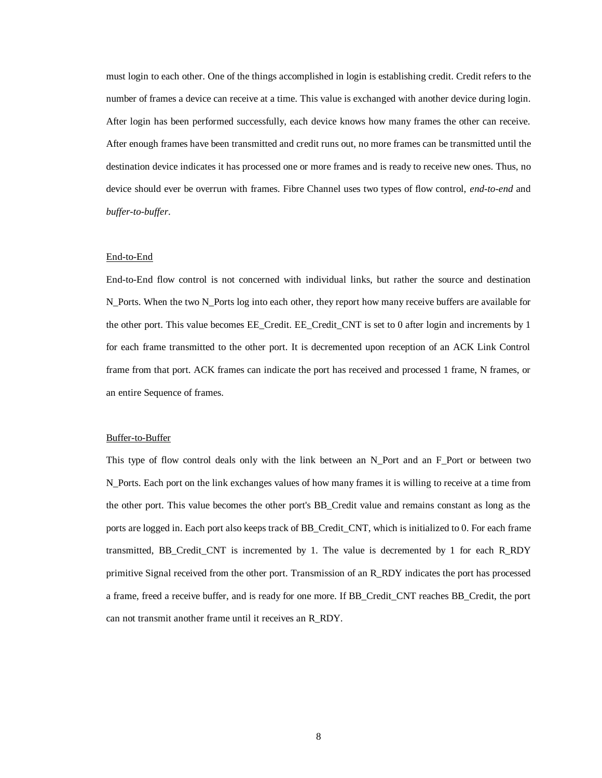must login to each other. One of the things accomplished in login is establishing credit. Credit refers to the number of frames a device can receive at a time. This value is exchanged with another device during login. After login has been performed successfully, each device knows how many frames the other can receive. After enough frames have been transmitted and credit runs out, no more frames can be transmitted until the destination device indicates it has processed one or more frames and is ready to receive new ones. Thus, no device should ever be overrun with frames. Fibre Channel uses two types of flow control, *end-to-end* and *buffer-to-buffer*.

#### End-to-End

End-to-End flow control is not concerned with individual links, but rather the source and destination N\_Ports. When the two N\_Ports log into each other, they report how many receive buffers are available for the other port. This value becomes EE\_Credit. EE\_Credit\_CNT is set to 0 after login and increments by 1 for each frame transmitted to the other port. It is decremented upon reception of an ACK Link Control frame from that port. ACK frames can indicate the port has received and processed 1 frame, N frames, or an entire Sequence of frames.

#### Buffer-to-Buffer

This type of flow control deals only with the link between an N\_Port and an F\_Port or between two N\_Ports. Each port on the link exchanges values of how many frames it is willing to receive at a time from the other port. This value becomes the other port's BB\_Credit value and remains constant as long as the ports are logged in. Each port also keeps track of BB\_Credit\_CNT, which is initialized to 0. For each frame transmitted, BB\_Credit\_CNT is incremented by 1. The value is decremented by 1 for each R\_RDY primitive Signal received from the other port. Transmission of an R\_RDY indicates the port has processed a frame, freed a receive buffer, and is ready for one more. If BB\_Credit\_CNT reaches BB\_Credit, the port can not transmit another frame until it receives an R\_RDY.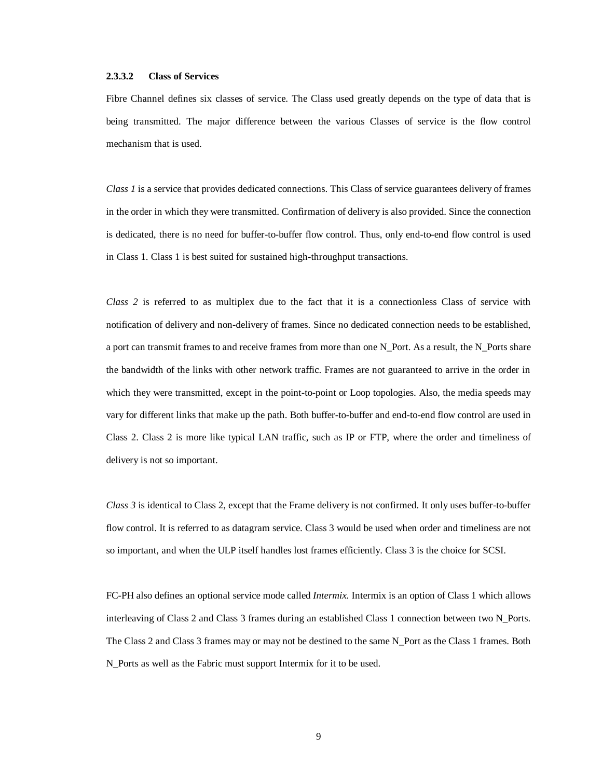#### **2.3.3.2 Class of Services**

Fibre Channel defines six classes of service. The Class used greatly depends on the type of data that is being transmitted. The major difference between the various Classes of service is the flow control mechanism that is used.

*Class 1* is a service that provides dedicated connections. This Class of service guarantees delivery of frames in the order in which they were transmitted. Confirmation of delivery is also provided. Since the connection is dedicated, there is no need for buffer-to-buffer flow control. Thus, only end-to-end flow control is used in Class 1. Class 1 is best suited for sustained high-throughput transactions.

*Class 2* is referred to as multiplex due to the fact that it is a connectionless Class of service with notification of delivery and non-delivery of frames. Since no dedicated connection needs to be established, a port can transmit frames to and receive frames from more than one N\_Port. As a result, the N\_Ports share the bandwidth of the links with other network traffic. Frames are not guaranteed to arrive in the order in which they were transmitted, except in the point-to-point or Loop topologies. Also, the media speeds may vary for different links that make up the path. Both buffer-to-buffer and end-to-end flow control are used in Class 2. Class 2 is more like typical LAN traffic, such as IP or FTP, where the order and timeliness of delivery is not so important.

*Class 3* is identical to Class 2, except that the Frame delivery is not confirmed. It only uses buffer-to-buffer flow control. It is referred to as datagram service. Class 3 would be used when order and timeliness are not so important, and when the ULP itself handles lost frames efficiently. Class 3 is the choice for SCSI.

FC-PH also defines an optional service mode called *Intermix.* Intermix is an option of Class 1 which allows interleaving of Class 2 and Class 3 frames during an established Class 1 connection between two N\_Ports. The Class 2 and Class 3 frames may or may not be destined to the same N\_Port as the Class 1 frames. Both N\_Ports as well as the Fabric must support Intermix for it to be used.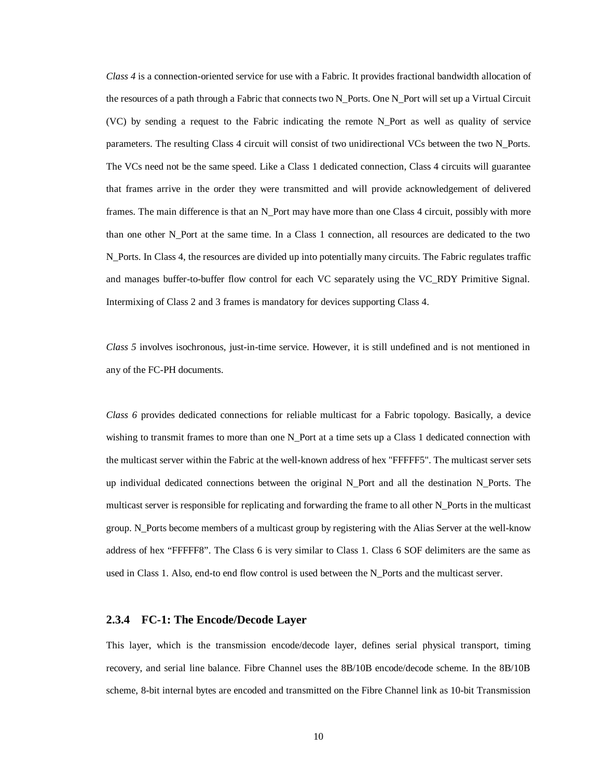*Class 4* is a connection-oriented service for use with a Fabric. It provides fractional bandwidth allocation of the resources of a path through a Fabric that connects two N\_Ports. One N\_Port will set up a Virtual Circuit (VC) by sending a request to the Fabric indicating the remote N\_Port as well as quality of service parameters. The resulting Class 4 circuit will consist of two unidirectional VCs between the two N\_Ports. The VCs need not be the same speed. Like a Class 1 dedicated connection, Class 4 circuits will guarantee that frames arrive in the order they were transmitted and will provide acknowledgement of delivered frames. The main difference is that an N\_Port may have more than one Class 4 circuit, possibly with more than one other N\_Port at the same time. In a Class 1 connection, all resources are dedicated to the two N\_Ports. In Class 4, the resources are divided up into potentially many circuits. The Fabric regulates traffic and manages buffer-to-buffer flow control for each VC separately using the VC\_RDY Primitive Signal. Intermixing of Class 2 and 3 frames is mandatory for devices supporting Class 4.

*Class 5* involves isochronous, just-in-time service. However, it is still undefined and is not mentioned in any of the FC-PH documents.

*Class 6* provides dedicated connections for reliable multicast for a Fabric topology. Basically, a device wishing to transmit frames to more than one N\_Port at a time sets up a Class 1 dedicated connection with the multicast server within the Fabric at the well-known address of hex "FFFFF5". The multicast server sets up individual dedicated connections between the original N\_Port and all the destination N\_Ports. The multicast server is responsible for replicating and forwarding the frame to all other N\_Ports in the multicast group. N\_Ports become members of a multicast group by registering with the Alias Server at the well-know address of hex "FFFFF8". The Class 6 is very similar to Class 1. Class 6 SOF delimiters are the same as used in Class 1. Also, end-to end flow control is used between the N\_Ports and the multicast server.

#### **2.3.4 FC-1: The Encode/Decode Layer**

This layer, which is the transmission encode/decode layer, defines serial physical transport, timing recovery, and serial line balance. Fibre Channel uses the 8B/10B encode/decode scheme. In the 8B/10B scheme, 8-bit internal bytes are encoded and transmitted on the Fibre Channel link as 10-bit Transmission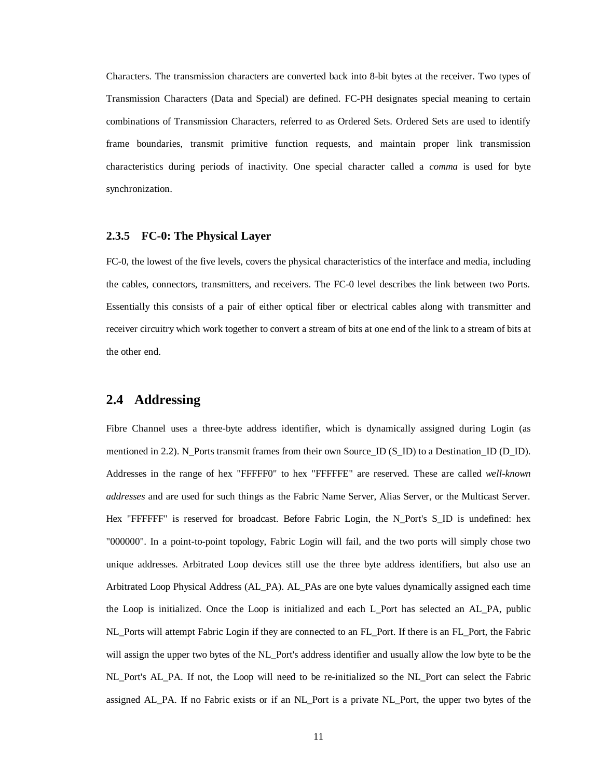Characters. The transmission characters are converted back into 8-bit bytes at the receiver. Two types of Transmission Characters (Data and Special) are defined. FC-PH designates special meaning to certain combinations of Transmission Characters, referred to as Ordered Sets. Ordered Sets are used to identify frame boundaries, transmit primitive function requests, and maintain proper link transmission characteristics during periods of inactivity. One special character called a *comma* is used for byte synchronization.

#### **2.3.5 FC-0: The Physical Layer**

FC-0, the lowest of the five levels, covers the physical characteristics of the interface and media, including the cables, connectors, transmitters, and receivers. The FC-0 level describes the link between two Ports. Essentially this consists of a pair of either optical fiber or electrical cables along with transmitter and receiver circuitry which work together to convert a stream of bits at one end of the link to a stream of bits at the other end.

### **2.4 Addressing**

Fibre Channel uses a three-byte address identifier, which is dynamically assigned during Login (as mentioned in 2.2). N\_Ports transmit frames from their own Source\_ID (S\_ID) to a Destination\_ID (D\_ID). Addresses in the range of hex "FFFFF0" to hex "FFFFFE" are reserved. These are called *well-known addresses* and are used for such things as the Fabric Name Server, Alias Server, or the Multicast Server. Hex "FFFFFF" is reserved for broadcast. Before Fabric Login, the N\_Port's S\_ID is undefined: hex "000000". In a point-to-point topology, Fabric Login will fail, and the two ports will simply chose two unique addresses. Arbitrated Loop devices still use the three byte address identifiers, but also use an Arbitrated Loop Physical Address (AL\_PA). AL\_PAs are one byte values dynamically assigned each time the Loop is initialized. Once the Loop is initialized and each L\_Port has selected an AL\_PA, public NL\_Ports will attempt Fabric Login if they are connected to an FL\_Port. If there is an FL\_Port, the Fabric will assign the upper two bytes of the NL Port's address identifier and usually allow the low byte to be the NL\_Port's AL\_PA. If not, the Loop will need to be re-initialized so the NL\_Port can select the Fabric assigned AL\_PA. If no Fabric exists or if an NL\_Port is a private NL\_Port, the upper two bytes of the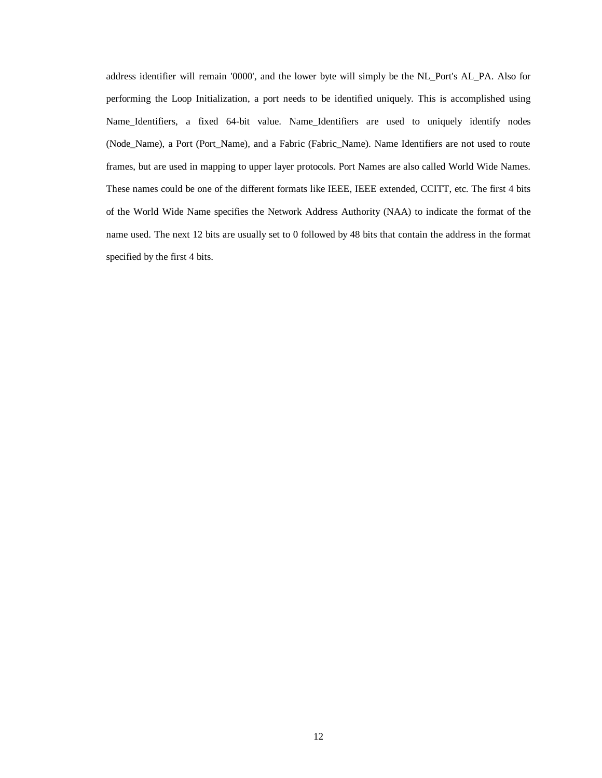address identifier will remain '0000', and the lower byte will simply be the NL\_Port's AL\_PA. Also for performing the Loop Initialization, a port needs to be identified uniquely. This is accomplished using Name\_Identifiers, a fixed 64-bit value. Name\_Identifiers are used to uniquely identify nodes (Node\_Name), a Port (Port\_Name), and a Fabric (Fabric\_Name). Name Identifiers are not used to route frames, but are used in mapping to upper layer protocols. Port Names are also called World Wide Names. These names could be one of the different formats like IEEE, IEEE extended, CCITT, etc. The first 4 bits of the World Wide Name specifies the Network Address Authority (NAA) to indicate the format of the name used. The next 12 bits are usually set to 0 followed by 48 bits that contain the address in the format specified by the first 4 bits.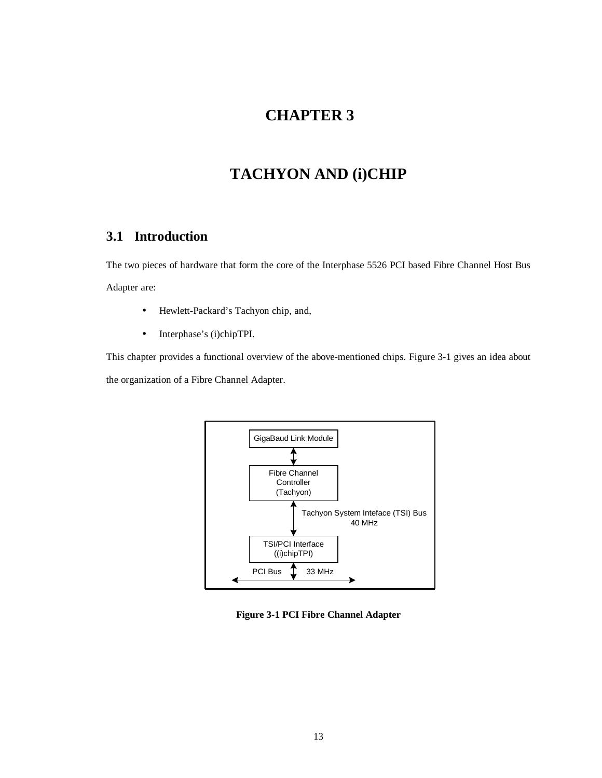# **CHAPTER 3**

# **TACHYON AND (i)CHIP**

## **3.1 Introduction**

The two pieces of hardware that form the core of the Interphase 5526 PCI based Fibre Channel Host Bus Adapter are:

- Hewlett-Packard's Tachyon chip, and,
- Interphase's (i)chipTPI.

This chapter provides a functional overview of the above-mentioned chips. Figure 3-1 gives an idea about the organization of a Fibre Channel Adapter.



**Figure 3-1 PCI Fibre Channel Adapter**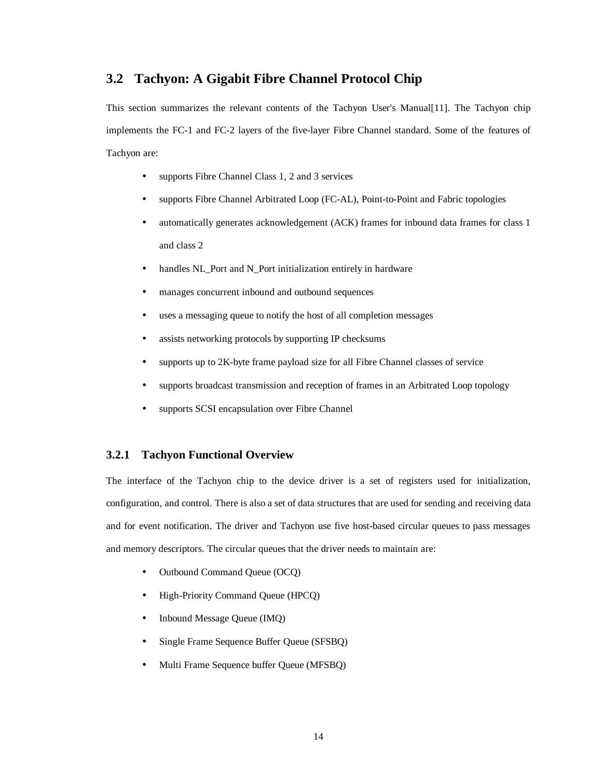## **3.2 Tachyon: A Gigabit Fibre Channel Protocol Chip**

This section summarizes the relevant contents of the Tachyon User's Manual[11]. The Tachyon chip implements the FC-1 and FC-2 layers of the five-layer Fibre Channel standard. Some of the features of Tachyon are:

- supports Fibre Channel Class 1, 2 and 3 services
- supports Fibre Channel Arbitrated Loop (FC-AL), Point-to-Point and Fabric topologies
- automatically generates acknowledgement (ACK) frames for inbound data frames for class 1 and class 2
- handles NL\_Port and N\_Port initialization entirely in hardware
- manages concurrent inbound and outbound sequences
- uses a messaging queue to notify the host of all completion messages
- assists networking protocols by supporting IP checksums
- supports up to 2K-byte frame payload size for all Fibre Channel classes of service
- supports broadcast transmission and reception of frames in an Arbitrated Loop topology
- supports SCSI encapsulation over Fibre Channel

### **3.2.1 Tachyon Functional Overview**

The interface of the Tachyon chip to the device driver is a set of registers used for initialization, configuration, and control. There is also a set of data structures that are used for sending and receiving data and for event notification. The driver and Tachyon use five host-based circular queues to pass messages and memory descriptors. The circular queues that the driver needs to maintain are:

- Outbound Command Queue (OCQ)
- High-Priority Command Queue (HPCQ)
- Inbound Message Queue (IMQ)
- Single Frame Sequence Buffer Queue (SFSBQ)
- Multi Frame Sequence buffer Queue (MFSBQ)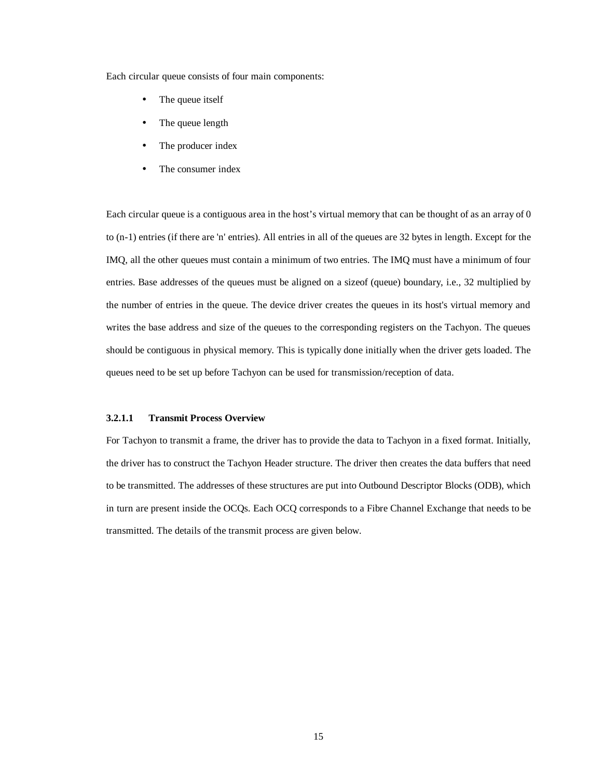Each circular queue consists of four main components:

- The queue itself
- The queue length
- The producer index
- The consumer index

Each circular queue is a contiguous area in the host's virtual memory that can be thought of as an array of 0 to (n-1) entries (if there are 'n' entries). All entries in all of the queues are 32 bytes in length. Except for the IMQ, all the other queues must contain a minimum of two entries. The IMQ must have a minimum of four entries. Base addresses of the queues must be aligned on a sizeof (queue) boundary, i.e., 32 multiplied by the number of entries in the queue. The device driver creates the queues in its host's virtual memory and writes the base address and size of the queues to the corresponding registers on the Tachyon. The queues should be contiguous in physical memory. This is typically done initially when the driver gets loaded. The queues need to be set up before Tachyon can be used for transmission/reception of data.

#### **3.2.1.1 Transmit Process Overview**

For Tachyon to transmit a frame, the driver has to provide the data to Tachyon in a fixed format. Initially, the driver has to construct the Tachyon Header structure. The driver then creates the data buffers that need to be transmitted. The addresses of these structures are put into Outbound Descriptor Blocks (ODB), which in turn are present inside the OCQs. Each OCQ corresponds to a Fibre Channel Exchange that needs to be transmitted. The details of the transmit process are given below.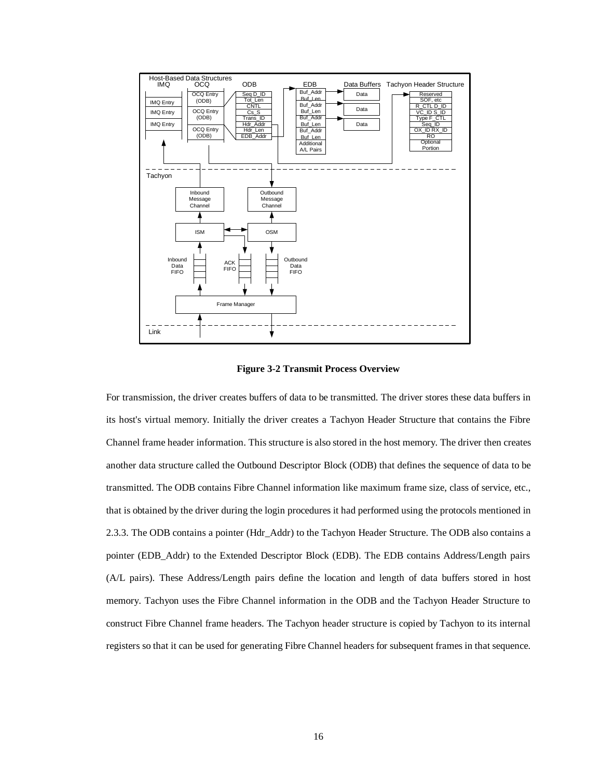



For transmission, the driver creates buffers of data to be transmitted. The driver stores these data buffers in its host's virtual memory. Initially the driver creates a Tachyon Header Structure that contains the Fibre Channel frame header information. This structure is also stored in the host memory. The driver then creates another data structure called the Outbound Descriptor Block (ODB) that defines the sequence of data to be transmitted. The ODB contains Fibre Channel information like maximum frame size, class of service, etc., that is obtained by the driver during the login procedures it had performed using the protocols mentioned in 2.3.3. The ODB contains a pointer (Hdr\_Addr) to the Tachyon Header Structure. The ODB also contains a pointer (EDB\_Addr) to the Extended Descriptor Block (EDB). The EDB contains Address/Length pairs (A/L pairs). These Address/Length pairs define the location and length of data buffers stored in host memory. Tachyon uses the Fibre Channel information in the ODB and the Tachyon Header Structure to construct Fibre Channel frame headers. The Tachyon header structure is copied by Tachyon to its internal registers so that it can be used for generating Fibre Channel headers for subsequent frames in that sequence.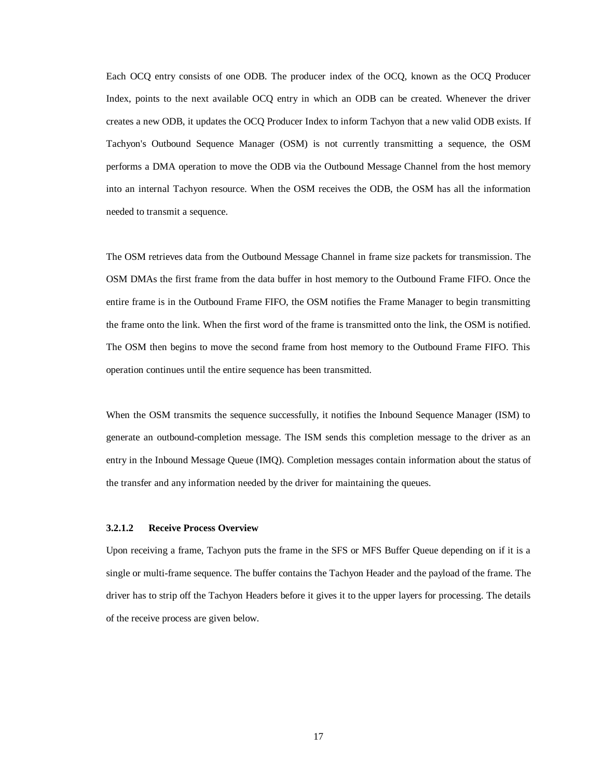Each OCQ entry consists of one ODB. The producer index of the OCQ, known as the OCQ Producer Index, points to the next available OCQ entry in which an ODB can be created. Whenever the driver creates a new ODB, it updates the OCQ Producer Index to inform Tachyon that a new valid ODB exists. If Tachyon's Outbound Sequence Manager (OSM) is not currently transmitting a sequence, the OSM performs a DMA operation to move the ODB via the Outbound Message Channel from the host memory into an internal Tachyon resource. When the OSM receives the ODB, the OSM has all the information needed to transmit a sequence.

The OSM retrieves data from the Outbound Message Channel in frame size packets for transmission. The OSM DMAs the first frame from the data buffer in host memory to the Outbound Frame FIFO. Once the entire frame is in the Outbound Frame FIFO, the OSM notifies the Frame Manager to begin transmitting the frame onto the link. When the first word of the frame is transmitted onto the link, the OSM is notified. The OSM then begins to move the second frame from host memory to the Outbound Frame FIFO. This operation continues until the entire sequence has been transmitted.

When the OSM transmits the sequence successfully, it notifies the Inbound Sequence Manager (ISM) to generate an outbound-completion message. The ISM sends this completion message to the driver as an entry in the Inbound Message Queue (IMQ). Completion messages contain information about the status of the transfer and any information needed by the driver for maintaining the queues.

#### **3.2.1.2 Receive Process Overview**

Upon receiving a frame, Tachyon puts the frame in the SFS or MFS Buffer Queue depending on if it is a single or multi-frame sequence. The buffer contains the Tachyon Header and the payload of the frame. The driver has to strip off the Tachyon Headers before it gives it to the upper layers for processing. The details of the receive process are given below.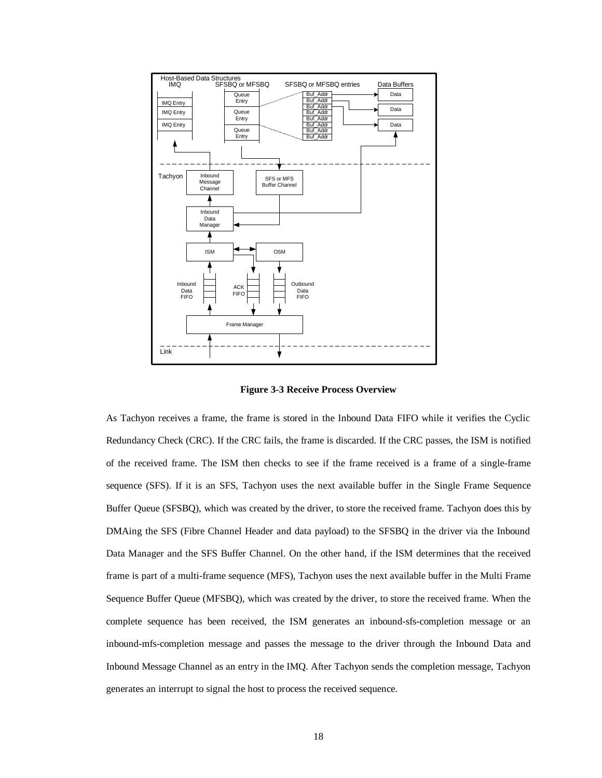

**Figure 3-3 Receive Process Overview**

As Tachyon receives a frame, the frame is stored in the Inbound Data FIFO while it verifies the Cyclic Redundancy Check (CRC). If the CRC fails, the frame is discarded. If the CRC passes, the ISM is notified of the received frame. The ISM then checks to see if the frame received is a frame of a single-frame sequence (SFS). If it is an SFS, Tachyon uses the next available buffer in the Single Frame Sequence Buffer Queue (SFSBQ), which was created by the driver, to store the received frame. Tachyon does this by DMAing the SFS (Fibre Channel Header and data payload) to the SFSBQ in the driver via the Inbound Data Manager and the SFS Buffer Channel. On the other hand, if the ISM determines that the received frame is part of a multi-frame sequence (MFS), Tachyon uses the next available buffer in the Multi Frame Sequence Buffer Queue (MFSBQ), which was created by the driver, to store the received frame. When the complete sequence has been received, the ISM generates an inbound-sfs-completion message or an inbound-mfs-completion message and passes the message to the driver through the Inbound Data and Inbound Message Channel as an entry in the IMQ. After Tachyon sends the completion message, Tachyon generates an interrupt to signal the host to process the received sequence.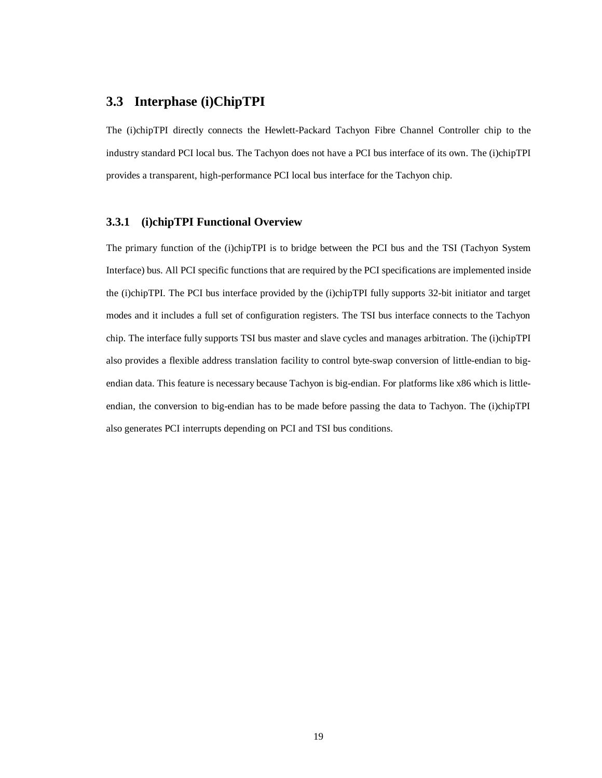### **3.3 Interphase (i)ChipTPI**

The (i)chipTPI directly connects the Hewlett-Packard Tachyon Fibre Channel Controller chip to the industry standard PCI local bus. The Tachyon does not have a PCI bus interface of its own. The (i)chipTPI provides a transparent, high-performance PCI local bus interface for the Tachyon chip.

### **3.3.1 (i)chipTPI Functional Overview**

The primary function of the (i)chipTPI is to bridge between the PCI bus and the TSI (Tachyon System Interface) bus. All PCI specific functions that are required by the PCI specifications are implemented inside the (i)chipTPI. The PCI bus interface provided by the (i)chipTPI fully supports 32-bit initiator and target modes and it includes a full set of configuration registers. The TSI bus interface connects to the Tachyon chip. The interface fully supports TSI bus master and slave cycles and manages arbitration. The (i)chipTPI also provides a flexible address translation facility to control byte-swap conversion of little-endian to bigendian data. This feature is necessary because Tachyon is big-endian. For platforms like x86 which is littleendian, the conversion to big-endian has to be made before passing the data to Tachyon. The (i)chipTPI also generates PCI interrupts depending on PCI and TSI bus conditions.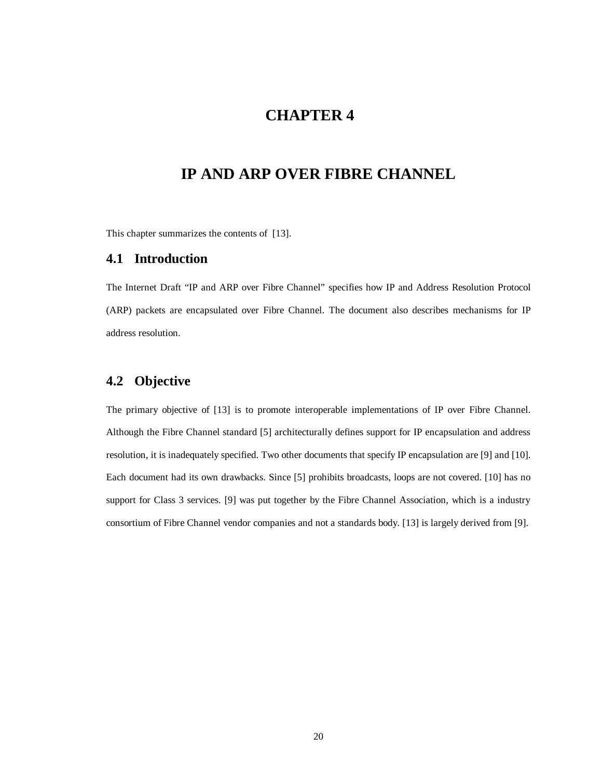# **CHAPTER 4**

# **IP AND ARP OVER FIBRE CHANNEL**

This chapter summarizes the contents of [13].

### **4.1 Introduction**

The Internet Draft "IP and ARP over Fibre Channel" specifies how IP and Address Resolution Protocol (ARP) packets are encapsulated over Fibre Channel. The document also describes mechanisms for IP address resolution.

## **4.2 Objective**

The primary objective of [13] is to promote interoperable implementations of IP over Fibre Channel. Although the Fibre Channel standard [5] architecturally defines support for IP encapsulation and address resolution, it is inadequately specified. Two other documents that specify IP encapsulation are [9] and [10]. Each document had its own drawbacks. Since [5] prohibits broadcasts, loops are not covered. [10] has no support for Class 3 services. [9] was put together by the Fibre Channel Association, which is a industry consortium of Fibre Channel vendor companies and not a standards body. [13] is largely derived from [9].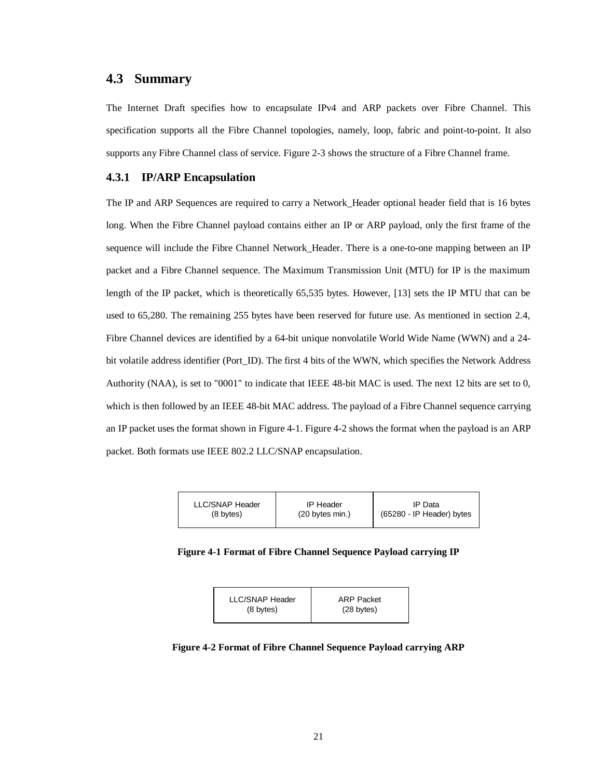### **4.3 Summary**

The Internet Draft specifies how to encapsulate IPv4 and ARP packets over Fibre Channel. This specification supports all the Fibre Channel topologies, namely, loop, fabric and point-to-point. It also supports any Fibre Channel class of service. Figure 2-3 shows the structure of a Fibre Channel frame.

### **4.3.1 IP/ARP Encapsulation**

The IP and ARP Sequences are required to carry a Network\_Header optional header field that is 16 bytes long. When the Fibre Channel payload contains either an IP or ARP payload, only the first frame of the sequence will include the Fibre Channel Network\_Header. There is a one-to-one mapping between an IP packet and a Fibre Channel sequence. The Maximum Transmission Unit (MTU) for IP is the maximum length of the IP packet, which is theoretically 65,535 bytes. However, [13] sets the IP MTU that can be used to 65,280. The remaining 255 bytes have been reserved for future use. As mentioned in section 2.4, Fibre Channel devices are identified by a 64-bit unique nonvolatile World Wide Name (WWN) and a 24 bit volatile address identifier (Port\_ID). The first 4 bits of the WWN, which specifies the Network Address Authority (NAA), is set to "0001" to indicate that IEEE 48-bit MAC is used. The next 12 bits are set to 0, which is then followed by an IEEE 48-bit MAC address. The payload of a Fibre Channel sequence carrying an IP packet uses the format shown in Figure 4-1. Figure 4-2 shows the format when the payload is an ARP packet. Both formats use IEEE 802.2 LLC/SNAP encapsulation.

| <b>LLC/SNAP Header</b> | <b>IP Header</b>          | IP Data                   |
|------------------------|---------------------------|---------------------------|
| (8 bytes)              | $(20 \text{ bytes min.})$ | (65280 - IP Header) bytes |
|                        |                           |                           |

#### **Figure 4-1 Format of Fibre Channel Sequence Payload carrying IP**



**Figure 4-2 Format of Fibre Channel Sequence Payload carrying ARP**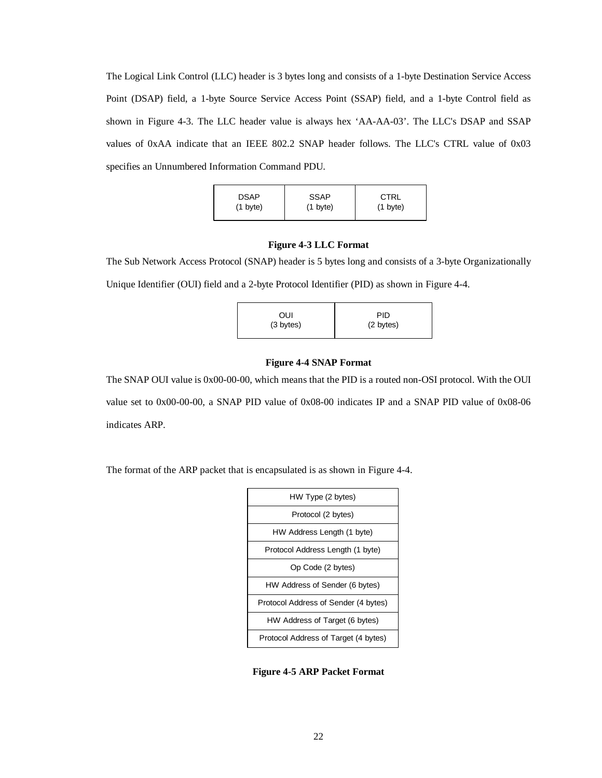The Logical Link Control (LLC) header is 3 bytes long and consists of a 1-byte Destination Service Access Point (DSAP) field, a 1-byte Source Service Access Point (SSAP) field, and a 1-byte Control field as shown in Figure 4-3. The LLC header value is always hex 'AA-AA-03'. The LLC's DSAP and SSAP values of 0xAA indicate that an IEEE 802.2 SNAP header follows. The LLC's CTRL value of 0x03 specifies an Unnumbered Information Command PDU.

| <b>DSAP</b><br>$(1 \text{ byte})$ | <b>SSAP</b><br>$(1 \text{ byte})$ | <b>CTRL</b><br>$(1 \text{ byte})$ |
|-----------------------------------|-----------------------------------|-----------------------------------|
|                                   |                                   |                                   |

#### **Figure 4-3 LLC Format**

The Sub Network Access Protocol (SNAP) header is 5 bytes long and consists of a 3-byte Organizationally Unique Identifier (OUI) field and a 2-byte Protocol Identifier (PID) as shown in Figure 4-4.

| OUI       | PID       |
|-----------|-----------|
| (3 bytes) | (2 bytes) |
|           |           |

#### **Figure 4-4 SNAP Format**

The SNAP OUI value is 0x00-00-00, which means that the PID is a routed non-OSI protocol. With the OUI value set to 0x00-00-00, a SNAP PID value of 0x08-00 indicates IP and a SNAP PID value of 0x08-06 indicates ARP.

The format of the ARP packet that is encapsulated is as shown in Figure 4-4.

| HW Type (2 bytes)                    |
|--------------------------------------|
| Protocol (2 bytes)                   |
| HW Address Length (1 byte)           |
| Protocol Address Length (1 byte)     |
| Op Code (2 bytes)                    |
| HW Address of Sender (6 bytes)       |
| Protocol Address of Sender (4 bytes) |
| HW Address of Target (6 bytes)       |
| Protocol Address of Target (4 bytes) |

**Figure 4-5 ARP Packet Format**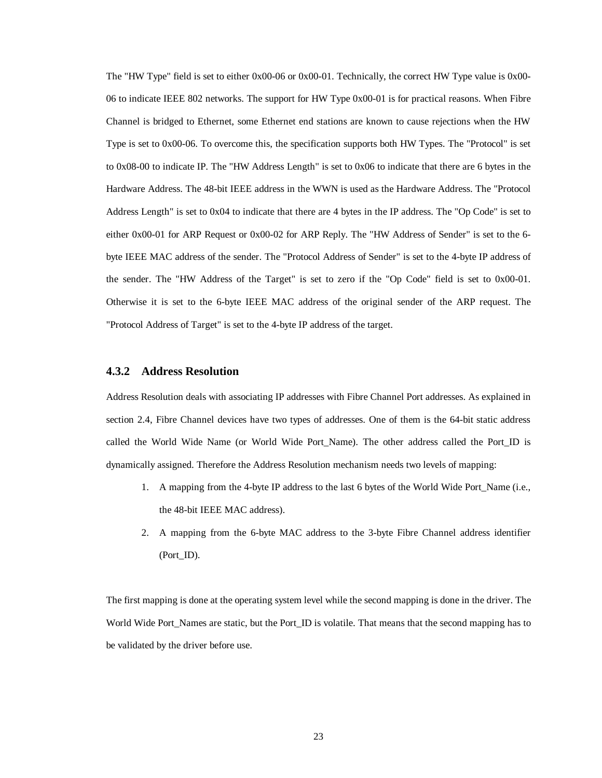The "HW Type" field is set to either 0x00-06 or 0x00-01. Technically, the correct HW Type value is 0x00- 06 to indicate IEEE 802 networks. The support for HW Type 0x00-01 is for practical reasons. When Fibre Channel is bridged to Ethernet, some Ethernet end stations are known to cause rejections when the HW Type is set to 0x00-06. To overcome this, the specification supports both HW Types. The "Protocol" is set to 0x08-00 to indicate IP. The "HW Address Length" is set to 0x06 to indicate that there are 6 bytes in the Hardware Address. The 48-bit IEEE address in the WWN is used as the Hardware Address. The "Protocol Address Length" is set to 0x04 to indicate that there are 4 bytes in the IP address. The "Op Code" is set to either 0x00-01 for ARP Request or 0x00-02 for ARP Reply. The "HW Address of Sender" is set to the 6 byte IEEE MAC address of the sender. The "Protocol Address of Sender" is set to the 4-byte IP address of the sender. The "HW Address of the Target" is set to zero if the "Op Code" field is set to 0x00-01. Otherwise it is set to the 6-byte IEEE MAC address of the original sender of the ARP request. The "Protocol Address of Target" is set to the 4-byte IP address of the target.

#### **4.3.2 Address Resolution**

Address Resolution deals with associating IP addresses with Fibre Channel Port addresses. As explained in section 2.4, Fibre Channel devices have two types of addresses. One of them is the 64-bit static address called the World Wide Name (or World Wide Port\_Name). The other address called the Port\_ID is dynamically assigned. Therefore the Address Resolution mechanism needs two levels of mapping:

- 1. A mapping from the 4-byte IP address to the last 6 bytes of the World Wide Port\_Name (i.e., the 48-bit IEEE MAC address).
- 2. A mapping from the 6-byte MAC address to the 3-byte Fibre Channel address identifier (Port\_ID).

The first mapping is done at the operating system level while the second mapping is done in the driver. The World Wide Port Names are static, but the Port ID is volatile. That means that the second mapping has to be validated by the driver before use.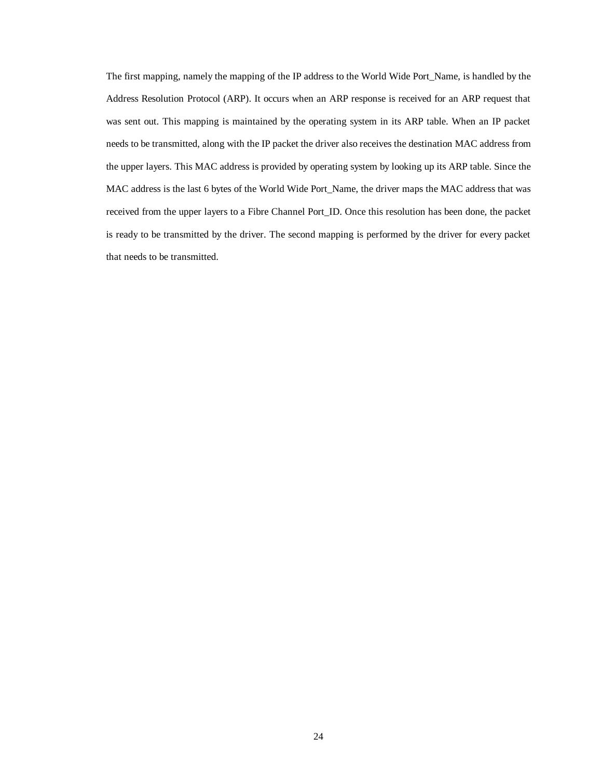The first mapping, namely the mapping of the IP address to the World Wide Port\_Name, is handled by the Address Resolution Protocol (ARP). It occurs when an ARP response is received for an ARP request that was sent out. This mapping is maintained by the operating system in its ARP table. When an IP packet needs to be transmitted, along with the IP packet the driver also receives the destination MAC address from the upper layers. This MAC address is provided by operating system by looking up its ARP table. Since the MAC address is the last 6 bytes of the World Wide Port\_Name, the driver maps the MAC address that was received from the upper layers to a Fibre Channel Port\_ID. Once this resolution has been done, the packet is ready to be transmitted by the driver. The second mapping is performed by the driver for every packet that needs to be transmitted.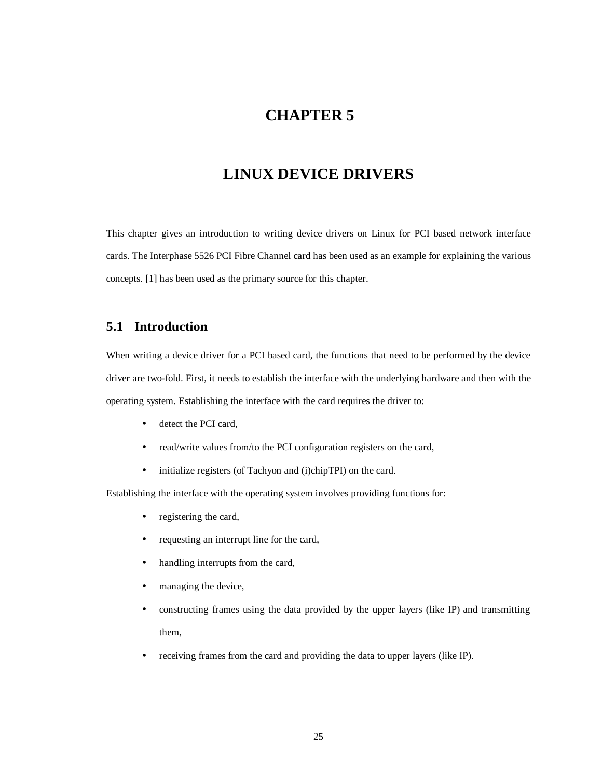# **CHAPTER 5**

# **LINUX DEVICE DRIVERS**

This chapter gives an introduction to writing device drivers on Linux for PCI based network interface cards. The Interphase 5526 PCI Fibre Channel card has been used as an example for explaining the various concepts. [1] has been used as the primary source for this chapter.

### **5.1 Introduction**

When writing a device driver for a PCI based card, the functions that need to be performed by the device driver are two-fold. First, it needs to establish the interface with the underlying hardware and then with the operating system. Establishing the interface with the card requires the driver to:

- detect the PCI card,
- read/write values from/to the PCI configuration registers on the card,
- initialize registers (of Tachyon and (i)chipTPI) on the card.

Establishing the interface with the operating system involves providing functions for:

- registering the card,
- requesting an interrupt line for the card,
- handling interrupts from the card,
- managing the device,
- constructing frames using the data provided by the upper layers (like IP) and transmitting them,
- receiving frames from the card and providing the data to upper layers (like IP).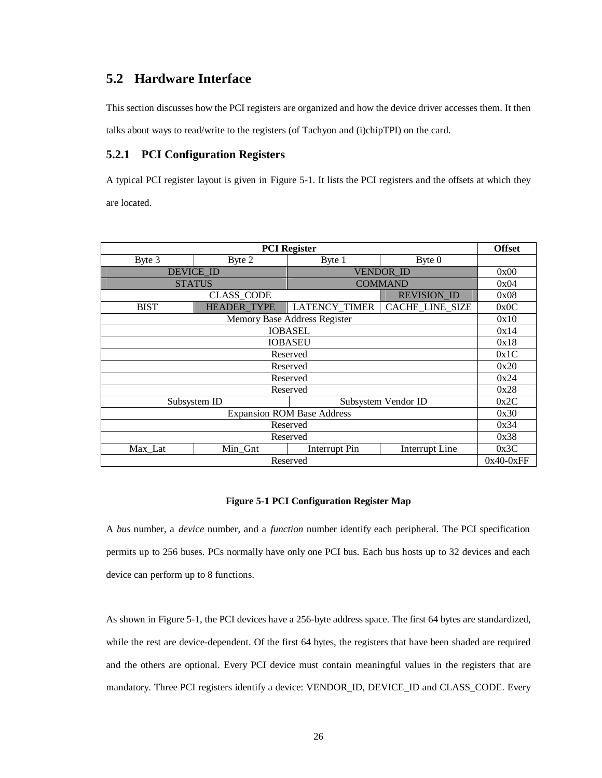### **5.2 Hardware Interface**

This section discusses how the PCI registers are organized and how the device driver accesses them. It then talks about ways to read/write to the registers (of Tachyon and (i)chipTPI) on the card.

### **5.2.1 PCI Configuration Registers**

A typical PCI register layout is given in Figure 5-1. It lists the PCI registers and the offsets at which they are located.

| <b>PCI</b> Register                 |                                      |                              |                    | <b>Offset</b> |
|-------------------------------------|--------------------------------------|------------------------------|--------------------|---------------|
| Byte 3                              | Byte 2                               | Byte 1                       | Byte 0             |               |
|                                     | <b>DEVICE ID</b><br><b>VENDOR ID</b> |                              |                    | 0x00          |
|                                     | <b>STATUS</b>                        |                              | <b>COMMAND</b>     | 0x04          |
|                                     | <b>CLASS CODE</b>                    |                              | <b>REVISION ID</b> | 0x08          |
| <b>BIST</b>                         | <b>HEADER TYPE</b>                   | <b>LATENCY_TIMER</b>         | CACHE_LINE_SIZE    | 0x0C          |
|                                     |                                      | Memory Base Address Register |                    | 0x10          |
|                                     |                                      | <b>IOBASEL</b>               |                    | 0x14          |
| <b>IOBASEU</b>                      |                                      |                              |                    | 0x18          |
| Reserved                            |                                      |                              |                    | 0x1C          |
| Reserved                            |                                      |                              |                    | 0x20          |
| Reserved                            |                                      |                              |                    | 0x24          |
| Reserved                            |                                      |                              |                    |               |
| Subsystem ID<br>Subsystem Vendor ID |                                      |                              |                    |               |
| <b>Expansion ROM Base Address</b>   |                                      |                              |                    | 0x30          |
| Reserved                            |                                      |                              |                    | 0x34          |
| Reserved                            |                                      |                              |                    | 0x38          |
| Max_Lat                             | Min_Gnt                              | Interrupt Pin                | Interrupt Line     | 0x3C          |
| Reserved                            |                                      |                              |                    | $0x40-0xFF$   |

#### **Figure 5-1 PCI Configuration Register Map**

A *bus* number, a *device* number, and a *function* number identify each peripheral. The PCI specification permits up to 256 buses. PCs normally have only one PCI bus. Each bus hosts up to 32 devices and each device can perform up to 8 functions.

As shown in Figure 5-1, the PCI devices have a 256-byte address space. The first 64 bytes are standardized, while the rest are device-dependent. Of the first 64 bytes, the registers that have been shaded are required and the others are optional. Every PCI device must contain meaningful values in the registers that are mandatory. Three PCI registers identify a device: VENDOR\_ID, DEVICE\_ID and CLASS\_CODE. Every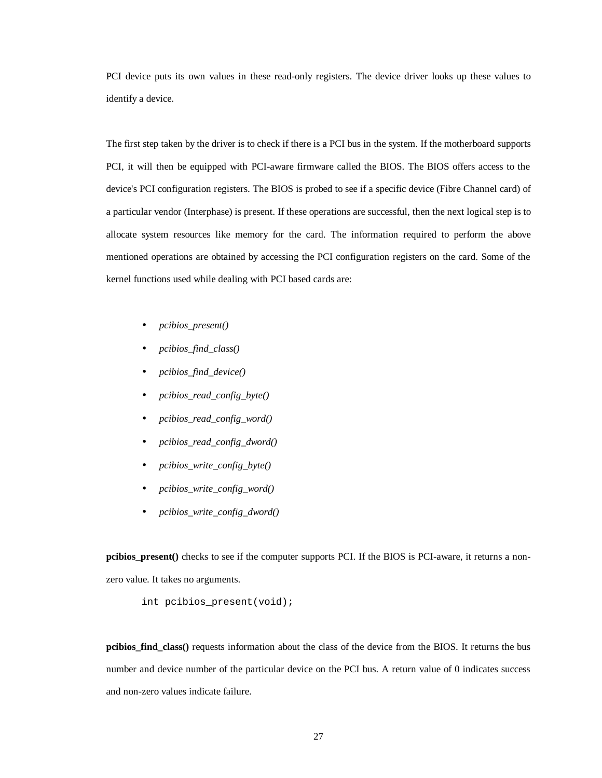PCI device puts its own values in these read-only registers. The device driver looks up these values to identify a device.

The first step taken by the driver is to check if there is a PCI bus in the system. If the motherboard supports PCI, it will then be equipped with PCI-aware firmware called the BIOS. The BIOS offers access to the device's PCI configuration registers. The BIOS is probed to see if a specific device (Fibre Channel card) of a particular vendor (Interphase) is present. If these operations are successful, then the next logical step is to allocate system resources like memory for the card. The information required to perform the above mentioned operations are obtained by accessing the PCI configuration registers on the card. Some of the kernel functions used while dealing with PCI based cards are:

- *pcibios\_present()*
- *pcibios\_find\_class()*
- *pcibios\_find\_device()*
- *pcibios\_read\_config\_byte()*
- *pcibios\_read\_config\_word()*
- *pcibios\_read\_config\_dword()*
- *pcibios\_write\_config\_byte()*
- *pcibios\_write\_config\_word()*
- *pcibios\_write\_config\_dword()*

**pcibios\_present()** checks to see if the computer supports PCI. If the BIOS is PCI-aware, it returns a nonzero value. It takes no arguments.

int pcibios present(void);

**pcibios\_find\_class()** requests information about the class of the device from the BIOS. It returns the bus number and device number of the particular device on the PCI bus. A return value of 0 indicates success and non-zero values indicate failure.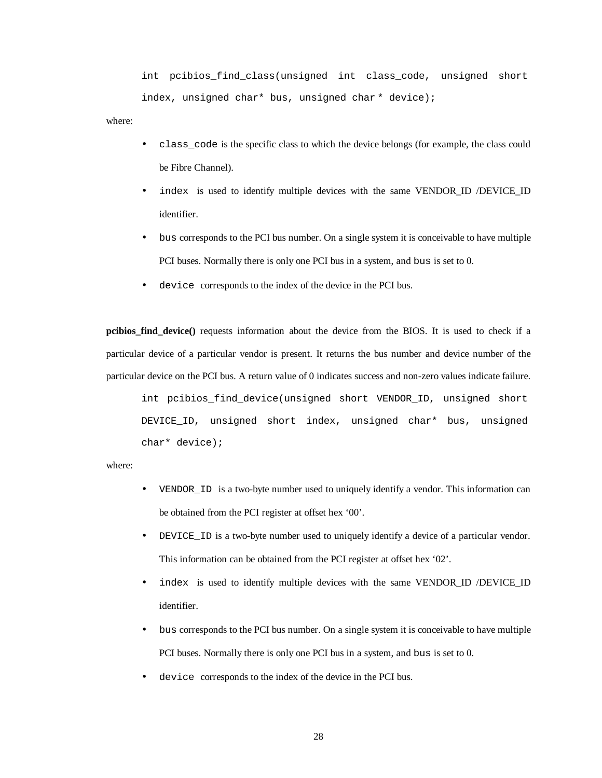int pcibios\_find\_class(unsigned int class\_code, unsigned short index, unsigned char\* bus, unsigned char \* device);

where:

- class\_code is the specific class to which the device belongs (for example, the class could be Fibre Channel).
- index is used to identify multiple devices with the same VENDOR ID /DEVICE ID identifier.
- bus corresponds to the PCI bus number. On a single system it is conceivable to have multiple PCI buses. Normally there is only one PCI bus in a system, and bus is set to 0.
- device corresponds to the index of the device in the PCI bus.

**pcibios find device**() requests information about the device from the BIOS. It is used to check if a particular device of a particular vendor is present. It returns the bus number and device number of the particular device on the PCI bus. A return value of 0 indicates success and non-zero values indicate failure.

int pcibios\_find\_device(unsigned short VENDOR\_ID, unsigned short DEVICE\_ID, unsigned short index, unsigned char\* bus, unsigned char\* device);

where:

- VENDOR\_ID is a two-byte number used to uniquely identify a vendor. This information can be obtained from the PCI register at offset hex '00'.
- DEVICE ID is a two-byte number used to uniquely identify a device of a particular vendor. This information can be obtained from the PCI register at offset hex '02'.
- index is used to identify multiple devices with the same VENDOR\_ID /DEVICE\_ID identifier.
- bus corresponds to the PCI bus number. On a single system it is conceivable to have multiple PCI buses. Normally there is only one PCI bus in a system, and bus is set to 0.
- device corresponds to the index of the device in the PCI bus.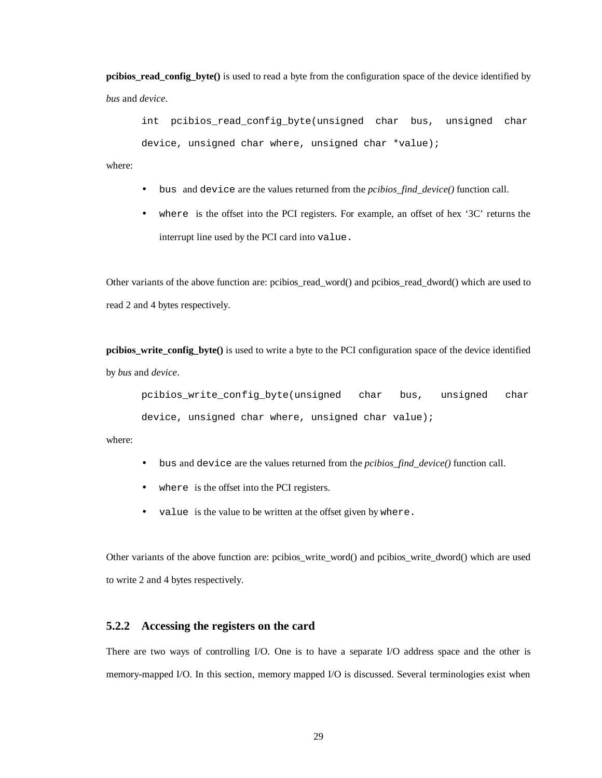**pcibios\_read\_config\_byte()** is used to read a byte from the configuration space of the device identified by *bus* and *device*.

int pcibios\_read\_config\_byte(unsigned char bus, unsigned char device, unsigned char where, unsigned char \*value);

where:

- bus and device are the values returned from the *pcibios\_find\_device()* function call.
- where is the offset into the PCI registers. For example, an offset of hex '3C' returns the interrupt line used by the PCI card into value.

Other variants of the above function are: pcibios read word() and pcibios read dword() which are used to read 2 and 4 bytes respectively.

**pcibios\_write\_config\_byte()** is used to write a byte to the PCI configuration space of the device identified by *bus* and *device*.

pcibios\_write\_config\_byte(unsigned char bus, unsigned char device, unsigned char where, unsigned char value);

where:

- bus and device are the values returned from the *pcibios\_find\_device()* function call.
- where is the offset into the PCI registers.
- value is the value to be written at the offset given by where.

Other variants of the above function are: pcibios\_write\_word() and pcibios\_write\_dword() which are used to write 2 and 4 bytes respectively.

### **5.2.2 Accessing the registers on the card**

There are two ways of controlling I/O. One is to have a separate I/O address space and the other is memory-mapped I/O. In this section, memory mapped I/O is discussed. Several terminologies exist when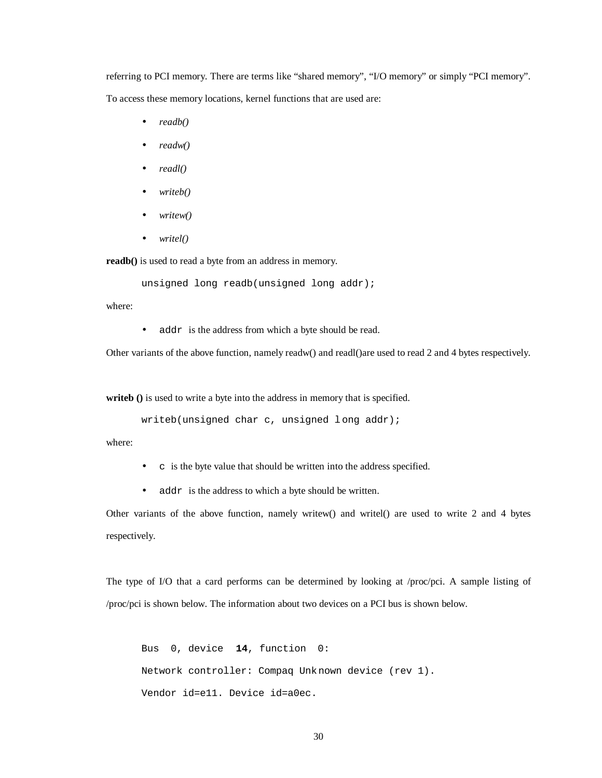referring to PCI memory. There are terms like "shared memory", "I/O memory" or simply "PCI memory". To access these memory locations, kernel functions that are used are:

- *readb()*
- *readw()*
- *readl()*
- *writeb()*
- *writew()*
- *writel()*

**readb()** is used to read a byte from an address in memory.

unsigned long readb(unsigned long addr);

where:

• addr is the address from which a byte should be read.

Other variants of the above function, namely readw() and readl()are used to read 2 and 4 bytes respectively.

**writeb ()** is used to write a byte into the address in memory that is specified.

writeb(unsigned char c, unsigned l ong addr);

where:

- c is the byte value that should be written into the address specified.
- addr is the address to which a byte should be written.

Other variants of the above function, namely writew() and writel() are used to write 2 and 4 bytes respectively.

The type of I/O that a card performs can be determined by looking at /proc/pci. A sample listing of /proc/pci is shown below. The information about two devices on a PCI bus is shown below.

```
Bus 0, device 14, function 0:
Network controller: Compaq Unknown device (rev 1).
 Vendor id=e11. Device id=a0ec.
```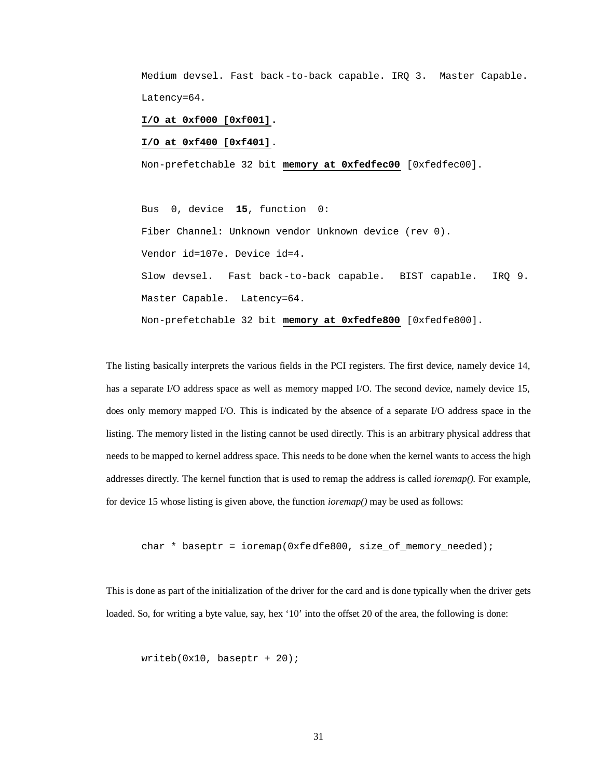Medium devsel. Fast back-to-back capable. IRQ 3. Master Capable. Latency=64.

**I/O at 0xf000 [0xf001].**

 **I/O at 0xf400 [0xf401].**

Non-prefetchable 32 bit **memory at 0xfedfec00** [0xfedfec00].

Bus 0, device **15**, function 0: Fiber Channel: Unknown vendor Unknown device (rev 0). Vendor id=107e. Device id=4. Slow devsel. Fast back-to-back capable. BIST capable. IRQ 9. Master Capable. Latency=64. Non-prefetchable 32 bit **memory at 0xfedfe800** [0xfedfe800].

The listing basically interprets the various fields in the PCI registers. The first device, namely device 14, has a separate I/O address space as well as memory mapped I/O. The second device, namely device 15, does only memory mapped I/O. This is indicated by the absence of a separate I/O address space in the listing. The memory listed in the listing cannot be used directly. This is an arbitrary physical address that needs to be mapped to kernel address space. This needs to be done when the kernel wants to access the high addresses directly. The kernel function that is used to remap the address is called *ioremap().* For example, for device 15 whose listing is given above, the function *ioremap()* may be used as follows:

char \* baseptr = ioremap(0xfedfe800, size\_of\_memory\_needed);

This is done as part of the initialization of the driver for the card and is done typically when the driver gets loaded. So, for writing a byte value, say, hex '10' into the offset 20 of the area, the following is done:

 $writeb(0x10, baseptr + 20);$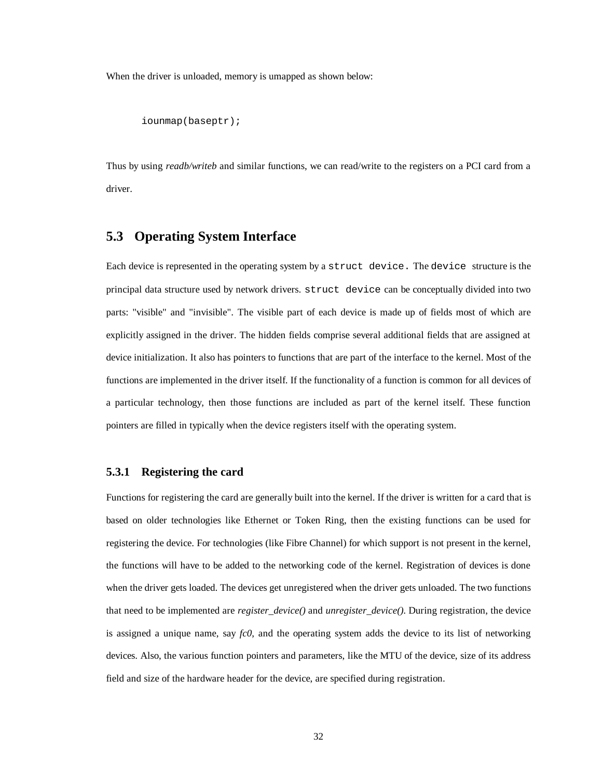When the driver is unloaded, memory is umapped as shown below:

```
iounmap(baseptr);
```
Thus by using *readb/writeb* and similar functions, we can read/write to the registers on a PCI card from a driver.

## **5.3 Operating System Interface**

Each device is represented in the operating system by a struct device. The device structure is the principal data structure used by network drivers. struct device can be conceptually divided into two parts: "visible" and "invisible". The visible part of each device is made up of fields most of which are explicitly assigned in the driver. The hidden fields comprise several additional fields that are assigned at device initialization. It also has pointers to functions that are part of the interface to the kernel. Most of the functions are implemented in the driver itself. If the functionality of a function is common for all devices of a particular technology, then those functions are included as part of the kernel itself. These function pointers are filled in typically when the device registers itself with the operating system.

#### **5.3.1 Registering the card**

Functions for registering the card are generally built into the kernel. If the driver is written for a card that is based on older technologies like Ethernet or Token Ring, then the existing functions can be used for registering the device. For technologies (like Fibre Channel) for which support is not present in the kernel, the functions will have to be added to the networking code of the kernel. Registration of devices is done when the driver gets loaded. The devices get unregistered when the driver gets unloaded. The two functions that need to be implemented are *register\_device()* and *unregister\_device()*. During registration, the device is assigned a unique name, say *fc0*, and the operating system adds the device to its list of networking devices. Also, the various function pointers and parameters, like the MTU of the device, size of its address field and size of the hardware header for the device, are specified during registration.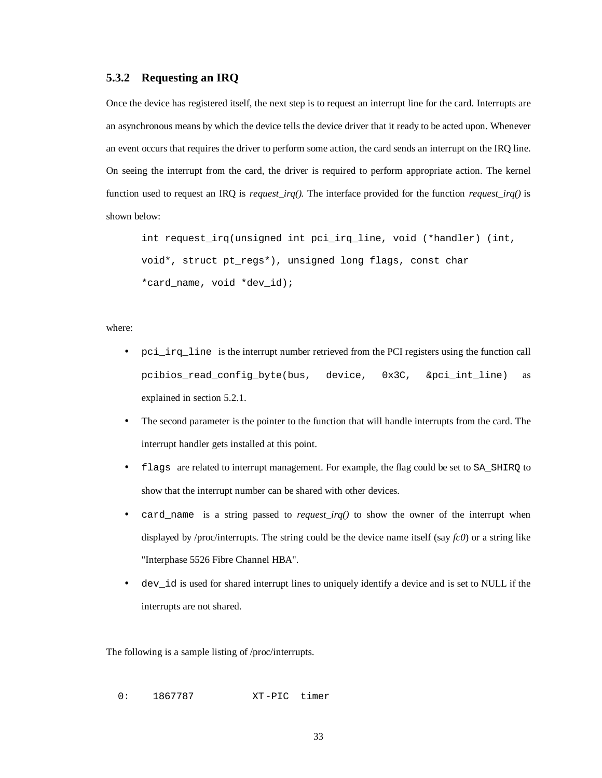### **5.3.2 Requesting an IRQ**

Once the device has registered itself, the next step is to request an interrupt line for the card. Interrupts are an asynchronous means by which the device tells the device driver that it ready to be acted upon. Whenever an event occurs that requires the driver to perform some action, the card sends an interrupt on the IRQ line. On seeing the interrupt from the card, the driver is required to perform appropriate action. The kernel function used to request an IRQ is *request\_irq().* The interface provided for the function *request\_irq()* is shown below:

int request\_irq(unsigned int pci\_irq\_line, void (\*handler) (int, void\*, struct pt\_regs\*), unsigned long flags, const char \*card name, void \*dev id);

#### where:

- pci\_irq\_line is the interrupt number retrieved from the PCI registers using the function call pcibios\_read\_config\_byte(bus, device, 0x3C, &pci\_int\_line) as explained in section 5.2.1.
- The second parameter is the pointer to the function that will handle interrupts from the card. The interrupt handler gets installed at this point.
- flags are related to interrupt management. For example, the flag could be set to SA\_SHIRQ to show that the interrupt number can be shared with other devices.
- card\_name is a string passed to *request\_irq()* to show the owner of the interrupt when displayed by /proc/interrupts. The string could be the device name itself (say *fc0*) or a string like "Interphase 5526 Fibre Channel HBA".
- dev\_id is used for shared interrupt lines to uniquely identify a device and is set to NULL if the interrupts are not shared.

The following is a sample listing of /proc/interrupts.

0: 1867787 XT-PIC timer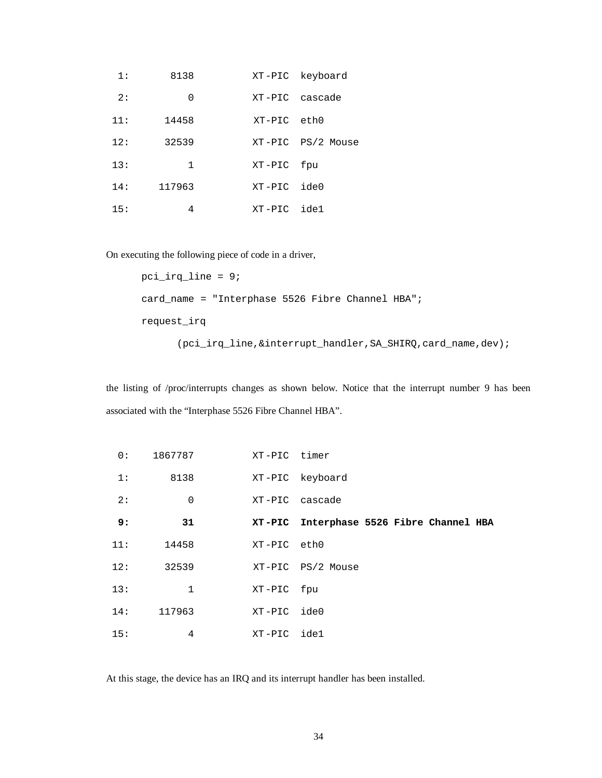| 1:  | 8138   |             | XT-PIC keyboard   |
|-----|--------|-------------|-------------------|
| 2:  | 0      |             | XT-PIC cascade    |
| 11: | 14458  | XT-PIC eth0 |                   |
| 12: | 32539  |             | XT-PIC PS/2 Mouse |
| 13: | 1      | XT-PIC fpu  |                   |
| 14: | 117963 | XT-PIC ide0 |                   |
| 15: | 4      | $XT-PIC$    | ide1              |

On executing the following piece of code in a driver,

```
pci_irq_line = 9;
card_name = "Interphase 5526 Fibre Channel HBA";
request_irq
```
(pci\_irq\_line,&interrupt\_handler,SA\_SHIRQ,card\_name,dev);

the listing of /proc/interrupts changes as shown below. Notice that the interrupt number 9 has been associated with the "Interphase 5526 Fibre Channel HBA".

| 0:  | 1867787      | XT-PIC timer |                                          |
|-----|--------------|--------------|------------------------------------------|
| 1:  | 8138         |              | XT-PIC keyboard                          |
| 2:  | 0            |              | XT-PIC cascade                           |
| 9:  | 31           |              | XT-PIC Interphase 5526 Fibre Channel HBA |
| 11: | 14458        | XT-PIC eth0  |                                          |
| 12: | 32539        |              | XT-PIC PS/2 Mouse                        |
| 13: | $\mathbf{1}$ | XT-PIC fpu   |                                          |
| 14: | 117963       | XT-PIC ide0  |                                          |
| 15: | 4            | XT-PIC ide1  |                                          |

At this stage, the device has an IRQ and its interrupt handler has been installed.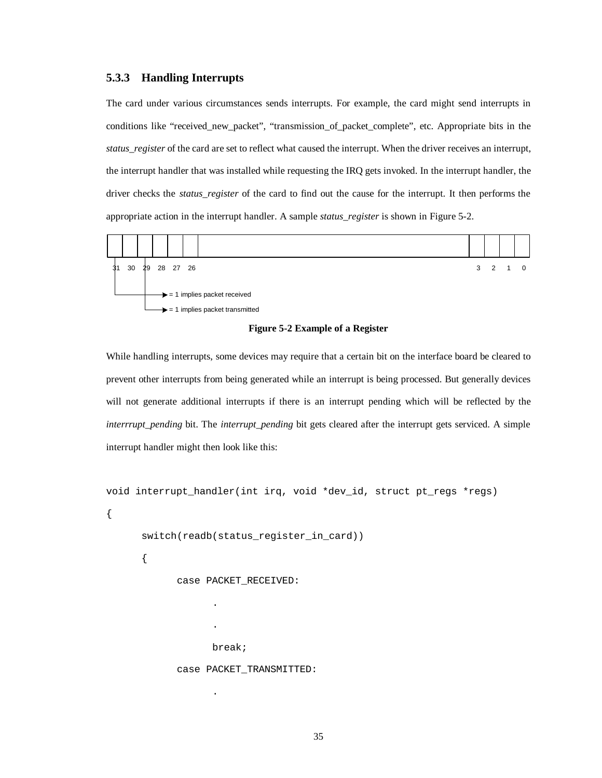### **5.3.3 Handling Interrupts**

The card under various circumstances sends interrupts. For example, the card might send interrupts in conditions like "received\_new\_packet", "transmission\_of\_packet\_complete", etc. Appropriate bits in the *status register* of the card are set to reflect what caused the interrupt. When the driver receives an interrupt, the interrupt handler that was installed while requesting the IRQ gets invoked. In the interrupt handler, the driver checks the *status\_register* of the card to find out the cause for the interrupt. It then performs the appropriate action in the interrupt handler. A sample *status\_register* is shown in Figure 5-2.



**Figure 5-2 Example of a Register**

While handling interrupts, some devices may require that a certain bit on the interface board be cleared to prevent other interrupts from being generated while an interrupt is being processed. But generally devices will not generate additional interrupts if there is an interrupt pending which will be reflected by the *interrrupt\_pending* bit. The *interrupt\_pending* bit gets cleared after the interrupt gets serviced. A simple interrupt handler might then look like this:

```
void interrupt_handler(int irq, void *dev_id, struct pt_regs *regs)
{
      switch(readb(status register in card))
      {
            case PACKET_RECEIVED:
                   .
                   .
                   break;
```

```
case PACKET TRANSMITTED:
```
.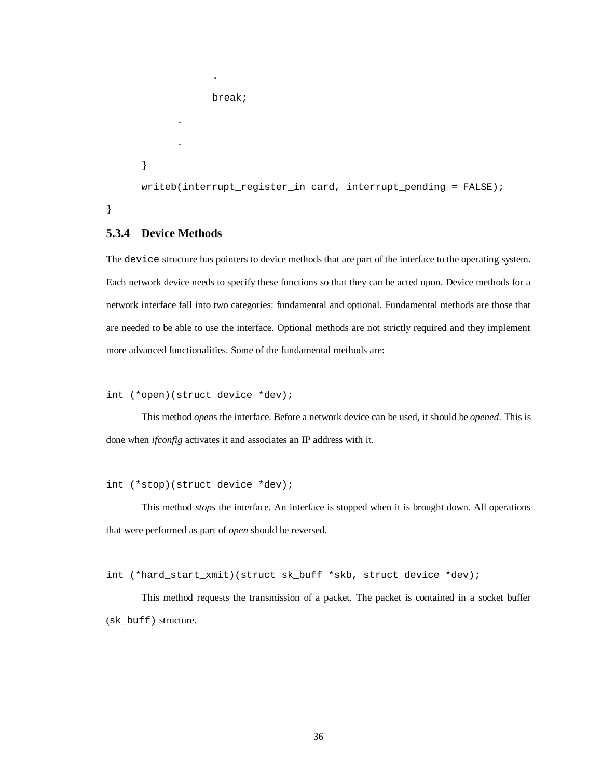```
break;
      .
      .
}
writeb(interrupt_register_in card, interrupt_pending = FALSE);
```
}

## **5.3.4 Device Methods**

The device structure has pointers to device methods that are part of the interface to the operating system. Each network device needs to specify these functions so that they can be acted upon. Device methods for a network interface fall into two categories: fundamental and optional. Fundamental methods are those that are needed to be able to use the interface. Optional methods are not strictly required and they implement more advanced functionalities. Some of the fundamental methods are:

```
int (*open)(struct device *dev);
```
.

This method *open*s the interface. Before a network device can be used, it should be *opened*. This is done when *ifconfig* activates it and associates an IP address with it.

```
int (*stop)(struct device *dev);
```
This method *stops* the interface. An interface is stopped when it is brought down. All operations that were performed as part of *open* should be reversed.

int (\*hard\_start\_xmit)(struct sk\_buff \*skb, struct device \*dev);

This method requests the transmission of a packet. The packet is contained in a socket buffer (sk\_buff) structure.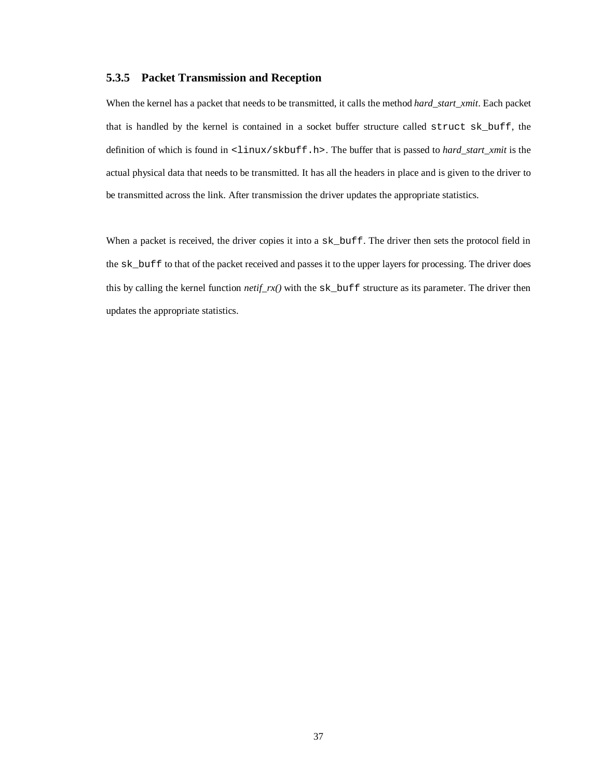#### **5.3.5 Packet Transmission and Reception**

When the kernel has a packet that needs to be transmitted, it calls the method *hard\_start\_xmit*. Each packet that is handled by the kernel is contained in a socket buffer structure called struct sk\_buff, the definition of which is found in <linux/skbuff.h>. The buffer that is passed to *hard\_start\_xmit* is the actual physical data that needs to be transmitted. It has all the headers in place and is given to the driver to be transmitted across the link. After transmission the driver updates the appropriate statistics.

When a packet is received, the driver copies it into a  $sk\_buffer$ . The driver then sets the protocol field in the sk\_buff to that of the packet received and passes it to the upper layers for processing. The driver does this by calling the kernel function *netif*  $rx()$  with the sk buff structure as its parameter. The driver then updates the appropriate statistics.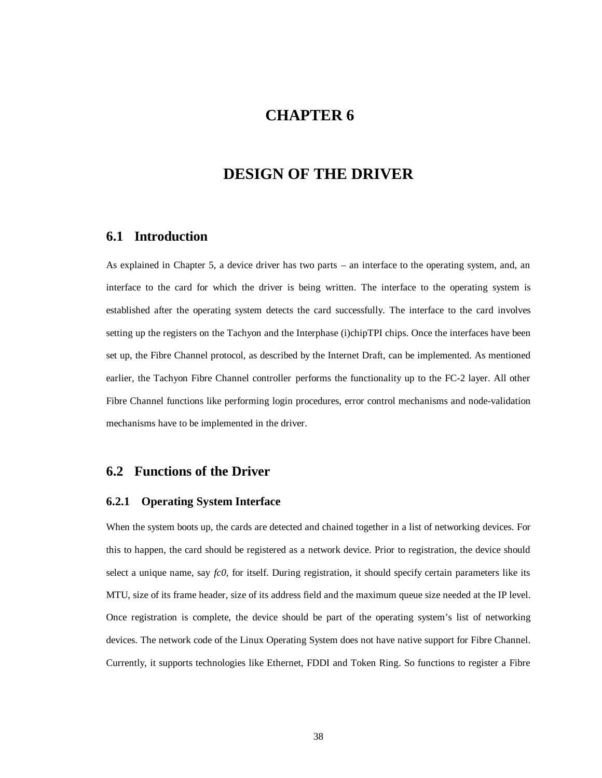# **CHAPTER 6**

# **DESIGN OF THE DRIVER**

## **6.1 Introduction**

As explained in Chapter 5, a device driver has two parts – an interface to the operating system, and, an interface to the card for which the driver is being written. The interface to the operating system is established after the operating system detects the card successfully. The interface to the card involves setting up the registers on the Tachyon and the Interphase (i)chipTPI chips. Once the interfaces have been set up, the Fibre Channel protocol, as described by the Internet Draft, can be implemented. As mentioned earlier, the Tachyon Fibre Channel controller performs the functionality up to the FC-2 layer. All other Fibre Channel functions like performing login procedures, error control mechanisms and node-validation mechanisms have to be implemented in the driver.

### **6.2 Functions of the Driver**

### **6.2.1 Operating System Interface**

When the system boots up, the cards are detected and chained together in a list of networking devices. For this to happen, the card should be registered as a network device. Prior to registration, the device should select a unique name, say *fc0*, for itself. During registration, it should specify certain parameters like its MTU, size of its frame header, size of its address field and the maximum queue size needed at the IP level. Once registration is complete, the device should be part of the operating system's list of networking devices. The network code of the Linux Operating System does not have native support for Fibre Channel. Currently, it supports technologies like Ethernet, FDDI and Token Ring. So functions to register a Fibre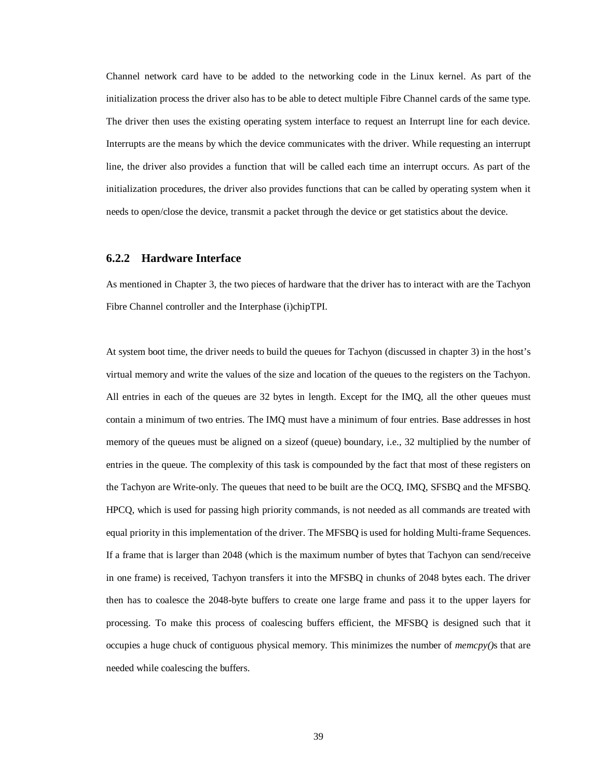Channel network card have to be added to the networking code in the Linux kernel. As part of the initialization process the driver also has to be able to detect multiple Fibre Channel cards of the same type. The driver then uses the existing operating system interface to request an Interrupt line for each device. Interrupts are the means by which the device communicates with the driver. While requesting an interrupt line, the driver also provides a function that will be called each time an interrupt occurs. As part of the initialization procedures, the driver also provides functions that can be called by operating system when it needs to open/close the device, transmit a packet through the device or get statistics about the device.

### **6.2.2 Hardware Interface**

As mentioned in Chapter 3, the two pieces of hardware that the driver has to interact with are the Tachyon Fibre Channel controller and the Interphase (i)chipTPI.

At system boot time, the driver needs to build the queues for Tachyon (discussed in chapter 3) in the host's virtual memory and write the values of the size and location of the queues to the registers on the Tachyon. All entries in each of the queues are 32 bytes in length. Except for the IMQ, all the other queues must contain a minimum of two entries. The IMQ must have a minimum of four entries. Base addresses in host memory of the queues must be aligned on a sizeof (queue) boundary, i.e., 32 multiplied by the number of entries in the queue. The complexity of this task is compounded by the fact that most of these registers on the Tachyon are Write-only. The queues that need to be built are the OCQ, IMQ, SFSBQ and the MFSBQ. HPCQ, which is used for passing high priority commands, is not needed as all commands are treated with equal priority in this implementation of the driver. The MFSBQ is used for holding Multi-frame Sequences. If a frame that is larger than 2048 (which is the maximum number of bytes that Tachyon can send/receive in one frame) is received, Tachyon transfers it into the MFSBQ in chunks of 2048 bytes each. The driver then has to coalesce the 2048-byte buffers to create one large frame and pass it to the upper layers for processing. To make this process of coalescing buffers efficient, the MFSBQ is designed such that it occupies a huge chuck of contiguous physical memory. This minimizes the number of *memcpy()*s that are needed while coalescing the buffers.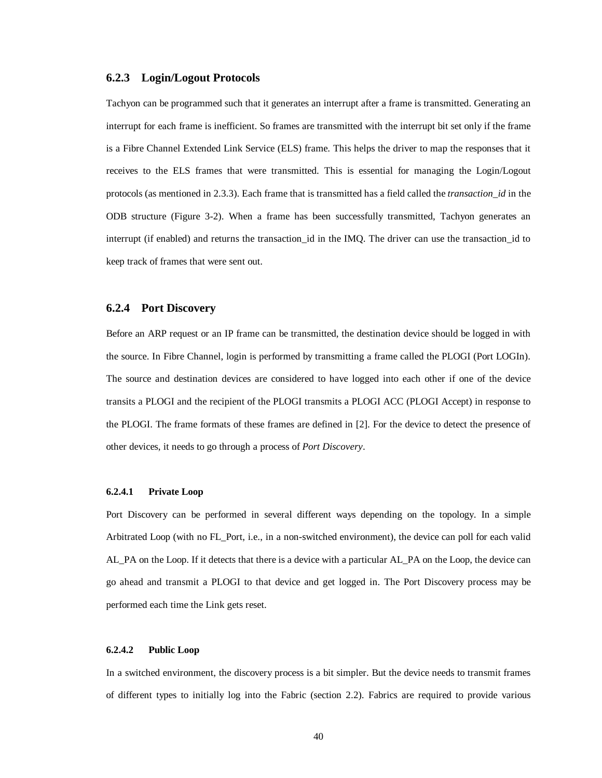#### **6.2.3 Login/Logout Protocols**

Tachyon can be programmed such that it generates an interrupt after a frame is transmitted. Generating an interrupt for each frame is inefficient. So frames are transmitted with the interrupt bit set only if the frame is a Fibre Channel Extended Link Service (ELS) frame. This helps the driver to map the responses that it receives to the ELS frames that were transmitted. This is essential for managing the Login/Logout protocols (as mentioned in 2.3.3). Each frame that is transmitted has a field called the *transaction\_id* in the ODB structure (Figure 3-2). When a frame has been successfully transmitted, Tachyon generates an interrupt (if enabled) and returns the transaction\_id in the IMQ. The driver can use the transaction\_id to keep track of frames that were sent out.

#### **6.2.4 Port Discovery**

Before an ARP request or an IP frame can be transmitted, the destination device should be logged in with the source. In Fibre Channel, login is performed by transmitting a frame called the PLOGI (Port LOGIn). The source and destination devices are considered to have logged into each other if one of the device transits a PLOGI and the recipient of the PLOGI transmits a PLOGI ACC (PLOGI Accept) in response to the PLOGI. The frame formats of these frames are defined in [2]. For the device to detect the presence of other devices, it needs to go through a process of *Port Discovery*.

#### **6.2.4.1 Private Loop**

Port Discovery can be performed in several different ways depending on the topology. In a simple Arbitrated Loop (with no FL\_Port, i.e., in a non-switched environment), the device can poll for each valid AL\_PA on the Loop. If it detects that there is a device with a particular AL\_PA on the Loop, the device can go ahead and transmit a PLOGI to that device and get logged in. The Port Discovery process may be performed each time the Link gets reset.

#### **6.2.4.2 Public Loop**

In a switched environment, the discovery process is a bit simpler. But the device needs to transmit frames of different types to initially log into the Fabric (section 2.2). Fabrics are required to provide various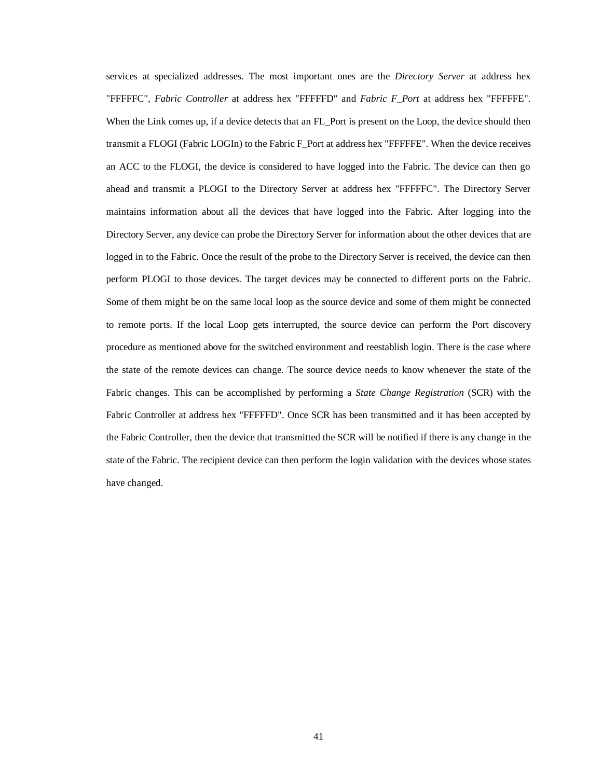services at specialized addresses. The most important ones are the *Directory Server* at address hex "FFFFFC", *Fabric Controller* at address hex "FFFFFD" and *Fabric F\_Port* at address hex "FFFFFE". When the Link comes up, if a device detects that an FL\_Port is present on the Loop, the device should then transmit a FLOGI (Fabric LOGIn) to the Fabric F\_Port at address hex "FFFFFE". When the device receives an ACC to the FLOGI, the device is considered to have logged into the Fabric. The device can then go ahead and transmit a PLOGI to the Directory Server at address hex "FFFFFC". The Directory Server maintains information about all the devices that have logged into the Fabric. After logging into the Directory Server, any device can probe the Directory Server for information about the other devices that are logged in to the Fabric. Once the result of the probe to the Directory Server is received, the device can then perform PLOGI to those devices. The target devices may be connected to different ports on the Fabric. Some of them might be on the same local loop as the source device and some of them might be connected to remote ports. If the local Loop gets interrupted, the source device can perform the Port discovery procedure as mentioned above for the switched environment and reestablish login. There is the case where the state of the remote devices can change. The source device needs to know whenever the state of the Fabric changes. This can be accomplished by performing a *State Change Registration* (SCR) with the Fabric Controller at address hex "FFFFFD". Once SCR has been transmitted and it has been accepted by the Fabric Controller, then the device that transmitted the SCR will be notified if there is any change in the state of the Fabric. The recipient device can then perform the login validation with the devices whose states have changed.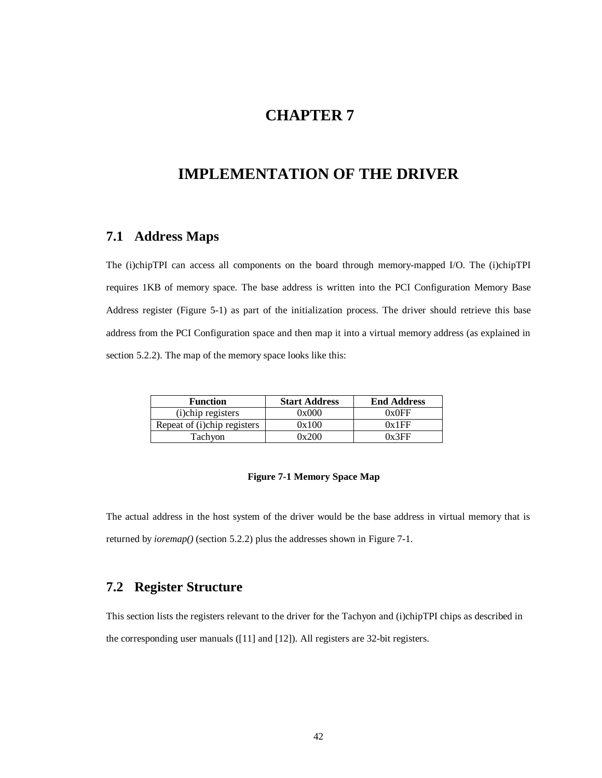# **CHAPTER 7**

# **IMPLEMENTATION OF THE DRIVER**

# **7.1 Address Maps**

The (i)chipTPI can access all components on the board through memory-mapped I/O. The (i)chipTPI requires 1KB of memory space. The base address is written into the PCI Configuration Memory Base Address register (Figure 5-1) as part of the initialization process. The driver should retrieve this base address from the PCI Configuration space and then map it into a virtual memory address (as explained in section 5.2.2). The map of the memory space looks like this:

| <b>Function</b>             | <b>Start Address</b> | <b>End Address</b> |
|-----------------------------|----------------------|--------------------|
| (i)chip registers           | 0x000                | 0x0FF              |
| Repeat of (i)chip registers | 0x100                | 0x1FF              |
| Tachyon                     | 0x200                | 0x3FF              |

#### **Figure 7-1 Memory Space Map**

The actual address in the host system of the driver would be the base address in virtual memory that is returned by *ioremap()* (section 5.2.2) plus the addresses shown in Figure 7-1.

# **7.2 Register Structure**

This section lists the registers relevant to the driver for the Tachyon and (i)chipTPI chips as described in the corresponding user manuals ([11] and [12]). All registers are 32-bit registers.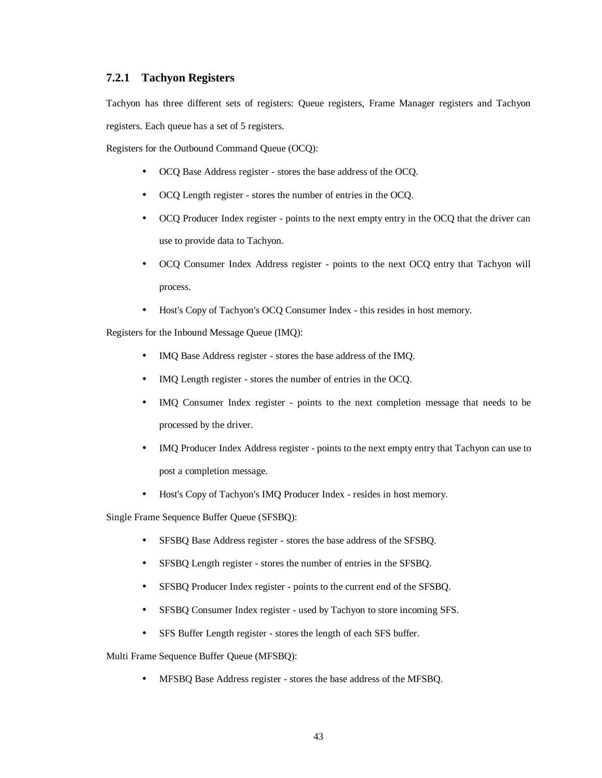## **7.2.1 Tachyon Registers**

Tachyon has three different sets of registers: Queue registers, Frame Manager registers and Tachyon registers. Each queue has a set of 5 registers.

Registers for the Outbound Command Queue (OCQ):

- OCQ Base Address register stores the base address of the OCQ.
- OCQ Length register stores the number of entries in the OCQ.
- OCQ Producer Index register points to the next empty entry in the OCQ that the driver can use to provide data to Tachyon.
- OCQ Consumer Index Address register points to the next OCQ entry that Tachyon will process.
- Host's Copy of Tachyon's OCQ Consumer Index this resides in host memory.

Registers for the Inbound Message Queue (IMQ):

- IMQ Base Address register stores the base address of the IMQ.
- IMQ Length register stores the number of entries in the OCQ.
- IMQ Consumer Index register points to the next completion message that needs to be processed by the driver.
- IMQ Producer Index Address register points to the next empty entry that Tachyon can use to post a completion message.
- Host's Copy of Tachyon's IMQ Producer Index resides in host memory.

Single Frame Sequence Buffer Queue (SFSBQ):

- SFSBQ Base Address register stores the base address of the SFSBQ.
- SFSBQ Length register stores the number of entries in the SFSBQ.
- SFSBQ Producer Index register points to the current end of the SFSBQ.
- SFSBQ Consumer Index register used by Tachyon to store incoming SFS.
- SFS Buffer Length register stores the length of each SFS buffer.

Multi Frame Sequence Buffer Queue (MFSBQ):

• MFSBQ Base Address register - stores the base address of the MFSBQ.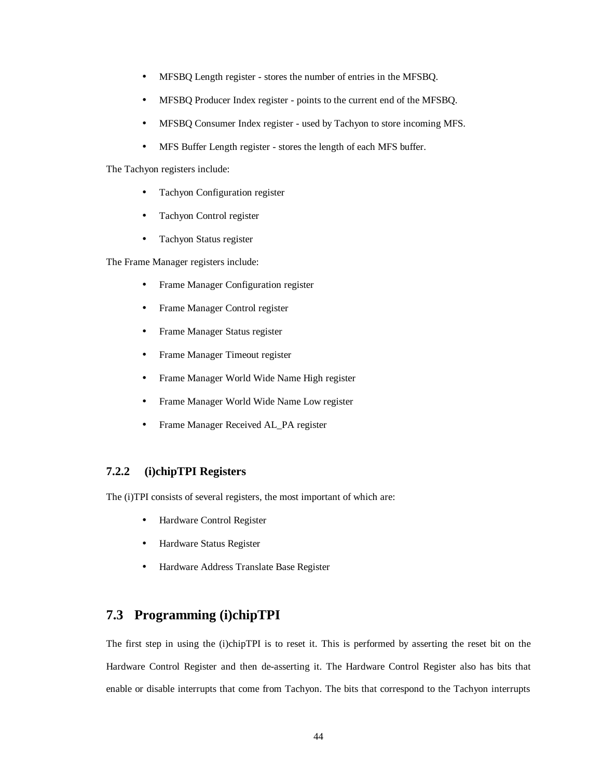- MFSBQ Length register stores the number of entries in the MFSBQ.
- MFSBQ Producer Index register points to the current end of the MFSBQ.
- MFSBQ Consumer Index register used by Tachyon to store incoming MFS.
- MFS Buffer Length register stores the length of each MFS buffer.

The Tachyon registers include:

- Tachyon Configuration register
- Tachyon Control register
- Tachyon Status register

The Frame Manager registers include:

- Frame Manager Configuration register
- Frame Manager Control register
- Frame Manager Status register
- Frame Manager Timeout register
- Frame Manager World Wide Name High register
- Frame Manager World Wide Name Low register
- Frame Manager Received AL\_PA register

## **7.2.2 (i)chipTPI Registers**

The (i)TPI consists of several registers, the most important of which are:

- Hardware Control Register
- Hardware Status Register
- Hardware Address Translate Base Register

# **7.3 Programming (i)chipTPI**

The first step in using the (i)chipTPI is to reset it. This is performed by asserting the reset bit on the Hardware Control Register and then de-asserting it. The Hardware Control Register also has bits that enable or disable interrupts that come from Tachyon. The bits that correspond to the Tachyon interrupts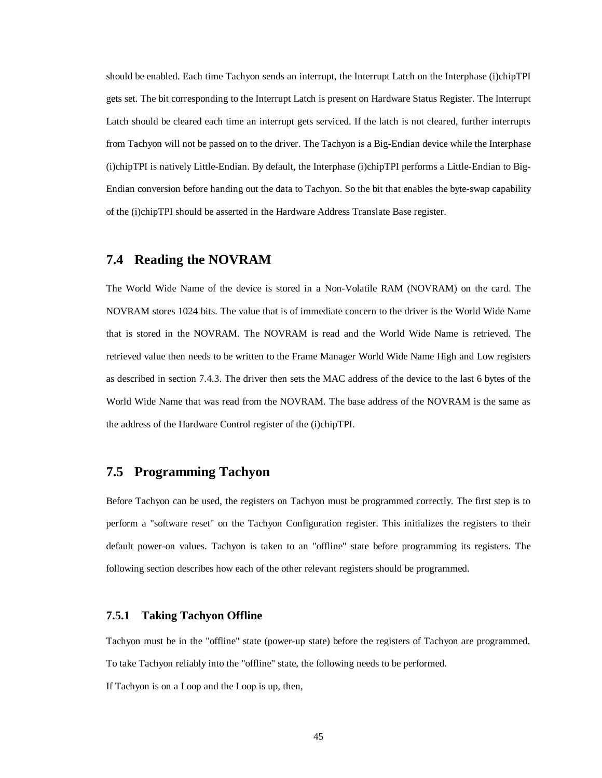should be enabled. Each time Tachyon sends an interrupt, the Interrupt Latch on the Interphase (i)chipTPI gets set. The bit corresponding to the Interrupt Latch is present on Hardware Status Register. The Interrupt Latch should be cleared each time an interrupt gets serviced. If the latch is not cleared, further interrupts from Tachyon will not be passed on to the driver. The Tachyon is a Big-Endian device while the Interphase (i)chipTPI is natively Little-Endian. By default, the Interphase (i)chipTPI performs a Little-Endian to Big-Endian conversion before handing out the data to Tachyon. So the bit that enables the byte-swap capability of the (i)chipTPI should be asserted in the Hardware Address Translate Base register.

## **7.4 Reading the NOVRAM**

The World Wide Name of the device is stored in a Non-Volatile RAM (NOVRAM) on the card. The NOVRAM stores 1024 bits. The value that is of immediate concern to the driver is the World Wide Name that is stored in the NOVRAM. The NOVRAM is read and the World Wide Name is retrieved. The retrieved value then needs to be written to the Frame Manager World Wide Name High and Low registers as described in section 7.4.3. The driver then sets the MAC address of the device to the last 6 bytes of the World Wide Name that was read from the NOVRAM. The base address of the NOVRAM is the same as the address of the Hardware Control register of the (i)chipTPI.

## **7.5 Programming Tachyon**

Before Tachyon can be used, the registers on Tachyon must be programmed correctly. The first step is to perform a "software reset" on the Tachyon Configuration register. This initializes the registers to their default power-on values. Tachyon is taken to an "offline" state before programming its registers. The following section describes how each of the other relevant registers should be programmed.

### **7.5.1 Taking Tachyon Offline**

Tachyon must be in the "offline" state (power-up state) before the registers of Tachyon are programmed. To take Tachyon reliably into the "offline" state, the following needs to be performed.

If Tachyon is on a Loop and the Loop is up, then,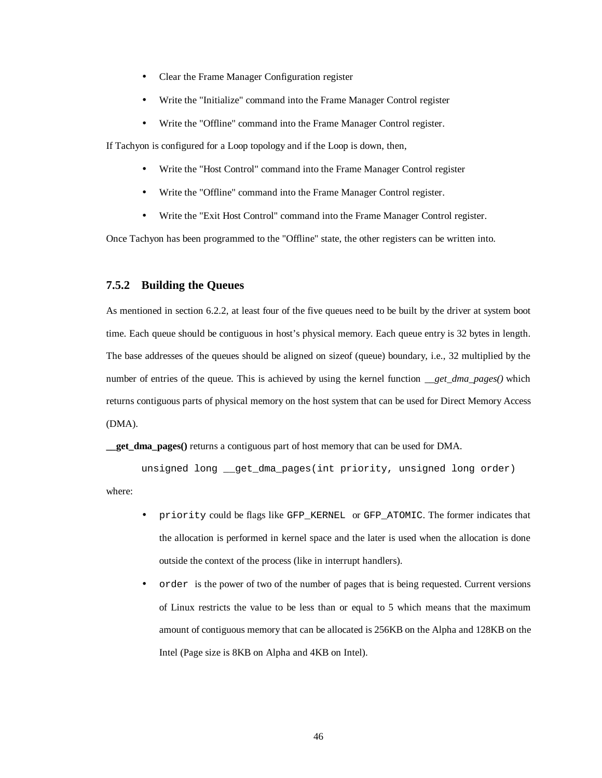- Clear the Frame Manager Configuration register
- Write the "Initialize" command into the Frame Manager Control register
- Write the "Offline" command into the Frame Manager Control register.

If Tachyon is configured for a Loop topology and if the Loop is down, then,

- Write the "Host Control" command into the Frame Manager Control register
- Write the "Offline" command into the Frame Manager Control register.
- Write the "Exit Host Control" command into the Frame Manager Control register.

Once Tachyon has been programmed to the "Offline" state, the other registers can be written into.

#### **7.5.2 Building the Queues**

As mentioned in section 6.2.2, at least four of the five queues need to be built by the driver at system boot time. Each queue should be contiguous in host's physical memory. Each queue entry is 32 bytes in length. The base addresses of the queues should be aligned on sizeof (queue) boundary, i.e., 32 multiplied by the number of entries of the queue. This is achieved by using the kernel function *\_\_get\_dma\_pages()* which returns contiguous parts of physical memory on the host system that can be used for Direct Memory Access (DMA).

**get dma pages**() returns a contiguous part of host memory that can be used for DMA.

unsigned long \_\_get\_dma\_pages(int priority, unsigned long order) where:

- priority could be flags like GFP\_KERNEL or GFP\_ATOMIC. The former indicates that the allocation is performed in kernel space and the later is used when the allocation is done outside the context of the process (like in interrupt handlers).
- order is the power of two of the number of pages that is being requested. Current versions of Linux restricts the value to be less than or equal to 5 which means that the maximum amount of contiguous memory that can be allocated is 256KB on the Alpha and 128KB on the Intel (Page size is 8KB on Alpha and 4KB on Intel).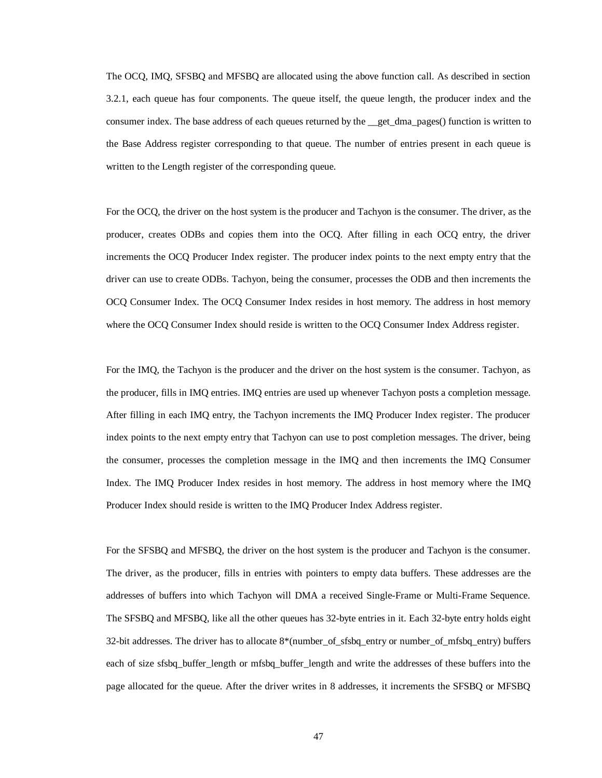The OCQ, IMQ, SFSBQ and MFSBQ are allocated using the above function call. As described in section 3.2.1, each queue has four components. The queue itself, the queue length, the producer index and the consumer index. The base address of each queues returned by the get dma pages() function is written to the Base Address register corresponding to that queue. The number of entries present in each queue is written to the Length register of the corresponding queue.

For the OCQ, the driver on the host system is the producer and Tachyon is the consumer. The driver, as the producer, creates ODBs and copies them into the OCQ. After filling in each OCQ entry, the driver increments the OCQ Producer Index register. The producer index points to the next empty entry that the driver can use to create ODBs. Tachyon, being the consumer, processes the ODB and then increments the OCQ Consumer Index. The OCQ Consumer Index resides in host memory. The address in host memory where the OCQ Consumer Index should reside is written to the OCQ Consumer Index Address register.

For the IMQ, the Tachyon is the producer and the driver on the host system is the consumer. Tachyon, as the producer, fills in IMQ entries. IMQ entries are used up whenever Tachyon posts a completion message. After filling in each IMQ entry, the Tachyon increments the IMQ Producer Index register. The producer index points to the next empty entry that Tachyon can use to post completion messages. The driver, being the consumer, processes the completion message in the IMQ and then increments the IMQ Consumer Index. The IMQ Producer Index resides in host memory. The address in host memory where the IMQ Producer Index should reside is written to the IMQ Producer Index Address register.

For the SFSBQ and MFSBQ, the driver on the host system is the producer and Tachyon is the consumer. The driver, as the producer, fills in entries with pointers to empty data buffers. These addresses are the addresses of buffers into which Tachyon will DMA a received Single-Frame or Multi-Frame Sequence. The SFSBQ and MFSBQ, like all the other queues has 32-byte entries in it. Each 32-byte entry holds eight 32-bit addresses. The driver has to allocate 8\*(number\_of\_sfsbq\_entry or number\_of\_mfsbq\_entry) buffers each of size sfsbq\_buffer\_length or mfsbq\_buffer\_length and write the addresses of these buffers into the page allocated for the queue. After the driver writes in 8 addresses, it increments the SFSBQ or MFSBQ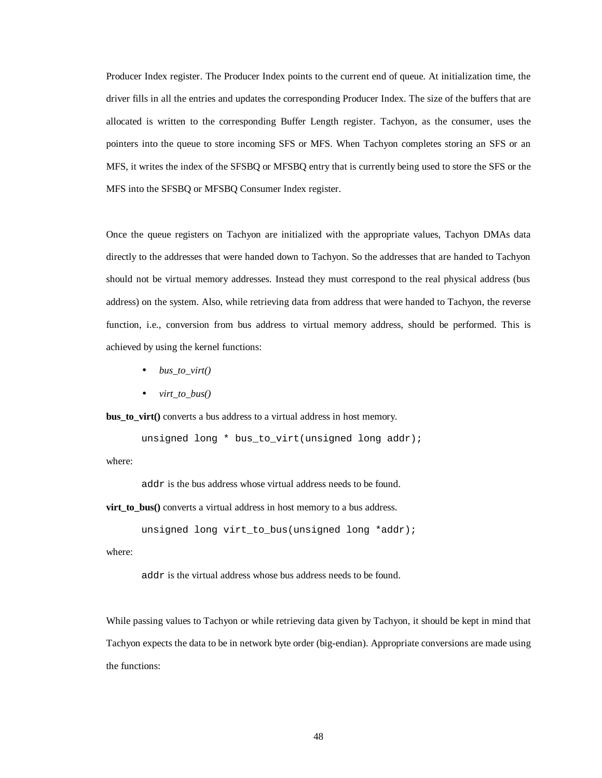Producer Index register. The Producer Index points to the current end of queue. At initialization time, the driver fills in all the entries and updates the corresponding Producer Index. The size of the buffers that are allocated is written to the corresponding Buffer Length register. Tachyon, as the consumer, uses the pointers into the queue to store incoming SFS or MFS. When Tachyon completes storing an SFS or an MFS, it writes the index of the SFSBQ or MFSBQ entry that is currently being used to store the SFS or the MFS into the SFSBQ or MFSBQ Consumer Index register.

Once the queue registers on Tachyon are initialized with the appropriate values, Tachyon DMAs data directly to the addresses that were handed down to Tachyon. So the addresses that are handed to Tachyon should not be virtual memory addresses. Instead they must correspond to the real physical address (bus address) on the system. Also, while retrieving data from address that were handed to Tachyon, the reverse function, i.e., conversion from bus address to virtual memory address, should be performed. This is achieved by using the kernel functions:

- *bus\_to\_virt()*
- *virt\_to\_bus()*

**bus\_to\_virt()** converts a bus address to a virtual address in host memory.

```
unsigned long * bus_to_virt(unsigned long addr);
```
where:

addr is the bus address whose virtual address needs to be found.

**virt\_to\_bus()** converts a virtual address in host memory to a bus address.

```
unsigned long virt_to_bus(unsigned long *addr);
```
where:

addr is the virtual address whose bus address needs to be found.

While passing values to Tachyon or while retrieving data given by Tachyon, it should be kept in mind that Tachyon expects the data to be in network byte order (big-endian). Appropriate conversions are made using the functions: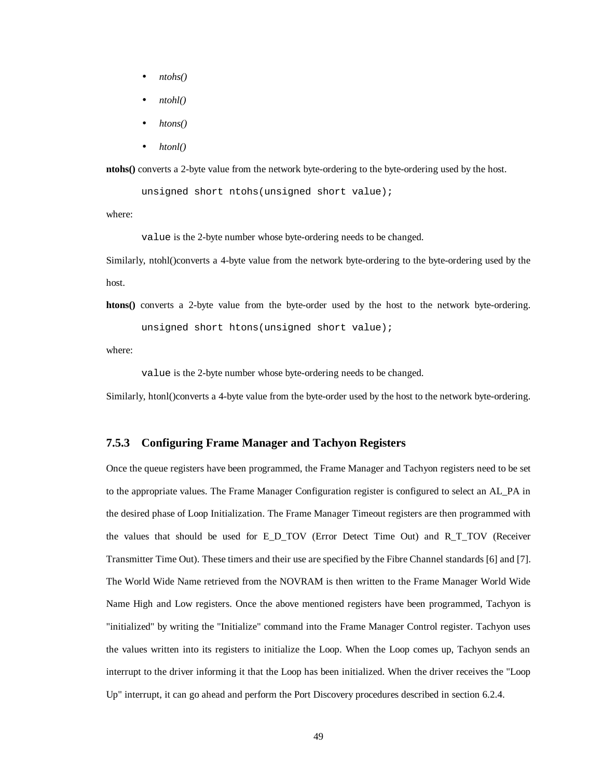- *ntohs()*
- *ntohl()*
- *htons()*
- *htonl()*

**ntohs()** converts a 2-byte value from the network byte-ordering to the byte-ordering used by the host.

unsigned short ntohs(unsigned short value);

where:

value is the 2-byte number whose byte-ordering needs to be changed.

Similarly, ntohl()converts a 4-byte value from the network byte-ordering to the byte-ordering used by the host.

**htons()** converts a 2-byte value from the byte-order used by the host to the network byte-ordering. unsigned short htons(unsigned short value);

where:

value is the 2-byte number whose byte-ordering needs to be changed.

Similarly, htonl()converts a 4-byte value from the byte-order used by the host to the network byte-ordering.

#### **7.5.3 Configuring Frame Manager and Tachyon Registers**

Once the queue registers have been programmed, the Frame Manager and Tachyon registers need to be set to the appropriate values. The Frame Manager Configuration register is configured to select an AL\_PA in the desired phase of Loop Initialization. The Frame Manager Timeout registers are then programmed with the values that should be used for E\_D\_TOV (Error Detect Time Out) and R\_T\_TOV (Receiver Transmitter Time Out). These timers and their use are specified by the Fibre Channel standards [6] and [7]. The World Wide Name retrieved from the NOVRAM is then written to the Frame Manager World Wide Name High and Low registers. Once the above mentioned registers have been programmed, Tachyon is "initialized" by writing the "Initialize" command into the Frame Manager Control register. Tachyon uses the values written into its registers to initialize the Loop. When the Loop comes up, Tachyon sends an interrupt to the driver informing it that the Loop has been initialized. When the driver receives the "Loop Up" interrupt, it can go ahead and perform the Port Discovery procedures described in section 6.2.4.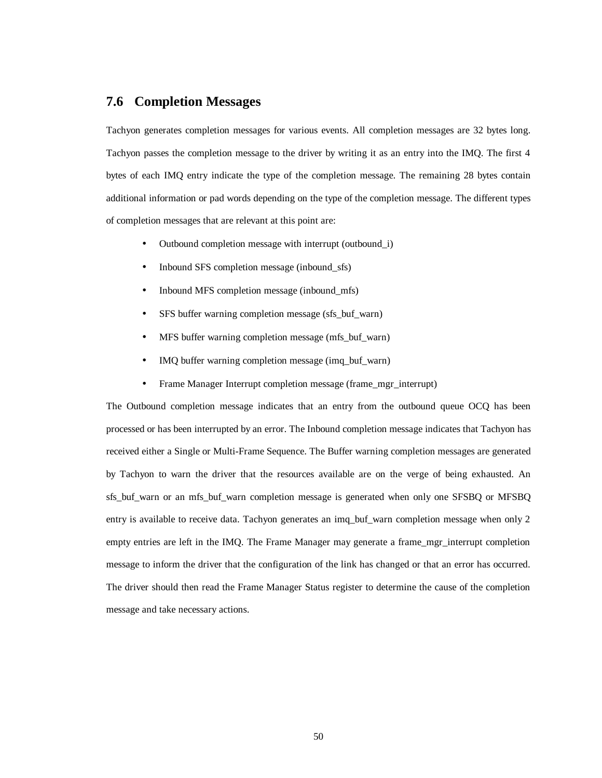# **7.6 Completion Messages**

Tachyon generates completion messages for various events. All completion messages are 32 bytes long. Tachyon passes the completion message to the driver by writing it as an entry into the IMQ. The first 4 bytes of each IMQ entry indicate the type of the completion message. The remaining 28 bytes contain additional information or pad words depending on the type of the completion message. The different types of completion messages that are relevant at this point are:

- Outbound completion message with interrupt (outbound\_i)
- Inbound SFS completion message (inbound sfs)
- Inbound MFS completion message (inbound\_mfs)
- SFS buffer warning completion message (sfs\_buf\_warn)
- MFS buffer warning completion message (mfs buf warn)
- IMQ buffer warning completion message (imq buf warn)
- Frame Manager Interrupt completion message (frame\_mgr\_interrupt)

The Outbound completion message indicates that an entry from the outbound queue OCQ has been processed or has been interrupted by an error. The Inbound completion message indicates that Tachyon has received either a Single or Multi-Frame Sequence. The Buffer warning completion messages are generated by Tachyon to warn the driver that the resources available are on the verge of being exhausted. An sfs\_buf\_warn or an mfs\_buf\_warn completion message is generated when only one SFSBQ or MFSBQ entry is available to receive data. Tachyon generates an imq\_buf\_warn completion message when only 2 empty entries are left in the IMQ. The Frame Manager may generate a frame mgr interrupt completion message to inform the driver that the configuration of the link has changed or that an error has occurred. The driver should then read the Frame Manager Status register to determine the cause of the completion message and take necessary actions.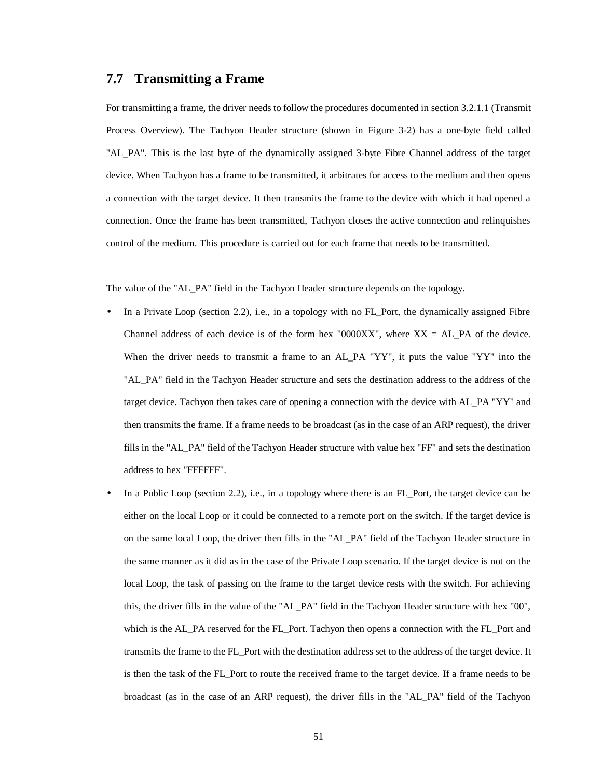## **7.7 Transmitting a Frame**

For transmitting a frame, the driver needs to follow the procedures documented in section 3.2.1.1 (Transmit Process Overview). The Tachyon Header structure (shown in Figure 3-2) has a one-byte field called "AL\_PA". This is the last byte of the dynamically assigned 3-byte Fibre Channel address of the target device. When Tachyon has a frame to be transmitted, it arbitrates for access to the medium and then opens a connection with the target device. It then transmits the frame to the device with which it had opened a connection. Once the frame has been transmitted, Tachyon closes the active connection and relinquishes control of the medium. This procedure is carried out for each frame that needs to be transmitted.

The value of the "AL\_PA" field in the Tachyon Header structure depends on the topology.

- In a Private Loop (section 2.2), i.e., in a topology with no FL\_Port, the dynamically assigned Fibre Channel address of each device is of the form hex "0000XX", where  $XX = AL\_PA$  of the device. When the driver needs to transmit a frame to an AL\_PA "YY", it puts the value "YY" into the "AL\_PA" field in the Tachyon Header structure and sets the destination address to the address of the target device. Tachyon then takes care of opening a connection with the device with AL\_PA "YY" and then transmits the frame. If a frame needs to be broadcast (as in the case of an ARP request), the driver fills in the "AL\_PA" field of the Tachyon Header structure with value hex "FF" and sets the destination address to hex "FFFFFF".
- In a Public Loop (section 2.2), i.e., in a topology where there is an FL\_Port, the target device can be either on the local Loop or it could be connected to a remote port on the switch. If the target device is on the same local Loop, the driver then fills in the "AL\_PA" field of the Tachyon Header structure in the same manner as it did as in the case of the Private Loop scenario. If the target device is not on the local Loop, the task of passing on the frame to the target device rests with the switch. For achieving this, the driver fills in the value of the "AL\_PA" field in the Tachyon Header structure with hex "00", which is the AL\_PA reserved for the FL\_Port. Tachyon then opens a connection with the FL\_Port and transmits the frame to the FL\_Port with the destination address set to the address of the target device. It is then the task of the FL\_Port to route the received frame to the target device. If a frame needs to be broadcast (as in the case of an ARP request), the driver fills in the "AL\_PA" field of the Tachyon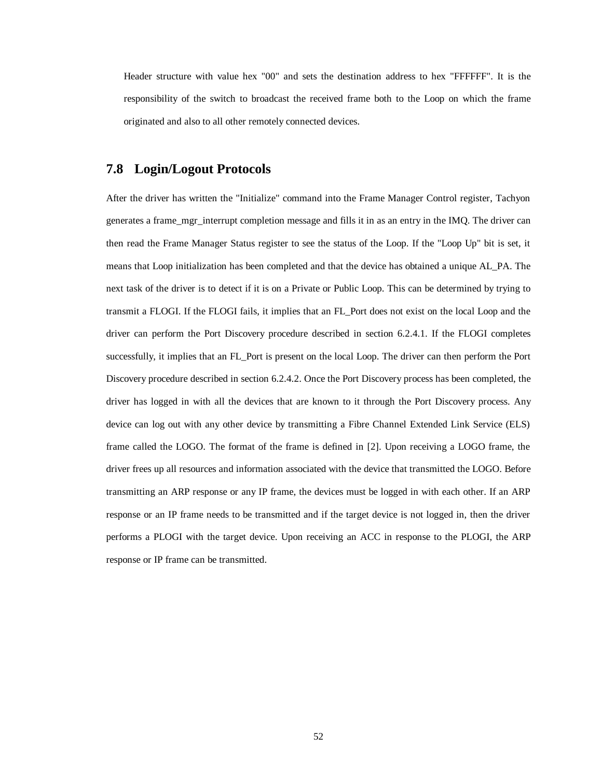Header structure with value hex "00" and sets the destination address to hex "FFFFFF". It is the responsibility of the switch to broadcast the received frame both to the Loop on which the frame originated and also to all other remotely connected devices.

## **7.8 Login/Logout Protocols**

After the driver has written the "Initialize" command into the Frame Manager Control register, Tachyon generates a frame\_mgr\_interrupt completion message and fills it in as an entry in the IMQ. The driver can then read the Frame Manager Status register to see the status of the Loop. If the "Loop Up" bit is set, it means that Loop initialization has been completed and that the device has obtained a unique AL\_PA. The next task of the driver is to detect if it is on a Private or Public Loop. This can be determined by trying to transmit a FLOGI. If the FLOGI fails, it implies that an FL\_Port does not exist on the local Loop and the driver can perform the Port Discovery procedure described in section 6.2.4.1. If the FLOGI completes successfully, it implies that an FL\_Port is present on the local Loop. The driver can then perform the Port Discovery procedure described in section 6.2.4.2. Once the Port Discovery process has been completed, the driver has logged in with all the devices that are known to it through the Port Discovery process. Any device can log out with any other device by transmitting a Fibre Channel Extended Link Service (ELS) frame called the LOGO. The format of the frame is defined in [2]. Upon receiving a LOGO frame, the driver frees up all resources and information associated with the device that transmitted the LOGO. Before transmitting an ARP response or any IP frame, the devices must be logged in with each other. If an ARP response or an IP frame needs to be transmitted and if the target device is not logged in, then the driver performs a PLOGI with the target device. Upon receiving an ACC in response to the PLOGI, the ARP response or IP frame can be transmitted.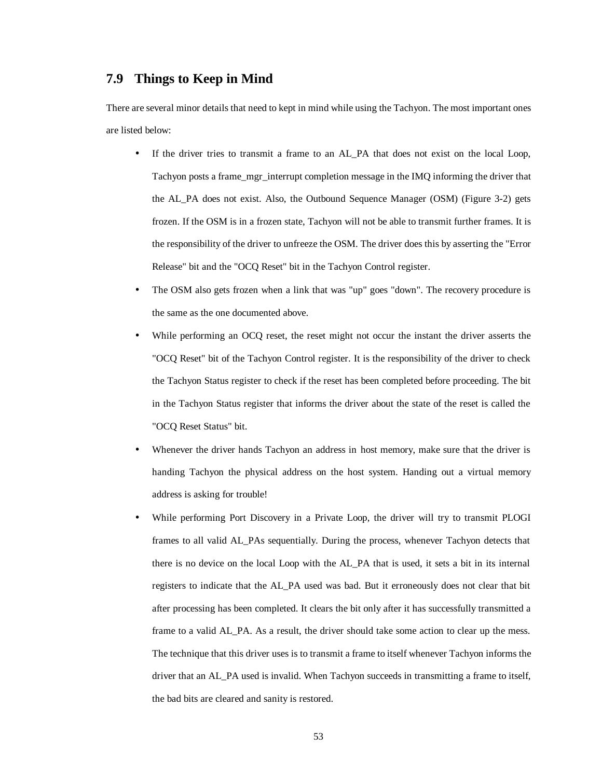## **7.9 Things to Keep in Mind**

There are several minor details that need to kept in mind while using the Tachyon. The most important ones are listed below:

- If the driver tries to transmit a frame to an AL PA that does not exist on the local Loop, Tachyon posts a frame\_mgr\_interrupt completion message in the IMQ informing the driver that the AL\_PA does not exist. Also, the Outbound Sequence Manager (OSM) (Figure 3-2) gets frozen. If the OSM is in a frozen state, Tachyon will not be able to transmit further frames. It is the responsibility of the driver to unfreeze the OSM. The driver does this by asserting the "Error Release" bit and the "OCQ Reset" bit in the Tachyon Control register.
- The OSM also gets frozen when a link that was "up" goes "down". The recovery procedure is the same as the one documented above.
- While performing an OCQ reset, the reset might not occur the instant the driver asserts the "OCQ Reset" bit of the Tachyon Control register. It is the responsibility of the driver to check the Tachyon Status register to check if the reset has been completed before proceeding. The bit in the Tachyon Status register that informs the driver about the state of the reset is called the "OCQ Reset Status" bit.
- Whenever the driver hands Tachyon an address in host memory, make sure that the driver is handing Tachyon the physical address on the host system. Handing out a virtual memory address is asking for trouble!
- While performing Port Discovery in a Private Loop, the driver will try to transmit PLOGI frames to all valid AL\_PAs sequentially. During the process, whenever Tachyon detects that there is no device on the local Loop with the AL\_PA that is used, it sets a bit in its internal registers to indicate that the AL\_PA used was bad. But it erroneously does not clear that bit after processing has been completed. It clears the bit only after it has successfully transmitted a frame to a valid AL\_PA. As a result, the driver should take some action to clear up the mess. The technique that this driver uses is to transmit a frame to itself whenever Tachyon informs the driver that an AL\_PA used is invalid. When Tachyon succeeds in transmitting a frame to itself, the bad bits are cleared and sanity is restored.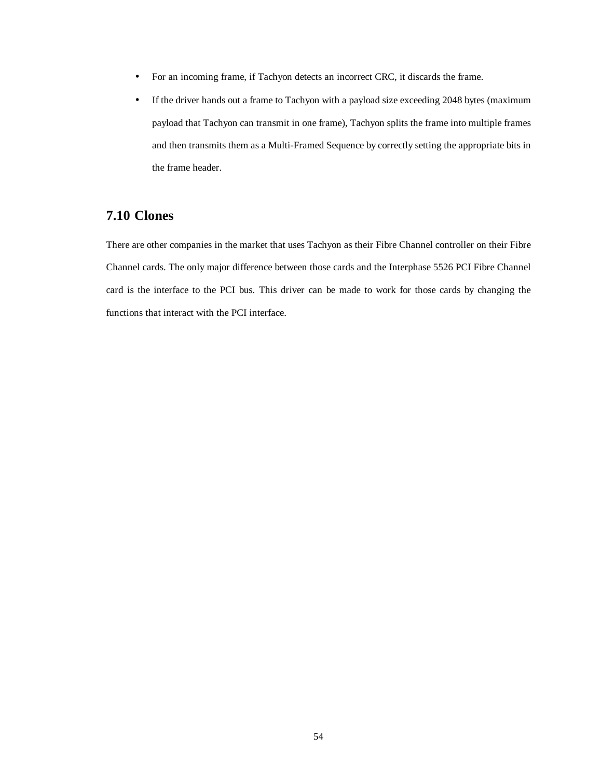- For an incoming frame, if Tachyon detects an incorrect CRC, it discards the frame.
- If the driver hands out a frame to Tachyon with a payload size exceeding 2048 bytes (maximum payload that Tachyon can transmit in one frame), Tachyon splits the frame into multiple frames and then transmits them as a Multi-Framed Sequence by correctly setting the appropriate bits in the frame header.

## **7.10 Clones**

There are other companies in the market that uses Tachyon as their Fibre Channel controller on their Fibre Channel cards. The only major difference between those cards and the Interphase 5526 PCI Fibre Channel card is the interface to the PCI bus. This driver can be made to work for those cards by changing the functions that interact with the PCI interface.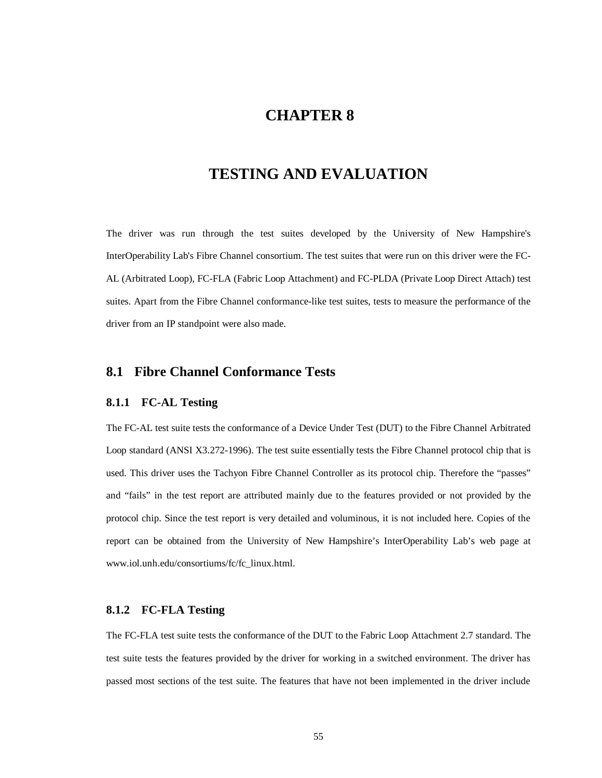# **CHAPTER 8**

# **TESTING AND EVALUATION**

The driver was run through the test suites developed by the University of New Hampshire's InterOperability Lab's Fibre Channel consortium. The test suites that were run on this driver were the FC-AL (Arbitrated Loop), FC-FLA (Fabric Loop Attachment) and FC-PLDA (Private Loop Direct Attach) test suites. Apart from the Fibre Channel conformance-like test suites, tests to measure the performance of the driver from an IP standpoint were also made.

# **8.1 Fibre Channel Conformance Tests**

#### **8.1.1 FC-AL Testing**

The FC-AL test suite tests the conformance of a Device Under Test (DUT) to the Fibre Channel Arbitrated Loop standard (ANSI X3.272-1996). The test suite essentially tests the Fibre Channel protocol chip that is used. This driver uses the Tachyon Fibre Channel Controller as its protocol chip. Therefore the "passes" and "fails" in the test report are attributed mainly due to the features provided or not provided by the protocol chip. Since the test report is very detailed and voluminous, it is not included here. Copies of the report can be obtained from the University of New Hampshire's InterOperability Lab's web page at www.iol.unh.edu/consortiums/fc/fc\_linux.html.

#### **8.1.2 FC-FLA Testing**

The FC-FLA test suite tests the conformance of the DUT to the Fabric Loop Attachment 2.7 standard. The test suite tests the features provided by the driver for working in a switched environment. The driver has passed most sections of the test suite. The features that have not been implemented in the driver include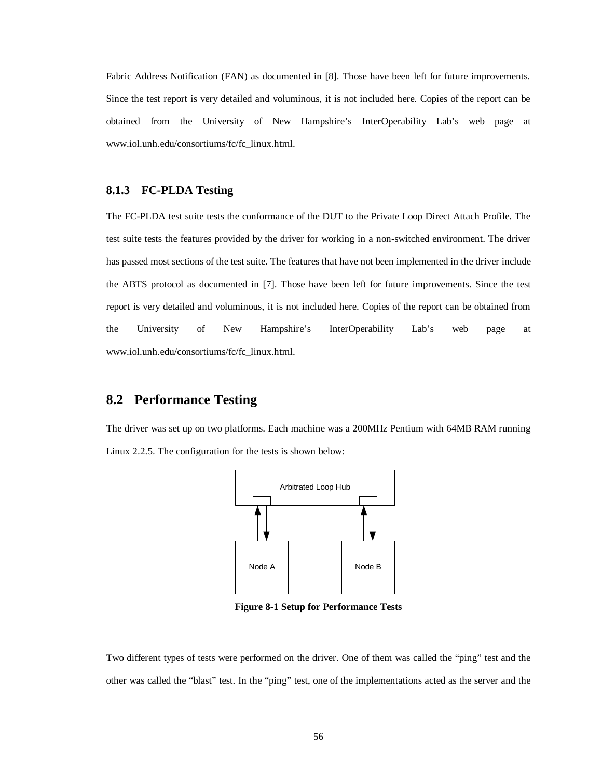Fabric Address Notification (FAN) as documented in [8]. Those have been left for future improvements. Since the test report is very detailed and voluminous, it is not included here. Copies of the report can be obtained from the University of New Hampshire's InterOperability Lab's web page at www.iol.unh.edu/consortiums/fc/fc\_linux.html.

#### **8.1.3 FC-PLDA Testing**

The FC-PLDA test suite tests the conformance of the DUT to the Private Loop Direct Attach Profile. The test suite tests the features provided by the driver for working in a non-switched environment. The driver has passed most sections of the test suite. The features that have not been implemented in the driver include the ABTS protocol as documented in [7]. Those have been left for future improvements. Since the test report is very detailed and voluminous, it is not included here. Copies of the report can be obtained from the University of New Hampshire's InterOperability Lab's web page at www.iol.unh.edu/consortiums/fc/fc\_linux.html.

## **8.2 Performance Testing**

The driver was set up on two platforms. Each machine was a 200MHz Pentium with 64MB RAM running Linux 2.2.5. The configuration for the tests is shown below:



**Figure 8-1 Setup for Performance Tests**

Two different types of tests were performed on the driver. One of them was called the "ping" test and the other was called the "blast" test. In the "ping" test, one of the implementations acted as the server and the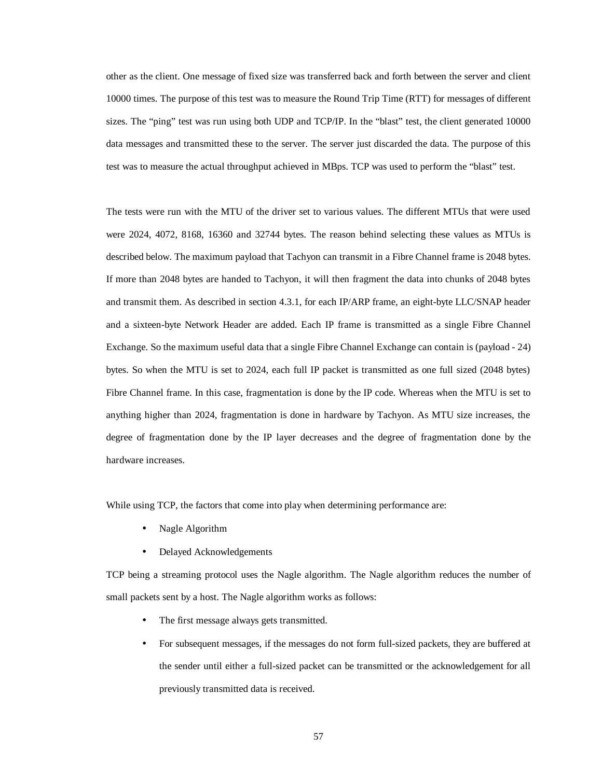other as the client. One message of fixed size was transferred back and forth between the server and client 10000 times. The purpose of this test was to measure the Round Trip Time (RTT) for messages of different sizes. The "ping" test was run using both UDP and TCP/IP. In the "blast" test, the client generated 10000 data messages and transmitted these to the server. The server just discarded the data. The purpose of this test was to measure the actual throughput achieved in MBps. TCP was used to perform the "blast" test.

The tests were run with the MTU of the driver set to various values. The different MTUs that were used were 2024, 4072, 8168, 16360 and 32744 bytes. The reason behind selecting these values as MTUs is described below. The maximum payload that Tachyon can transmit in a Fibre Channel frame is 2048 bytes. If more than 2048 bytes are handed to Tachyon, it will then fragment the data into chunks of 2048 bytes and transmit them. As described in section 4.3.1, for each IP/ARP frame, an eight-byte LLC/SNAP header and a sixteen-byte Network Header are added. Each IP frame is transmitted as a single Fibre Channel Exchange. So the maximum useful data that a single Fibre Channel Exchange can contain is (payload - 24) bytes. So when the MTU is set to 2024, each full IP packet is transmitted as one full sized (2048 bytes) Fibre Channel frame. In this case, fragmentation is done by the IP code. Whereas when the MTU is set to anything higher than 2024, fragmentation is done in hardware by Tachyon. As MTU size increases, the degree of fragmentation done by the IP layer decreases and the degree of fragmentation done by the hardware increases.

While using TCP, the factors that come into play when determining performance are:

- Nagle Algorithm
- Delayed Acknowledgements

TCP being a streaming protocol uses the Nagle algorithm. The Nagle algorithm reduces the number of small packets sent by a host. The Nagle algorithm works as follows:

- The first message always gets transmitted.
- For subsequent messages, if the messages do not form full-sized packets, they are buffered at the sender until either a full-sized packet can be transmitted or the acknowledgement for all previously transmitted data is received.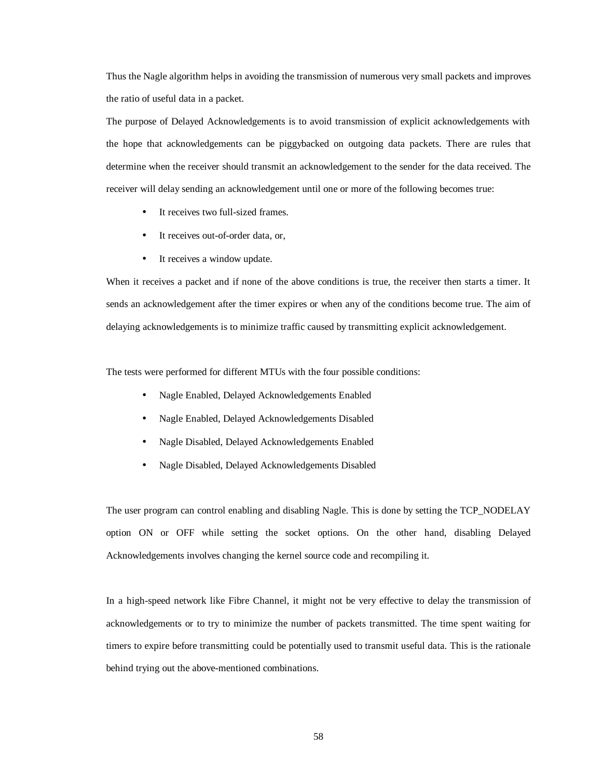Thus the Nagle algorithm helps in avoiding the transmission of numerous very small packets and improves the ratio of useful data in a packet.

The purpose of Delayed Acknowledgements is to avoid transmission of explicit acknowledgements with the hope that acknowledgements can be piggybacked on outgoing data packets. There are rules that determine when the receiver should transmit an acknowledgement to the sender for the data received. The receiver will delay sending an acknowledgement until one or more of the following becomes true:

- It receives two full-sized frames.
- It receives out-of-order data, or,
- It receives a window update.

When it receives a packet and if none of the above conditions is true, the receiver then starts a timer. It sends an acknowledgement after the timer expires or when any of the conditions become true. The aim of delaying acknowledgements is to minimize traffic caused by transmitting explicit acknowledgement.

The tests were performed for different MTUs with the four possible conditions:

- Nagle Enabled, Delayed Acknowledgements Enabled
- Nagle Enabled, Delayed Acknowledgements Disabled
- Nagle Disabled, Delayed Acknowledgements Enabled
- Nagle Disabled, Delayed Acknowledgements Disabled

The user program can control enabling and disabling Nagle. This is done by setting the TCP\_NODELAY option ON or OFF while setting the socket options. On the other hand, disabling Delayed Acknowledgements involves changing the kernel source code and recompiling it.

In a high-speed network like Fibre Channel, it might not be very effective to delay the transmission of acknowledgements or to try to minimize the number of packets transmitted. The time spent waiting for timers to expire before transmitting could be potentially used to transmit useful data. This is the rationale behind trying out the above-mentioned combinations.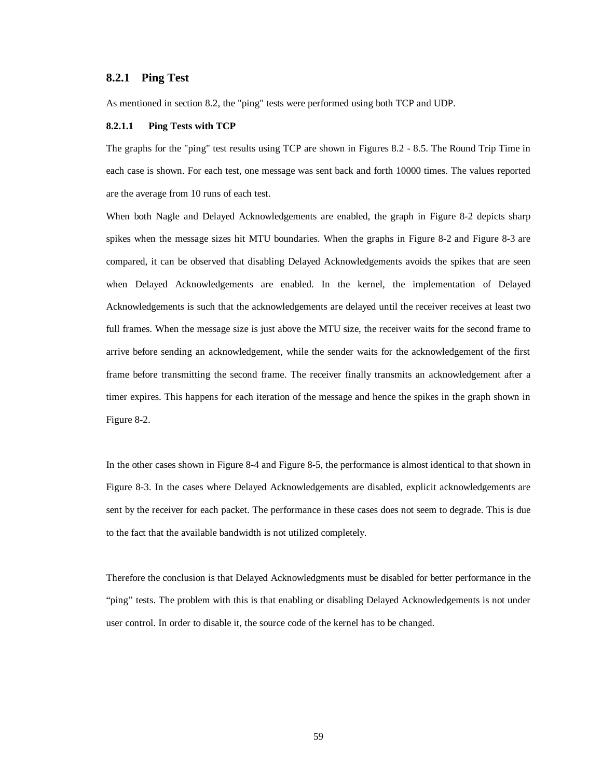#### **8.2.1 Ping Test**

As mentioned in section 8.2, the "ping" tests were performed using both TCP and UDP.

#### **8.2.1.1 Ping Tests with TCP**

The graphs for the "ping" test results using TCP are shown in Figures 8.2 - 8.5. The Round Trip Time in each case is shown. For each test, one message was sent back and forth 10000 times. The values reported are the average from 10 runs of each test.

When both Nagle and Delayed Acknowledgements are enabled, the graph in Figure 8-2 depicts sharp spikes when the message sizes hit MTU boundaries. When the graphs in Figure 8-2 and Figure 8-3 are compared, it can be observed that disabling Delayed Acknowledgements avoids the spikes that are seen when Delayed Acknowledgements are enabled. In the kernel, the implementation of Delayed Acknowledgements is such that the acknowledgements are delayed until the receiver receives at least two full frames. When the message size is just above the MTU size, the receiver waits for the second frame to arrive before sending an acknowledgement, while the sender waits for the acknowledgement of the first frame before transmitting the second frame. The receiver finally transmits an acknowledgement after a timer expires. This happens for each iteration of the message and hence the spikes in the graph shown in Figure 8-2.

In the other cases shown in Figure 8-4 and Figure 8-5, the performance is almost identical to that shown in Figure 8-3. In the cases where Delayed Acknowledgements are disabled, explicit acknowledgements are sent by the receiver for each packet. The performance in these cases does not seem to degrade. This is due to the fact that the available bandwidth is not utilized completely.

Therefore the conclusion is that Delayed Acknowledgments must be disabled for better performance in the "ping" tests. The problem with this is that enabling or disabling Delayed Acknowledgements is not under user control. In order to disable it, the source code of the kernel has to be changed.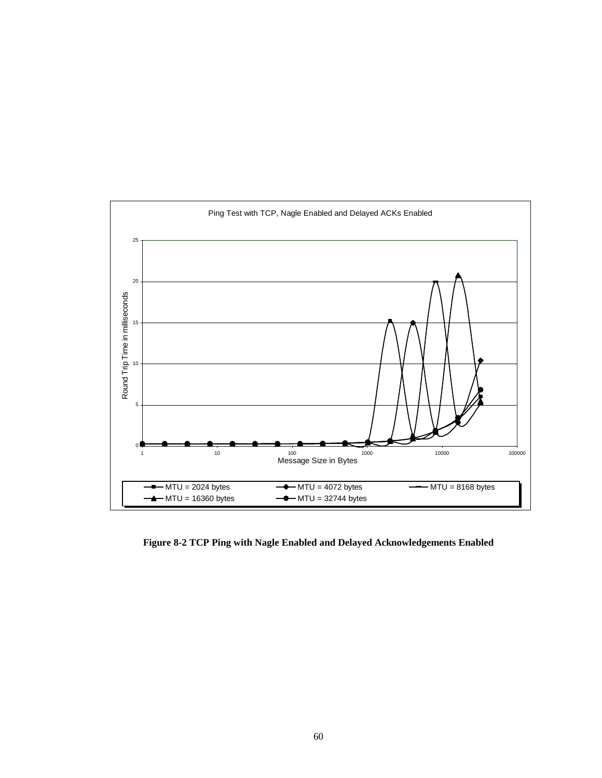

**Figure 8-2 TCP Ping with Nagle Enabled and Delayed Acknowledgements Enabled**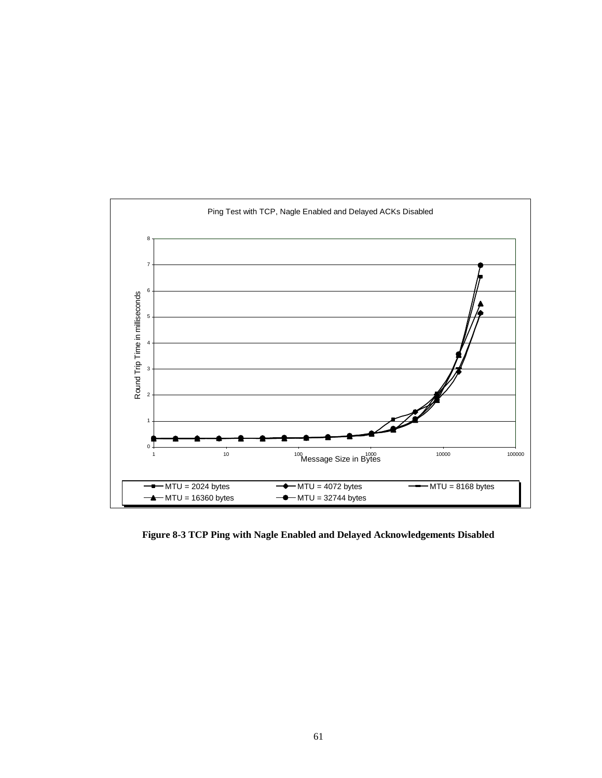

**Figure 8-3 TCP Ping with Nagle Enabled and Delayed Acknowledgements Disabled**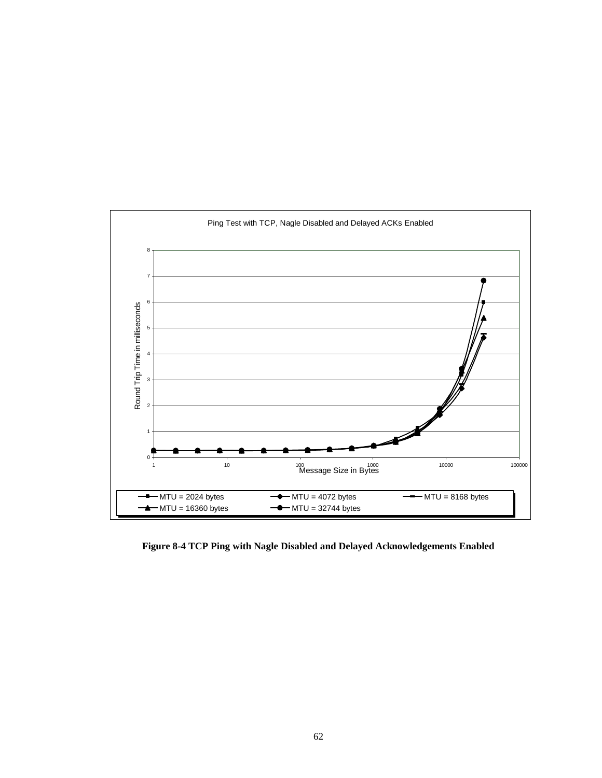

**Figure 8-4 TCP Ping with Nagle Disabled and Delayed Acknowledgements Enabled**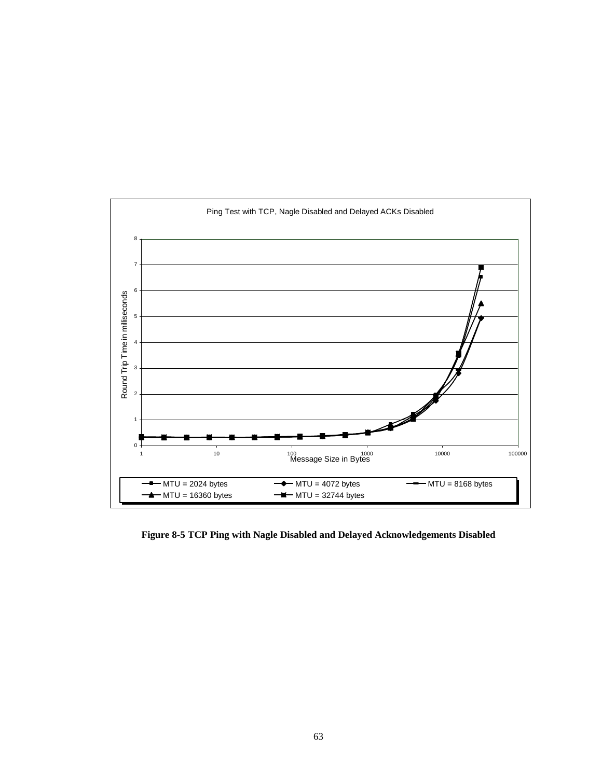

**Figure 8-5 TCP Ping with Nagle Disabled and Delayed Acknowledgements Disabled**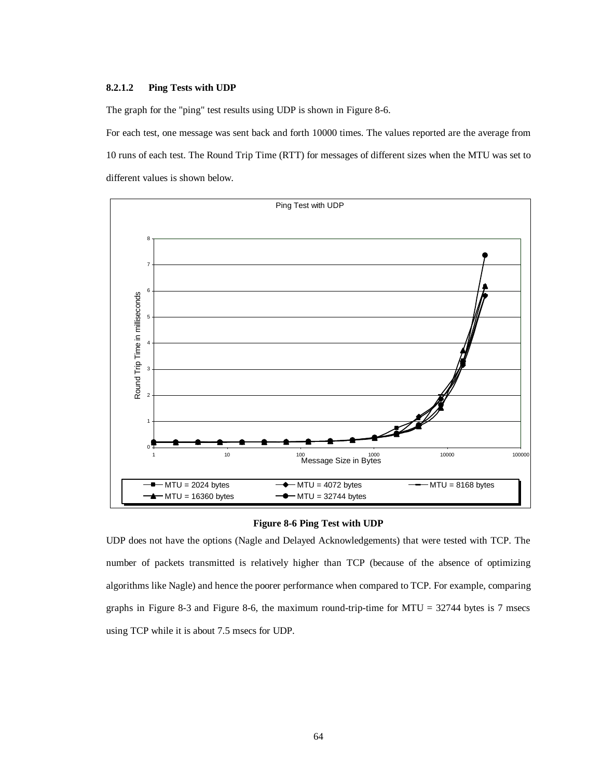#### **8.2.1.2 Ping Tests with UDP**

The graph for the "ping" test results using UDP is shown in Figure 8-6.

For each test, one message was sent back and forth 10000 times. The values reported are the average from 10 runs of each test. The Round Trip Time (RTT) for messages of different sizes when the MTU was set to different values is shown below.



#### **Figure 8-6 Ping Test with UDP**

UDP does not have the options (Nagle and Delayed Acknowledgements) that were tested with TCP. The number of packets transmitted is relatively higher than TCP (because of the absence of optimizing algorithms like Nagle) and hence the poorer performance when compared to TCP. For example, comparing graphs in Figure 8-3 and Figure 8-6, the maximum round-trip-time for MTU = 32744 bytes is 7 msecs using TCP while it is about 7.5 msecs for UDP.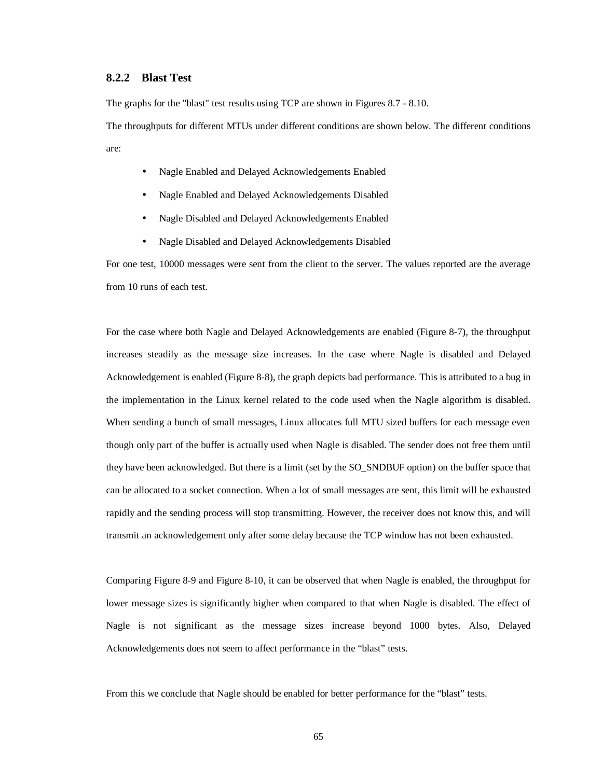### **8.2.2 Blast Test**

The graphs for the "blast" test results using TCP are shown in Figures 8.7 - 8.10.

The throughputs for different MTUs under different conditions are shown below. The different conditions are:

- Nagle Enabled and Delayed Acknowledgements Enabled
- Nagle Enabled and Delayed Acknowledgements Disabled
- Nagle Disabled and Delayed Acknowledgements Enabled
- Nagle Disabled and Delayed Acknowledgements Disabled

For one test, 10000 messages were sent from the client to the server. The values reported are the average from 10 runs of each test.

For the case where both Nagle and Delayed Acknowledgements are enabled (Figure 8-7), the throughput increases steadily as the message size increases. In the case where Nagle is disabled and Delayed Acknowledgement is enabled (Figure 8-8), the graph depicts bad performance. This is attributed to a bug in the implementation in the Linux kernel related to the code used when the Nagle algorithm is disabled. When sending a bunch of small messages, Linux allocates full MTU sized buffers for each message even though only part of the buffer is actually used when Nagle is disabled. The sender does not free them until they have been acknowledged. But there is a limit (set by the SO\_SNDBUF option) on the buffer space that can be allocated to a socket connection. When a lot of small messages are sent, this limit will be exhausted rapidly and the sending process will stop transmitting. However, the receiver does not know this, and will transmit an acknowledgement only after some delay because the TCP window has not been exhausted.

Comparing Figure 8-9 and Figure 8-10, it can be observed that when Nagle is enabled, the throughput for lower message sizes is significantly higher when compared to that when Nagle is disabled. The effect of Nagle is not significant as the message sizes increase beyond 1000 bytes. Also, Delayed Acknowledgements does not seem to affect performance in the "blast" tests.

From this we conclude that Nagle should be enabled for better performance for the "blast" tests.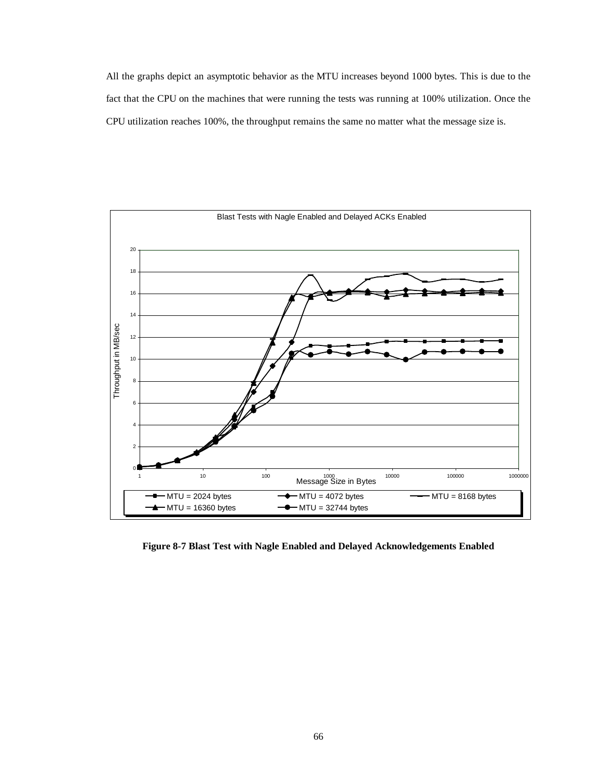All the graphs depict an asymptotic behavior as the MTU increases beyond 1000 bytes. This is due to the fact that the CPU on the machines that were running the tests was running at 100% utilization. Once the CPU utilization reaches 100%, the throughput remains the same no matter what the message size is.



**Figure 8-7 Blast Test with Nagle Enabled and Delayed Acknowledgements Enabled**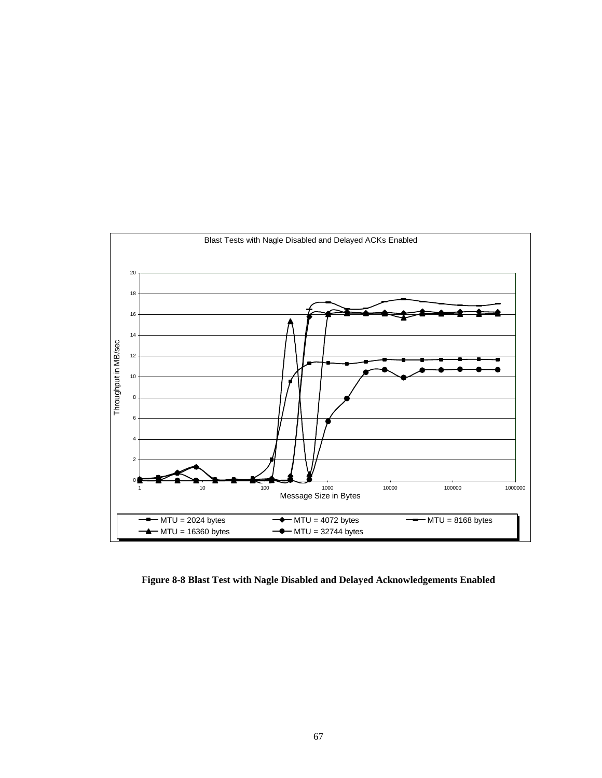

**Figure 8-8 Blast Test with Nagle Disabled and Delayed Acknowledgements Enabled**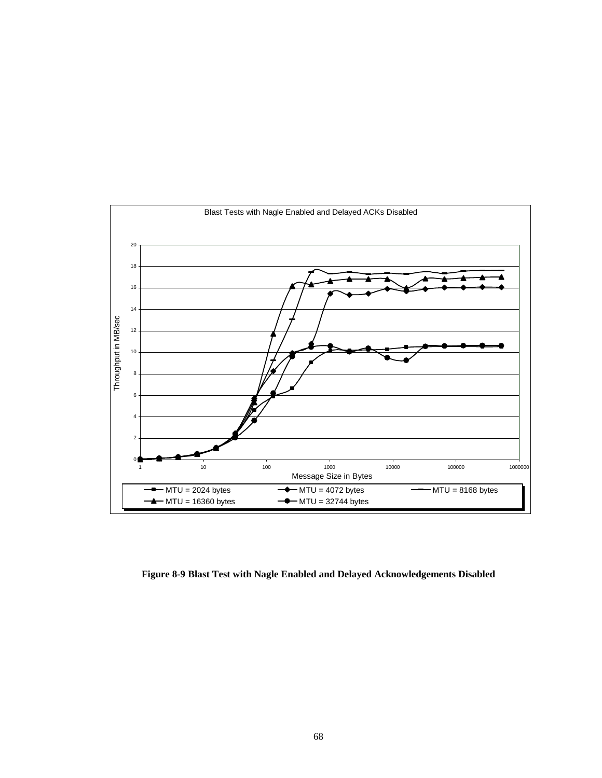

**Figure 8-9 Blast Test with Nagle Enabled and Delayed Acknowledgements Disabled**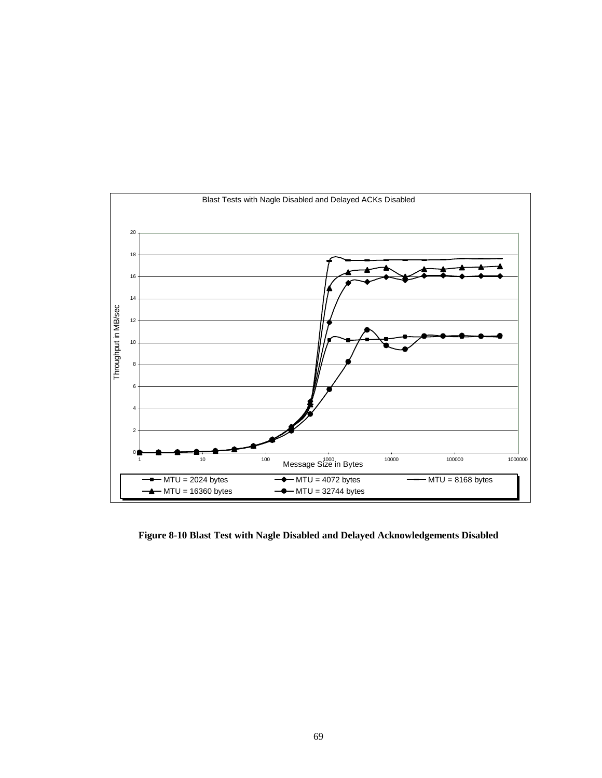

**Figure 8-10 Blast Test with Nagle Disabled and Delayed Acknowledgements Disabled**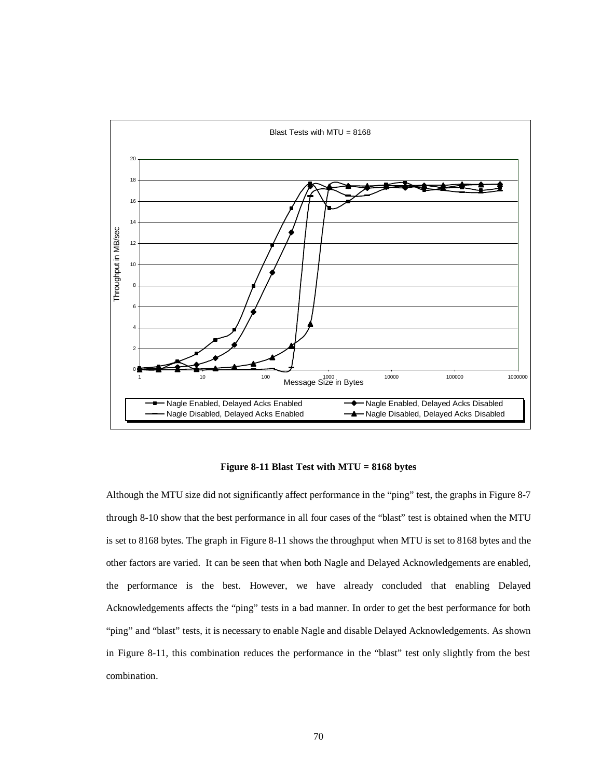

**Figure 8-11 Blast Test with MTU = 8168 bytes**

Although the MTU size did not significantly affect performance in the "ping" test, the graphs in Figure 8-7 through 8-10 show that the best performance in all four cases of the "blast" test is obtained when the MTU is set to 8168 bytes. The graph in Figure 8-11 shows the throughput when MTU is set to 8168 bytes and the other factors are varied. It can be seen that when both Nagle and Delayed Acknowledgements are enabled, the performance is the best. However, we have already concluded that enabling Delayed Acknowledgements affects the "ping" tests in a bad manner. In order to get the best performance for both "ping" and "blast" tests, it is necessary to enable Nagle and disable Delayed Acknowledgements. As shown in Figure 8-11, this combination reduces the performance in the "blast" test only slightly from the best combination.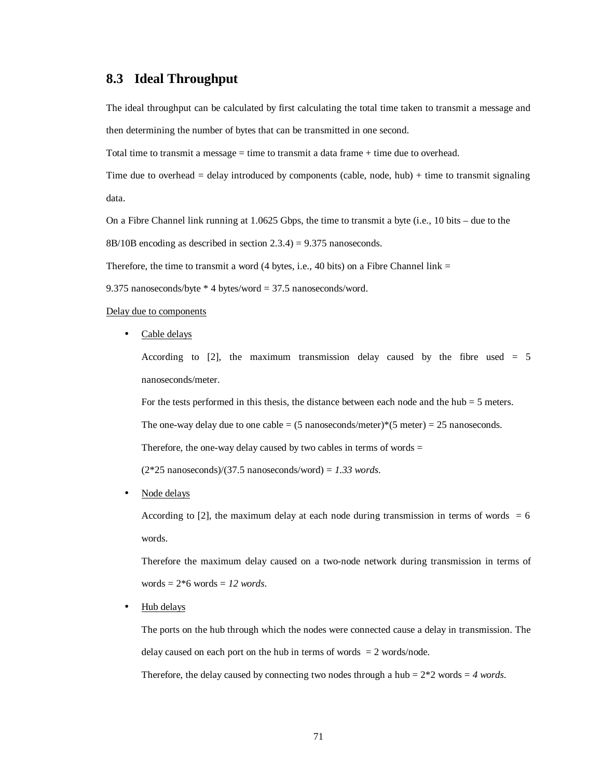## **8.3 Ideal Throughput**

The ideal throughput can be calculated by first calculating the total time taken to transmit a message and then determining the number of bytes that can be transmitted in one second.

Total time to transmit a message = time to transmit a data frame + time due to overhead.

Time due to overhead  $=$  delay introduced by components (cable, node, hub)  $+$  time to transmit signaling data.

On a Fibre Channel link running at 1.0625 Gbps, the time to transmit a byte (i.e., 10 bits – due to the

8B/10B encoding as described in section 2.3.4) = 9.375 nanoseconds.

Therefore, the time to transmit a word  $(4 \text{ bytes}, i.e., 40 \text{ bits})$  on a Fibre Channel link =

9.375 nanoseconds/byte \* 4 bytes/word = 37.5 nanoseconds/word.

#### Delay due to components

• Cable delays

According to  $[2]$ , the maximum transmission delay caused by the fibre used = 5 nanoseconds/meter.

For the tests performed in this thesis, the distance between each node and the hub  $=$  5 meters.

The one-way delay due to one cable =  $(5 \text{ nanoseconds/meter})*(5 \text{ meter}) = 25 \text{ nanoseconds.}$ 

Therefore, the one-way delay caused by two cables in terms of words  $=$ 

(2\*25 nanoseconds)/(37.5 nanoseconds/word) = *1.33 words*.

• Node delays

According to [2], the maximum delay at each node during transmission in terms of words  $= 6$ words.

Therefore the maximum delay caused on a two-node network during transmission in terms of words = 2\*6 words = *12 words*.

• Hub delays

The ports on the hub through which the nodes were connected cause a delay in transmission. The delay caused on each port on the hub in terms of words  $= 2$  words/node.

Therefore, the delay caused by connecting two nodes through a hub  $= 2*2$  words  $= 4$  *words*.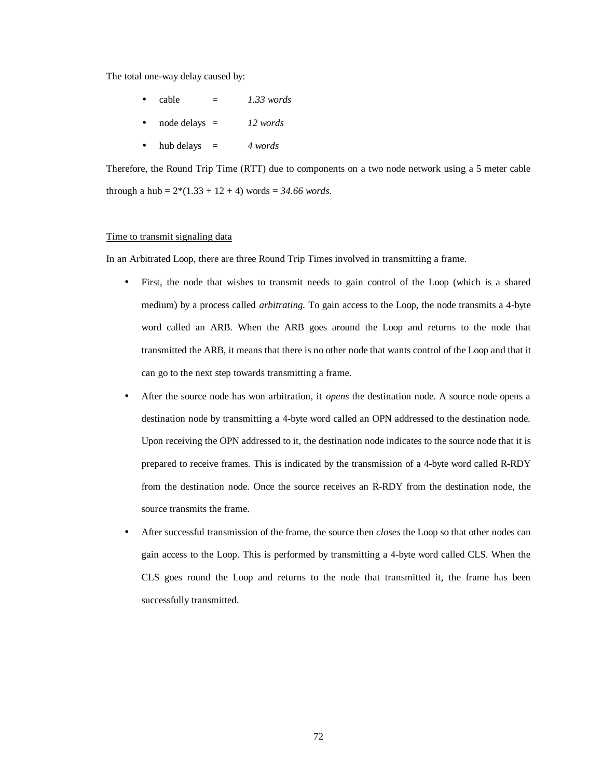The total one-way delay caused by:

- $cable = 1.33 words$
- node delays = *12 words*
- hub delays = *4 words*

Therefore, the Round Trip Time (RTT) due to components on a two node network using a 5 meter cable through a hub =  $2*(1.33 + 12 + 4)$  words = 34.66 words.

#### Time to transmit signaling data

In an Arbitrated Loop, there are three Round Trip Times involved in transmitting a frame.

- First, the node that wishes to transmit needs to gain control of the Loop (which is a shared medium) by a process called *arbitrating.* To gain access to the Loop, the node transmits a 4-byte word called an ARB. When the ARB goes around the Loop and returns to the node that transmitted the ARB, it means that there is no other node that wants control of the Loop and that it can go to the next step towards transmitting a frame.
- After the source node has won arbitration, it *opens* the destination node. A source node opens a destination node by transmitting a 4-byte word called an OPN addressed to the destination node. Upon receiving the OPN addressed to it, the destination node indicates to the source node that it is prepared to receive frames. This is indicated by the transmission of a 4-byte word called R-RDY from the destination node. Once the source receives an R-RDY from the destination node, the source transmits the frame.
- After successful transmission of the frame, the source then *closes* the Loop so that other nodes can gain access to the Loop. This is performed by transmitting a 4-byte word called CLS. When the CLS goes round the Loop and returns to the node that transmitted it, the frame has been successfully transmitted.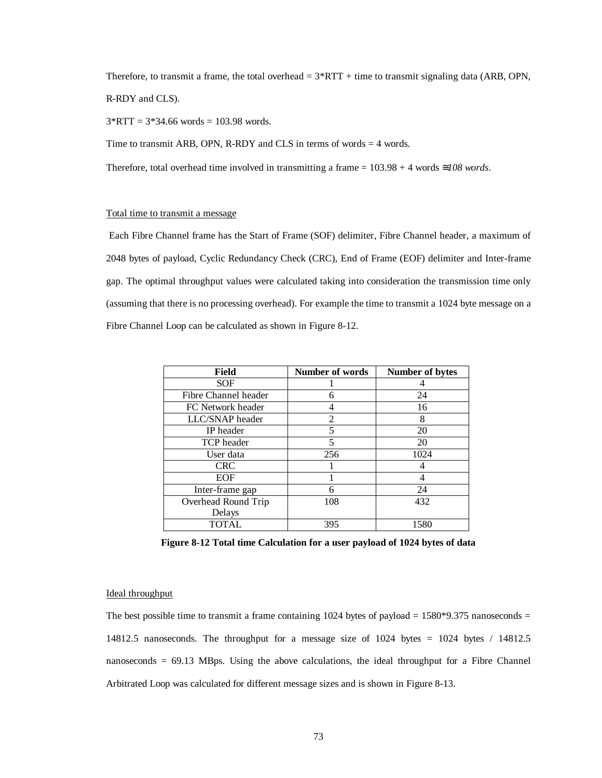Therefore, to transmit a frame, the total overhead  $= 3*RTT +$  time to transmit signaling data (ARB, OPN, R-RDY and CLS).

 $3*RTT = 3*34.66$  words = 103.98 words.

Time to transmit ARB, OPN, R-RDY and CLS in terms of words  $=$  4 words.

Therefore, total overhead time involved in transmitting a frame = 103.98 + 4 words ≅*108 words*.

#### Total time to transmit a message

 Each Fibre Channel frame has the Start of Frame (SOF) delimiter, Fibre Channel header, a maximum of 2048 bytes of payload, Cyclic Redundancy Check (CRC), End of Frame (EOF) delimiter and Inter-frame gap. The optimal throughput values were calculated taking into consideration the transmission time only (assuming that there is no processing overhead). For example the time to transmit a 1024 byte message on a Fibre Channel Loop can be calculated as shown in Figure 8-12.

| <b>Field</b>         | <b>Number of words</b> | <b>Number of bytes</b> |
|----------------------|------------------------|------------------------|
| <b>SOF</b>           |                        |                        |
| Fibre Channel header |                        | 24                     |
| FC Network header    |                        | 16                     |
| LLC/SNAP header      | 2                      | 8                      |
| IP header            | 5                      | 20                     |
| <b>TCP</b> header    | 5                      | 20                     |
| User data            | 256                    | 1024                   |
| <b>CRC</b>           |                        |                        |
| <b>EOF</b>           |                        |                        |
| Inter-frame gap      | 6                      | 24                     |
| Overhead Round Trip  | 108                    | 432                    |
| Delays               |                        |                        |
| TOTAL                | 395                    | 1580                   |

**Figure 8-12 Total time Calculation for a user payload of 1024 bytes of data**

#### Ideal throughput

The best possible time to transmit a frame containing 1024 bytes of payload  $= 1580*9.375$  nanoseconds  $=$ 14812.5 nanoseconds. The throughput for a message size of  $1024$  bytes  $= 1024$  bytes  $/ 14812.5$ nanoseconds = 69.13 MBps. Using the above calculations, the ideal throughput for a Fibre Channel Arbitrated Loop was calculated for different message sizes and is shown in Figure 8-13.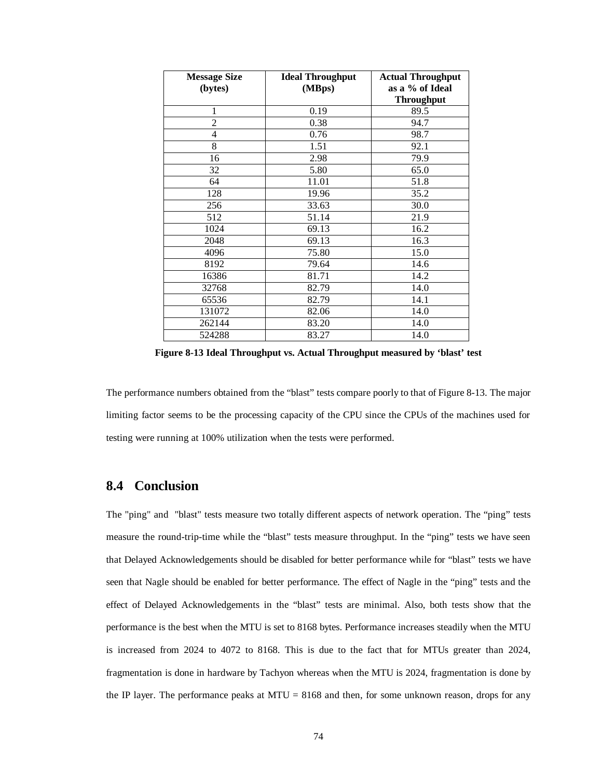| <b>Message Size</b> | <b>Ideal Throughput</b> | <b>Actual Throughput</b> |
|---------------------|-------------------------|--------------------------|
| (bytes)             | (MBps)                  | as a % of Ideal          |
|                     |                         | <b>Throughput</b>        |
| 1                   | 0.19                    | 89.5                     |
| $\overline{c}$      | 0.38                    | 94.7                     |
| $\overline{4}$      | 0.76                    | 98.7                     |
| 8                   | 1.51                    | 92.1                     |
| 16                  | 2.98                    | 79.9                     |
| 32                  | 5.80                    | 65.0                     |
| 64                  | 11.01                   | 51.8                     |
| 128                 | 19.96                   | 35.2                     |
| 256                 | 33.63                   | 30.0                     |
| 512                 | 51.14                   | 21.9                     |
| 1024                | 69.13                   | 16.2                     |
| 2048                | 69.13                   | 16.3                     |
| 4096                | 75.80                   | 15.0                     |
| 8192                | 79.64                   | 14.6                     |
| 16386               | 81.71                   | 14.2                     |
| 32768               | 82.79                   | 14.0                     |
| 65536               | 82.79                   | 14.1                     |
| 131072              | 82.06                   | 14.0                     |
| 262144              | 83.20                   | 14.0                     |
| 524288              | 83.27                   | 14.0                     |

**Figure 8-13 Ideal Throughput vs. Actual Throughput measured by 'blast' test**

The performance numbers obtained from the "blast" tests compare poorly to that of Figure 8-13. The major limiting factor seems to be the processing capacity of the CPU since the CPUs of the machines used for testing were running at 100% utilization when the tests were performed.

### **8.4 Conclusion**

The "ping" and "blast" tests measure two totally different aspects of network operation. The "ping" tests measure the round-trip-time while the "blast" tests measure throughput. In the "ping" tests we have seen that Delayed Acknowledgements should be disabled for better performance while for "blast" tests we have seen that Nagle should be enabled for better performance. The effect of Nagle in the "ping" tests and the effect of Delayed Acknowledgements in the "blast" tests are minimal. Also, both tests show that the performance is the best when the MTU is set to 8168 bytes. Performance increases steadily when the MTU is increased from 2024 to 4072 to 8168. This is due to the fact that for MTUs greater than 2024, fragmentation is done in hardware by Tachyon whereas when the MTU is 2024, fragmentation is done by the IP layer. The performance peaks at  $MTU = 8168$  and then, for some unknown reason, drops for any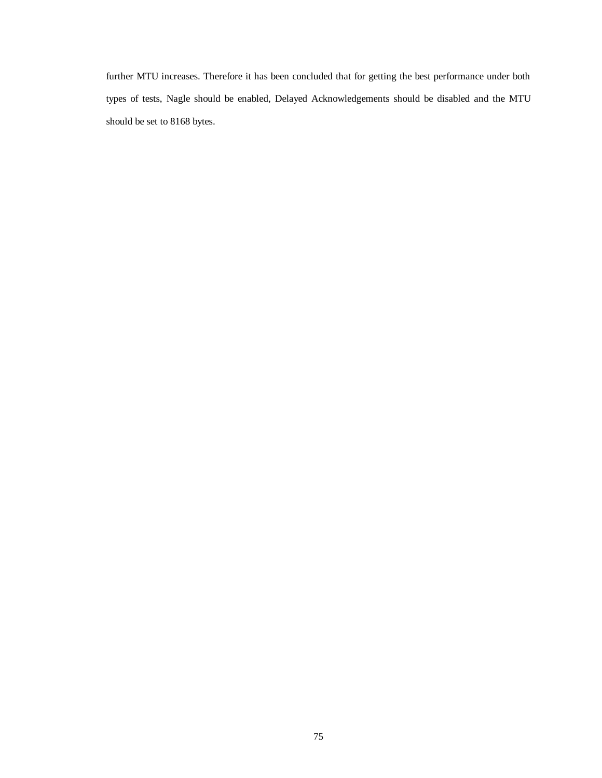further MTU increases. Therefore it has been concluded that for getting the best performance under both types of tests, Nagle should be enabled, Delayed Acknowledgements should be disabled and the MTU should be set to 8168 bytes.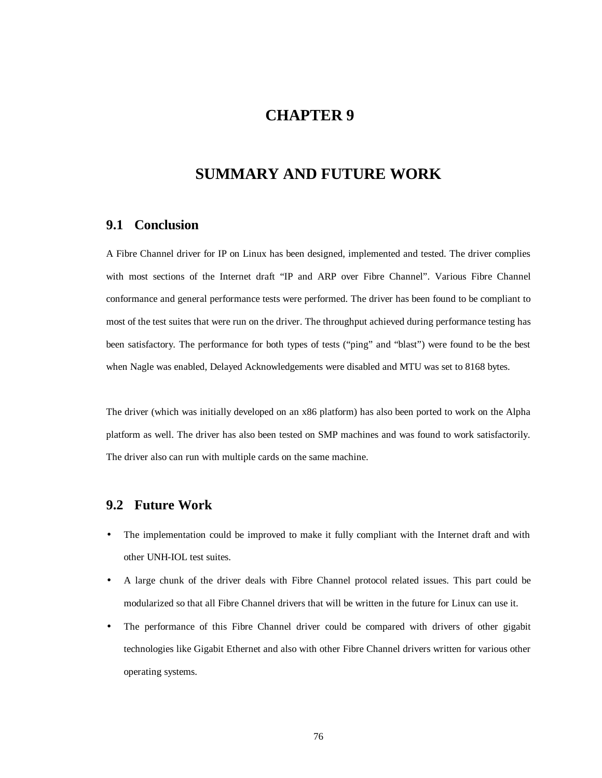## **CHAPTER 9**

## **SUMMARY AND FUTURE WORK**

### **9.1 Conclusion**

A Fibre Channel driver for IP on Linux has been designed, implemented and tested. The driver complies with most sections of the Internet draft "IP and ARP over Fibre Channel". Various Fibre Channel conformance and general performance tests were performed. The driver has been found to be compliant to most of the test suites that were run on the driver. The throughput achieved during performance testing has been satisfactory. The performance for both types of tests ("ping" and "blast") were found to be the best when Nagle was enabled, Delayed Acknowledgements were disabled and MTU was set to 8168 bytes.

The driver (which was initially developed on an x86 platform) has also been ported to work on the Alpha platform as well. The driver has also been tested on SMP machines and was found to work satisfactorily. The driver also can run with multiple cards on the same machine.

### **9.2 Future Work**

- The implementation could be improved to make it fully compliant with the Internet draft and with other UNH-IOL test suites.
- A large chunk of the driver deals with Fibre Channel protocol related issues. This part could be modularized so that all Fibre Channel drivers that will be written in the future for Linux can use it.
- The performance of this Fibre Channel driver could be compared with drivers of other gigabit technologies like Gigabit Ethernet and also with other Fibre Channel drivers written for various other operating systems.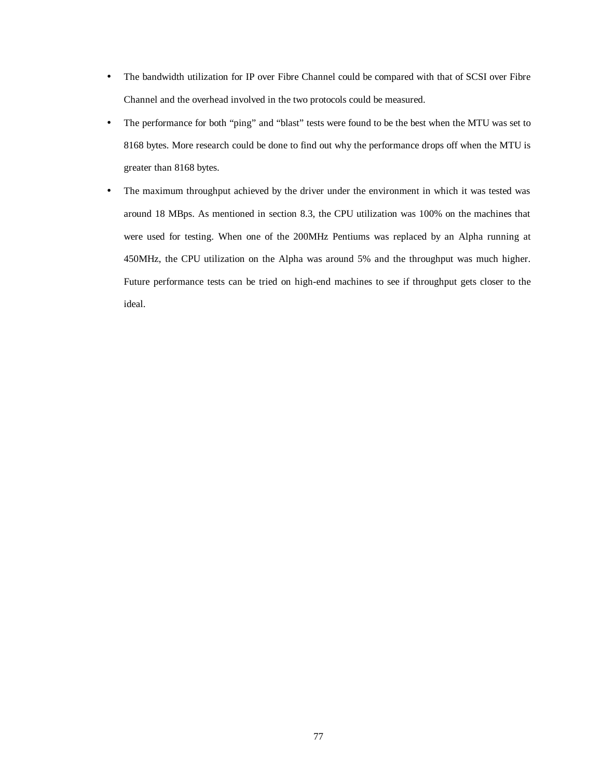- The bandwidth utilization for IP over Fibre Channel could be compared with that of SCSI over Fibre Channel and the overhead involved in the two protocols could be measured.
- The performance for both "ping" and "blast" tests were found to be the best when the MTU was set to 8168 bytes. More research could be done to find out why the performance drops off when the MTU is greater than 8168 bytes.
- The maximum throughput achieved by the driver under the environment in which it was tested was around 18 MBps. As mentioned in section 8.3, the CPU utilization was 100% on the machines that were used for testing. When one of the 200MHz Pentiums was replaced by an Alpha running at 450MHz, the CPU utilization on the Alpha was around 5% and the throughput was much higher. Future performance tests can be tried on high-end machines to see if throughput gets closer to the ideal.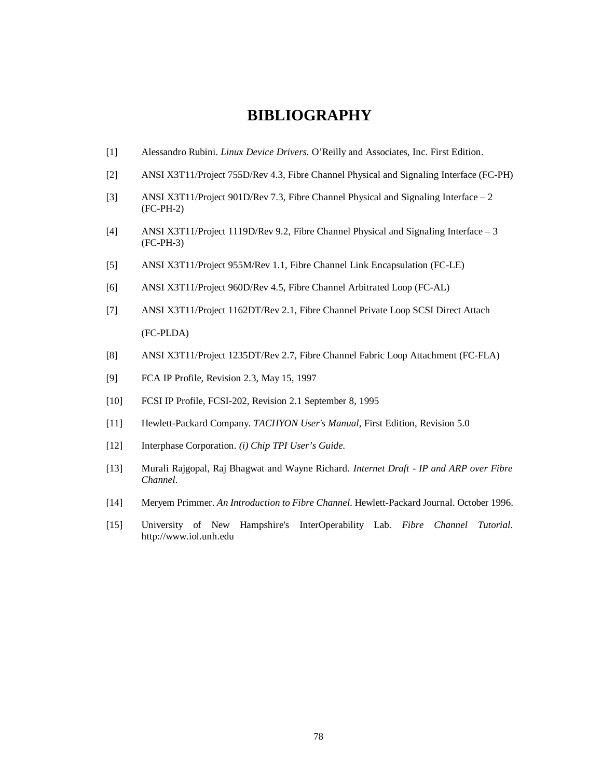## **BIBLIOGRAPHY**

- [1] Alessandro Rubini. *Linux Device Drivers.* O'Reilly and Associates, Inc. First Edition.
- [2] ANSI X3T11/Project 755D/Rev 4.3, Fibre Channel Physical and Signaling Interface (FC-PH)
- [3] ANSI X3T11/Project 901D/Rev 7.3, Fibre Channel Physical and Signaling Interface 2 (FC-PH-2)
- [4] ANSI X3T11/Project 1119D/Rev 9.2, Fibre Channel Physical and Signaling Interface 3 (FC-PH-3)
- [5] ANSI X3T11/Project 955M/Rev 1.1, Fibre Channel Link Encapsulation (FC-LE)
- [6] ANSI X3T11/Project 960D/Rev 4.5, Fibre Channel Arbitrated Loop (FC-AL)
- [7] ANSI X3T11/Project 1162DT/Rev 2.1, Fibre Channel Private Loop SCSI Direct Attach (FC-PLDA)
- [8] ANSI X3T11/Project 1235DT/Rev 2.7, Fibre Channel Fabric Loop Attachment (FC-FLA)
- [9] FCA IP Profile, Revision 2.3, May 15, 1997
- [10] FCSI IP Profile, FCSI-202, Revision 2.1 September 8, 1995
- [11] Hewlett-Packard Company. *TACHYON User's Manual*, First Edition, Revision 5.0
- [12] Interphase Corporation. *(i) Chip TPI User's Guide.*
- [13] Murali Rajgopal, Raj Bhagwat and Wayne Richard. *Internet Draft IP and ARP over Fibre Channel*.
- [14] Meryem Primmer. *An Introduction to Fibre Channel.* Hewlett-Packard Journal. October 1996.
- [15] University of New Hampshire's InterOperability Lab. *Fibre Channel Tutorial*. http://www.iol.unh.edu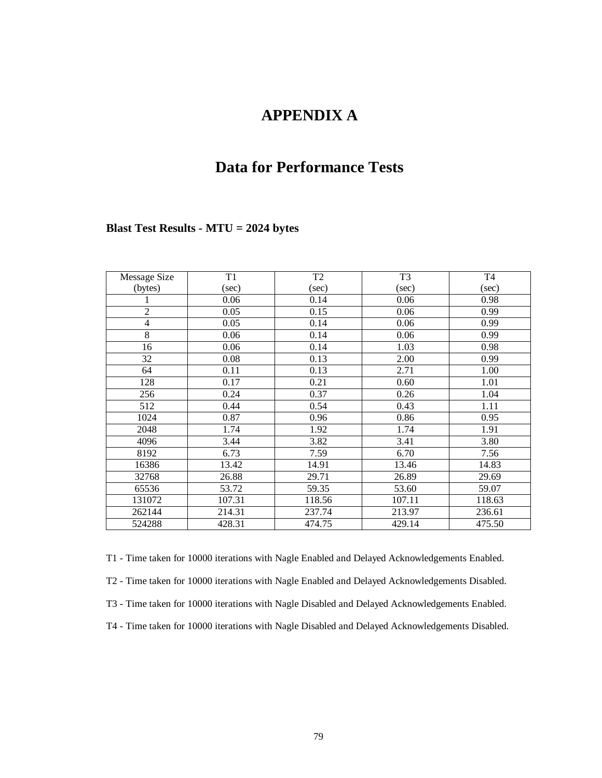# **APPENDIX A**

# **Data for Performance Tests**

### **Blast Test Results - MTU = 2024 bytes**

| Message Size   | T1     | T <sub>2</sub> | T <sub>3</sub> | T <sub>4</sub> |
|----------------|--------|----------------|----------------|----------------|
| (bytes)        | (sec)  | (sec)          | (sec)          | (sec)          |
|                | 0.06   | 0.14           | 0.06           | 0.98           |
| $\overline{2}$ | 0.05   | 0.15           | 0.06           | 0.99           |
| $\overline{4}$ | 0.05   | 0.14           | 0.06           | 0.99           |
| 8              | 0.06   | 0.14           | 0.06           | 0.99           |
| 16             | 0.06   | 0.14           | 1.03           | 0.98           |
| 32             | 0.08   | 0.13           | 2.00           | 0.99           |
| 64             | 0.11   | 0.13           | 2.71           | 1.00           |
| 128            | 0.17   | 0.21           | 0.60           | 1.01           |
| 256            | 0.24   | 0.37           | 0.26           | 1.04           |
| 512            | 0.44   | 0.54           | 0.43           | 1.11           |
| 1024           | 0.87   | 0.96           | 0.86           | 0.95           |
| 2048           | 1.74   | 1.92           | 1.74           | 1.91           |
| 4096           | 3.44   | 3.82           | 3.41           | 3.80           |
| 8192           | 6.73   | 7.59           | 6.70           | 7.56           |
| 16386          | 13.42  | 14.91          | 13.46          | 14.83          |
| 32768          | 26.88  | 29.71          | 26.89          | 29.69          |
| 65536          | 53.72  | 59.35          | 53.60          | 59.07          |
| 131072         | 107.31 | 118.56         | 107.11         | 118.63         |
| 262144         | 214.31 | 237.74         | 213.97         | 236.61         |
| 524288         | 428.31 | 474.75         | 429.14         | 475.50         |

T1 - Time taken for 10000 iterations with Nagle Enabled and Delayed Acknowledgements Enabled. T2 - Time taken for 10000 iterations with Nagle Enabled and Delayed Acknowledgements Disabled. T3 - Time taken for 10000 iterations with Nagle Disabled and Delayed Acknowledgements Enabled. T4 - Time taken for 10000 iterations with Nagle Disabled and Delayed Acknowledgements Disabled.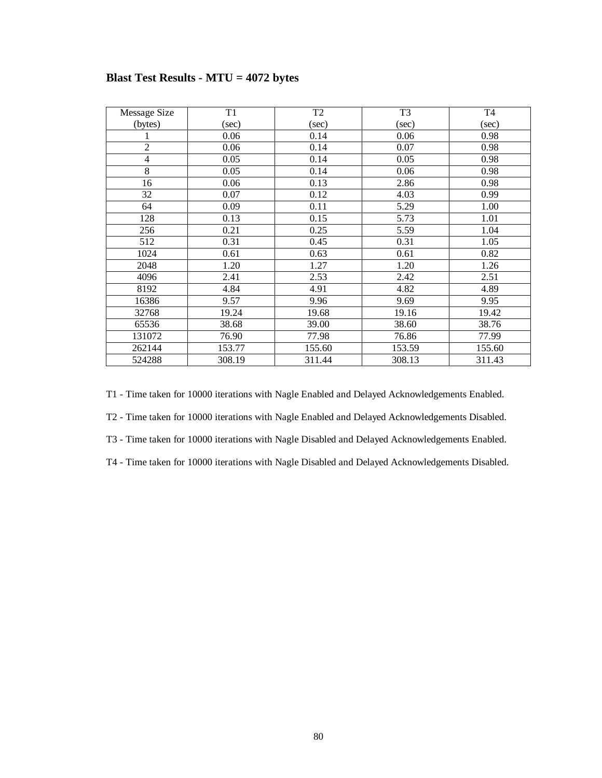| Message Size             | T1     | T <sub>2</sub> | T <sub>3</sub> | T <sub>4</sub> |
|--------------------------|--------|----------------|----------------|----------------|
| (bytes)                  | (sec)  | $(\sec)$       | (sec)          | (sec)          |
|                          | 0.06   | 0.14           | 0.06           | 0.98           |
| $\overline{2}$           | 0.06   | 0.14           | 0.07           | 0.98           |
| $\overline{\mathcal{L}}$ | 0.05   | 0.14           | 0.05           | 0.98           |
| 8                        | 0.05   | 0.14           | 0.06           | 0.98           |
| 16                       | 0.06   | 0.13           | 2.86           | 0.98           |
| 32                       | 0.07   | 0.12           | 4.03           | 0.99           |
| 64                       | 0.09   | 0.11           | 5.29           | 1.00           |
| 128                      | 0.13   | 0.15           | 5.73           | 1.01           |
| 256                      | 0.21   | 0.25           | 5.59           | 1.04           |
| 512                      | 0.31   | 0.45           | 0.31           | 1.05           |
| 1024                     | 0.61   | 0.63           | 0.61           | 0.82           |
| 2048                     | 1.20   | 1.27           | 1.20           | 1.26           |
| 4096                     | 2.41   | 2.53           | 2.42           | 2.51           |
| 8192                     | 4.84   | 4.91           | 4.82           | 4.89           |
| 16386                    | 9.57   | 9.96           | 9.69           | 9.95           |
| 32768                    | 19.24  | 19.68          | 19.16          | 19.42          |
| 65536                    | 38.68  | 39.00          | 38.60          | 38.76          |
| 131072                   | 76.90  | 77.98          | 76.86          | 77.99          |
| 262144                   | 153.77 | 155.60         | 153.59         | 155.60         |
| 524288                   | 308.19 | 311.44         | 308.13         | 311.43         |

## **Blast Test Results - MTU = 4072 bytes**

T1 - Time taken for 10000 iterations with Nagle Enabled and Delayed Acknowledgements Enabled.

T2 - Time taken for 10000 iterations with Nagle Enabled and Delayed Acknowledgements Disabled.

T3 - Time taken for 10000 iterations with Nagle Disabled and Delayed Acknowledgements Enabled.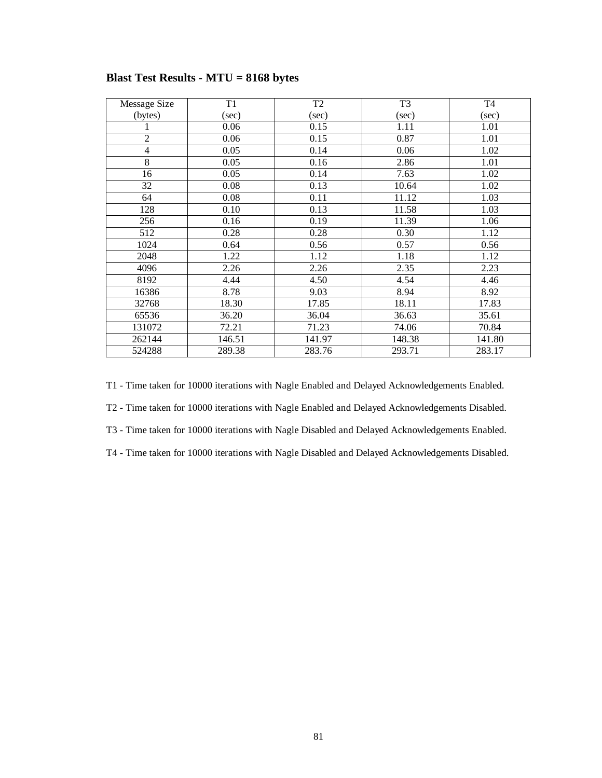| Message Size   | T1     | T <sub>2</sub> | T <sub>3</sub> | T <sub>4</sub> |
|----------------|--------|----------------|----------------|----------------|
| (bytes)        | (sec)  | (sec)          | (sec)          | (sec)          |
|                | 0.06   | 0.15           | 1.11           | 1.01           |
| 2              | 0.06   | 0.15           | 0.87           | 1.01           |
| $\overline{4}$ | 0.05   | 0.14           | 0.06           | 1.02           |
| 8              | 0.05   | 0.16           | 2.86           | 1.01           |
| 16             | 0.05   | 0.14           | 7.63           | 1.02           |
| 32             | 0.08   | 0.13           | 10.64          | 1.02           |
| 64             | 0.08   | 0.11           | 11.12          | 1.03           |
| 128            | 0.10   | 0.13           | 11.58          | 1.03           |
| 256            | 0.16   | 0.19           | 11.39          | 1.06           |
| 512            | 0.28   | 0.28           | 0.30           | 1.12           |
| 1024           | 0.64   | 0.56           | 0.57           | 0.56           |
| 2048           | 1.22   | 1.12           | 1.18           | 1.12           |
| 4096           | 2.26   | 2.26           | 2.35           | 2.23           |
| 8192           | 4.44   | 4.50           | 4.54           | 4.46           |
| 16386          | 8.78   | 9.03           | 8.94           | 8.92           |
| 32768          | 18.30  | 17.85          | 18.11          | 17.83          |
| 65536          | 36.20  | 36.04          | 36.63          | 35.61          |
| 131072         | 72.21  | 71.23          | 74.06          | 70.84          |
| 262144         | 146.51 | 141.97         | 148.38         | 141.80         |
| 524288         | 289.38 | 283.76         | 293.71         | 283.17         |

### **Blast Test Results - MTU = 8168 bytes**

T1 - Time taken for 10000 iterations with Nagle Enabled and Delayed Acknowledgements Enabled.

T2 - Time taken for 10000 iterations with Nagle Enabled and Delayed Acknowledgements Disabled.

T3 - Time taken for 10000 iterations with Nagle Disabled and Delayed Acknowledgements Enabled.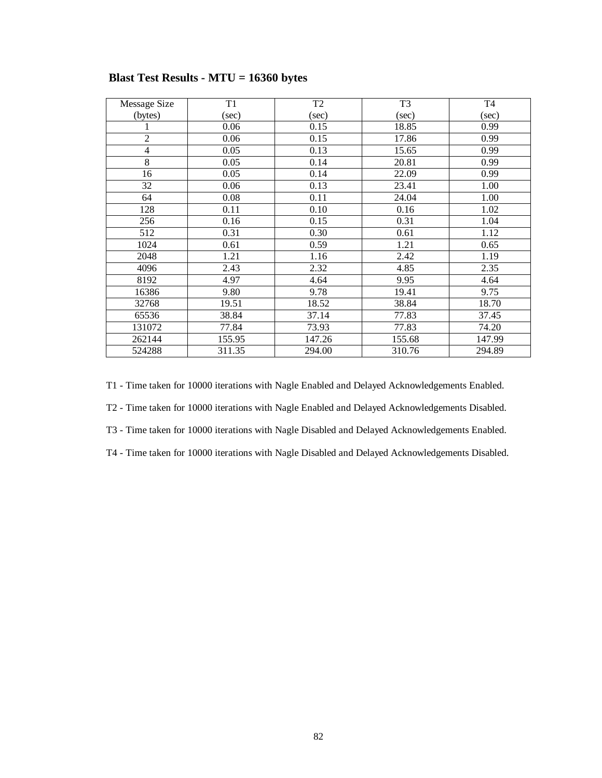| Message Size   | T1     | T <sub>2</sub> | T <sub>3</sub> | T <sub>4</sub> |
|----------------|--------|----------------|----------------|----------------|
| (bytes)        | (sec)  | (sec)          | (sec)          | (sec)          |
|                | 0.06   | 0.15           | 18.85          | 0.99           |
| $\overline{2}$ | 0.06   | 0.15           | 17.86          | 0.99           |
| $\overline{4}$ | 0.05   | 0.13           | 15.65          | 0.99           |
| 8              | 0.05   | 0.14           | 20.81          | 0.99           |
| 16             | 0.05   | 0.14           | 22.09          | 0.99           |
| 32             | 0.06   | 0.13           | 23.41          | 1.00           |
| 64             | 0.08   | 0.11           | 24.04          | 1.00           |
| 128            | 0.11   | 0.10           | 0.16           | 1.02           |
| 256            | 0.16   | 0.15           | 0.31           | 1.04           |
| 512            | 0.31   | 0.30           | 0.61           | 1.12           |
| 1024           | 0.61   | 0.59           | 1.21           | 0.65           |
| 2048           | 1.21   | 1.16           | 2.42           | 1.19           |
| 4096           | 2.43   | 2.32           | 4.85           | 2.35           |
| 8192           | 4.97   | 4.64           | 9.95           | 4.64           |
| 16386          | 9.80   | 9.78           | 19.41          | 9.75           |
| 32768          | 19.51  | 18.52          | 38.84          | 18.70          |
| 65536          | 38.84  | 37.14          | 77.83          | 37.45          |
| 131072         | 77.84  | 73.93          | 77.83          | 74.20          |
| 262144         | 155.95 | 147.26         | 155.68         | 147.99         |
| 524288         | 311.35 | 294.00         | 310.76         | 294.89         |

### **Blast Test Results - MTU = 16360 bytes**

T1 - Time taken for 10000 iterations with Nagle Enabled and Delayed Acknowledgements Enabled.

T2 - Time taken for 10000 iterations with Nagle Enabled and Delayed Acknowledgements Disabled.

T3 - Time taken for 10000 iterations with Nagle Disabled and Delayed Acknowledgements Enabled.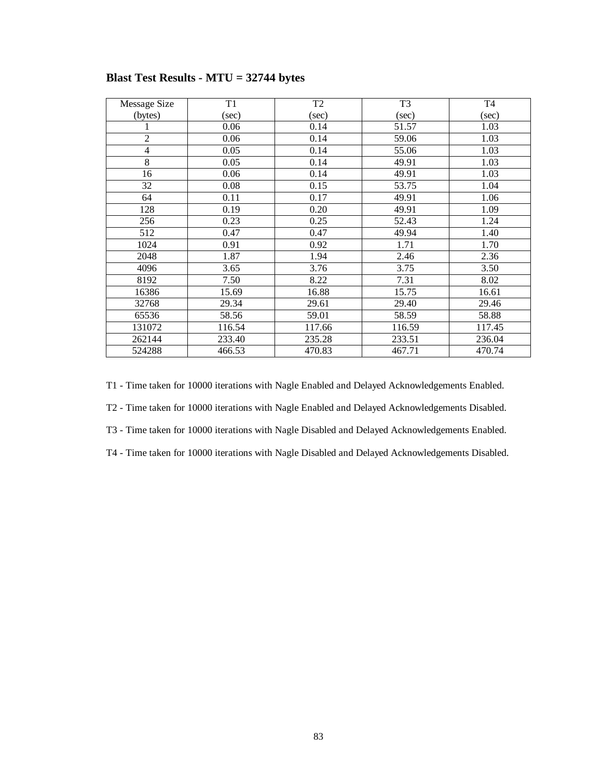| Message Size   | T1     | T <sub>2</sub> | T <sub>3</sub> | T <sub>4</sub> |
|----------------|--------|----------------|----------------|----------------|
| (bytes)        | (sec)  | (sec)          | (sec)          | (sec)          |
|                | 0.06   | 0.14           | 51.57          | 1.03           |
| $\overline{c}$ | 0.06   | 0.14           | 59.06          | 1.03           |
| $\overline{4}$ | 0.05   | 0.14           | 55.06          | 1.03           |
| 8              | 0.05   | 0.14           | 49.91          | 1.03           |
| 16             | 0.06   | 0.14           | 49.91          | 1.03           |
| 32             | 0.08   | 0.15           | 53.75          | 1.04           |
| 64             | 0.11   | 0.17           | 49.91          | 1.06           |
| 128            | 0.19   | 0.20           | 49.91          | 1.09           |
| 256            | 0.23   | 0.25           | 52.43          | 1.24           |
| 512            | 0.47   | 0.47           | 49.94          | 1.40           |
| 1024           | 0.91   | 0.92           | 1.71           | 1.70           |
| 2048           | 1.87   | 1.94           | 2.46           | 2.36           |
| 4096           | 3.65   | 3.76           | 3.75           | 3.50           |
| 8192           | 7.50   | 8.22           | 7.31           | 8.02           |
| 16386          | 15.69  | 16.88          | 15.75          | 16.61          |
| 32768          | 29.34  | 29.61          | 29.40          | 29.46          |
| 65536          | 58.56  | 59.01          | 58.59          | 58.88          |
| 131072         | 116.54 | 117.66         | 116.59         | 117.45         |
| 262144         | 233.40 | 235.28         | 233.51         | 236.04         |
| 524288         | 466.53 | 470.83         | 467.71         | 470.74         |

## **Blast Test Results - MTU = 32744 bytes**

T1 - Time taken for 10000 iterations with Nagle Enabled and Delayed Acknowledgements Enabled.

T2 - Time taken for 10000 iterations with Nagle Enabled and Delayed Acknowledgements Disabled.

T3 - Time taken for 10000 iterations with Nagle Disabled and Delayed Acknowledgements Enabled.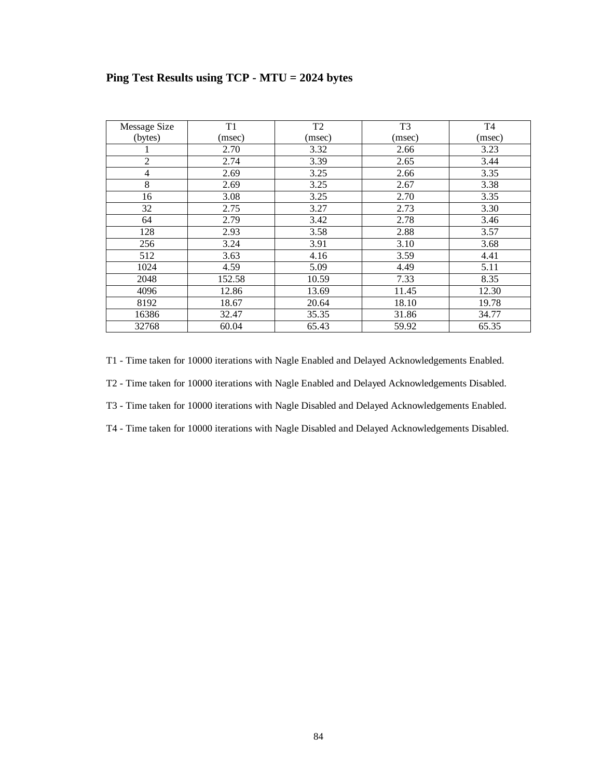| Message Size   | T1     | T <sub>2</sub> | T <sub>3</sub> | T <sub>4</sub> |
|----------------|--------|----------------|----------------|----------------|
| (bytes)        | (msec) | (msec)         | (msec)         | (msec)         |
|                | 2.70   | 3.32           | 2.66           | 3.23           |
| $\overline{2}$ | 2.74   | 3.39           | 2.65           | 3.44           |
| 4              | 2.69   | 3.25           | 2.66           | 3.35           |
| 8              | 2.69   | 3.25           | 2.67           | 3.38           |
| 16             | 3.08   | 3.25           | 2.70           | 3.35           |
| 32             | 2.75   | 3.27           | 2.73           | 3.30           |
| 64             | 2.79   | 3.42           | 2.78           | 3.46           |
| 128            | 2.93   | 3.58           | 2.88           | 3.57           |
| 256            | 3.24   | 3.91           | 3.10           | 3.68           |
| 512            | 3.63   | 4.16           | 3.59           | 4.41           |
| 1024           | 4.59   | 5.09           | 4.49           | 5.11           |
| 2048           | 152.58 | 10.59          | 7.33           | 8.35           |
| 4096           | 12.86  | 13.69          | 11.45          | 12.30          |
| 8192           | 18.67  | 20.64          | 18.10          | 19.78          |
| 16386          | 32.47  | 35.35          | 31.86          | 34.77          |
| 32768          | 60.04  | 65.43          | 59.92          | 65.35          |

## **Ping Test Results using TCP - MTU = 2024 bytes**

T1 - Time taken for 10000 iterations with Nagle Enabled and Delayed Acknowledgements Enabled.

T2 - Time taken for 10000 iterations with Nagle Enabled and Delayed Acknowledgements Disabled.

T3 - Time taken for 10000 iterations with Nagle Disabled and Delayed Acknowledgements Enabled.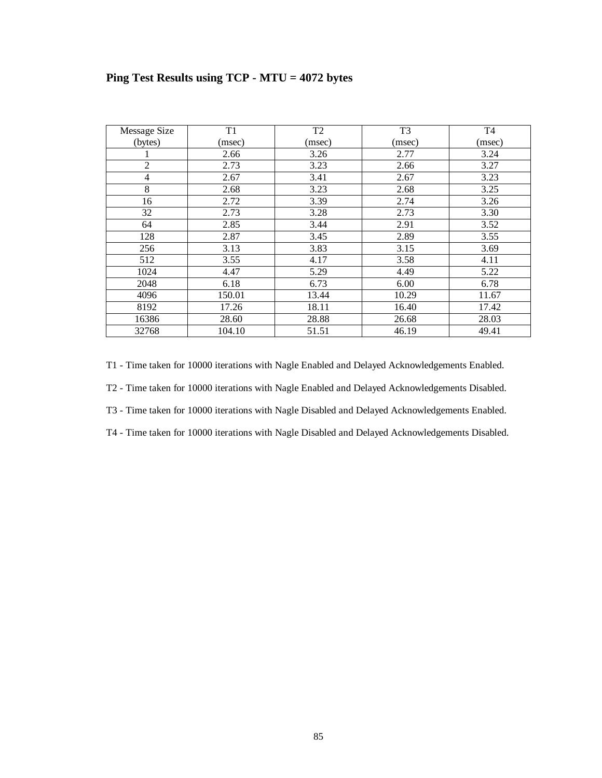|  |  |  | Ping Test Results using TCP - MTU = 4072 bytes |  |
|--|--|--|------------------------------------------------|--|
|  |  |  |                                                |  |

| Message Size   | T1     | T <sub>2</sub> | T <sub>3</sub> | T <sub>4</sub> |
|----------------|--------|----------------|----------------|----------------|
| (bytes)        | (msec) | (msec)         | (msec)         | (msec)         |
|                | 2.66   | 3.26           | 2.77           | 3.24           |
| $\overline{2}$ | 2.73   | 3.23           | 2.66           | 3.27           |
| $\overline{4}$ | 2.67   | 3.41           | 2.67           | 3.23           |
| 8              | 2.68   | 3.23           | 2.68           | 3.25           |
| 16             | 2.72   | 3.39           | 2.74           | 3.26           |
| 32             | 2.73   | 3.28           | 2.73           | 3.30           |
| 64             | 2.85   | 3.44           | 2.91           | 3.52           |
| 128            | 2.87   | 3.45           | 2.89           | 3.55           |
| 256            | 3.13   | 3.83           | 3.15           | 3.69           |
| 512            | 3.55   | 4.17           | 3.58           | 4.11           |
| 1024           | 4.47   | 5.29           | 4.49           | 5.22           |
| 2048           | 6.18   | 6.73           | 6.00           | 6.78           |
| 4096           | 150.01 | 13.44          | 10.29          | 11.67          |
| 8192           | 17.26  | 18.11          | 16.40          | 17.42          |
| 16386          | 28.60  | 28.88          | 26.68          | 28.03          |
| 32768          | 104.10 | 51.51          | 46.19          | 49.41          |

T1 - Time taken for 10000 iterations with Nagle Enabled and Delayed Acknowledgements Enabled.

T2 - Time taken for 10000 iterations with Nagle Enabled and Delayed Acknowledgements Disabled.

T3 - Time taken for 10000 iterations with Nagle Disabled and Delayed Acknowledgements Enabled.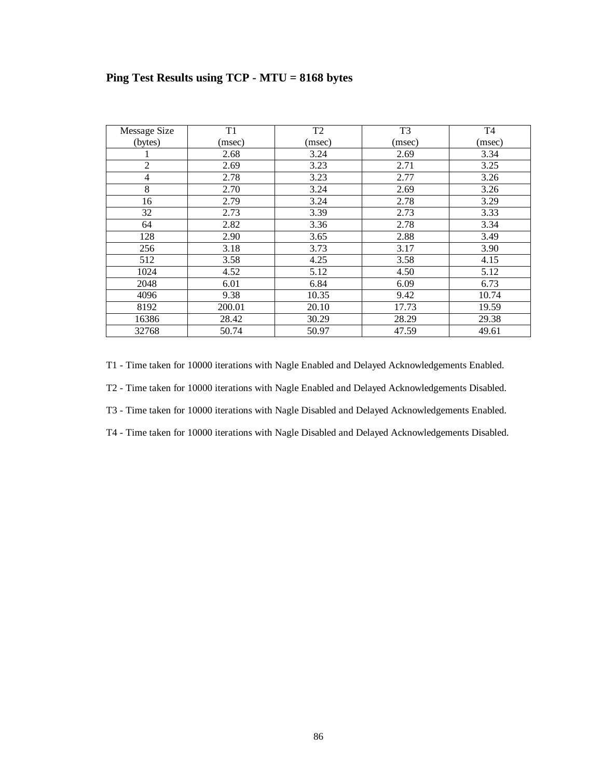|  | Ping Test Results using TCP - MTU = 8168 bytes |  |  |  |
|--|------------------------------------------------|--|--|--|
|  |                                                |  |  |  |

| Message Size   | T1     | T <sub>2</sub> | T <sub>3</sub> | T <sub>4</sub> |
|----------------|--------|----------------|----------------|----------------|
| (bytes)        | (msec) | (msec)         | (msec)         | (msec)         |
|                | 2.68   | 3.24           | 2.69           | 3.34           |
| $\overline{2}$ | 2.69   | 3.23           | 2.71           | 3.25           |
| 4              | 2.78   | 3.23           | 2.77           | 3.26           |
| $\,8$          | 2.70   | 3.24           | 2.69           | 3.26           |
| 16             | 2.79   | 3.24           | 2.78           | 3.29           |
| 32             | 2.73   | 3.39           | 2.73           | 3.33           |
| 64             | 2.82   | 3.36           | 2.78           | 3.34           |
| 128            | 2.90   | 3.65           | 2.88           | 3.49           |
| 256            | 3.18   | 3.73           | 3.17           | 3.90           |
| 512            | 3.58   | 4.25           | 3.58           | 4.15           |
| 1024           | 4.52   | 5.12           | 4.50           | 5.12           |
| 2048           | 6.01   | 6.84           | 6.09           | 6.73           |
| 4096           | 9.38   | 10.35          | 9.42           | 10.74          |
| 8192           | 200.01 | 20.10          | 17.73          | 19.59          |
| 16386          | 28.42  | 30.29          | 28.29          | 29.38          |
| 32768          | 50.74  | 50.97          | 47.59          | 49.61          |

T1 - Time taken for 10000 iterations with Nagle Enabled and Delayed Acknowledgements Enabled.

T2 - Time taken for 10000 iterations with Nagle Enabled and Delayed Acknowledgements Disabled.

T3 - Time taken for 10000 iterations with Nagle Disabled and Delayed Acknowledgements Enabled.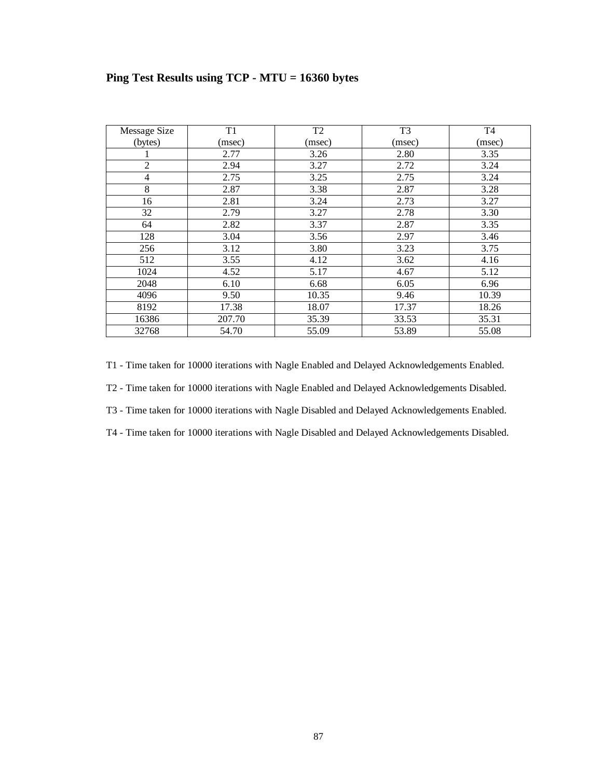|  |  |  | Ping Test Results using $TCP - MTU = 16360$ bytes |
|--|--|--|---------------------------------------------------|
|  |  |  |                                                   |

| Message Size   | T1     | T <sub>2</sub> | T <sub>3</sub> | T <sub>4</sub> |
|----------------|--------|----------------|----------------|----------------|
| (bytes)        | (msec) | (msec)         | (msec)         | (msec)         |
|                | 2.77   | 3.26           | 2.80           | 3.35           |
| $\overline{2}$ | 2.94   | 3.27           | 2.72           | 3.24           |
| 4              | 2.75   | 3.25           | 2.75           | 3.24           |
| $\,8$          | 2.87   | 3.38           | 2.87           | 3.28           |
| 16             | 2.81   | 3.24           | 2.73           | 3.27           |
| 32             | 2.79   | 3.27           | 2.78           | 3.30           |
| 64             | 2.82   | 3.37           | 2.87           | 3.35           |
| 128            | 3.04   | 3.56           | 2.97           | 3.46           |
| 256            | 3.12   | 3.80           | 3.23           | 3.75           |
| 512            | 3.55   | 4.12           | 3.62           | 4.16           |
| 1024           | 4.52   | 5.17           | 4.67           | 5.12           |
| 2048           | 6.10   | 6.68           | 6.05           | 6.96           |
| 4096           | 9.50   | 10.35          | 9.46           | 10.39          |
| 8192           | 17.38  | 18.07          | 17.37          | 18.26          |
| 16386          | 207.70 | 35.39          | 33.53          | 35.31          |
| 32768          | 54.70  | 55.09          | 53.89          | 55.08          |

T1 - Time taken for 10000 iterations with Nagle Enabled and Delayed Acknowledgements Enabled.

T2 - Time taken for 10000 iterations with Nagle Enabled and Delayed Acknowledgements Disabled.

T3 - Time taken for 10000 iterations with Nagle Disabled and Delayed Acknowledgements Enabled.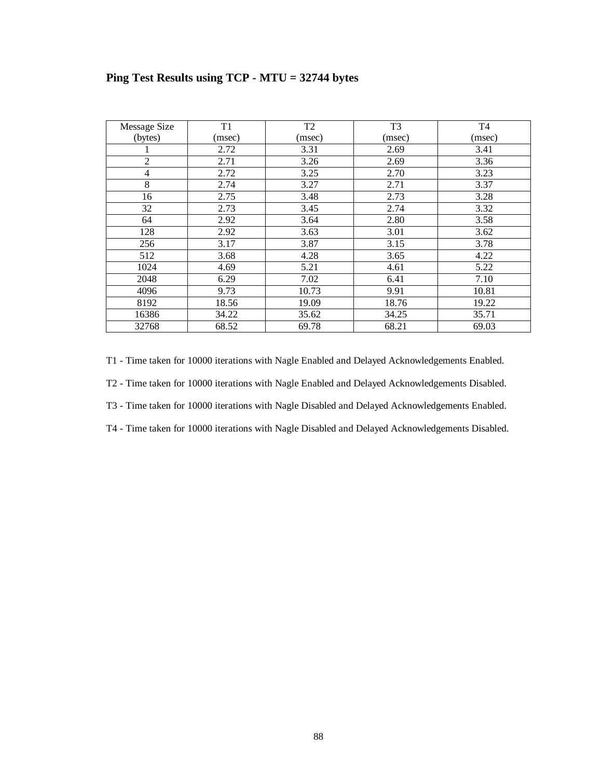| Message Size   | T <sub>1</sub> | T <sub>2</sub> | T <sub>3</sub> | T <sub>4</sub> |
|----------------|----------------|----------------|----------------|----------------|
| (bytes)        | (msec)         | (msec)         | (msec)         | (msec)         |
|                | 2.72           | 3.31           | 2.69           | 3.41           |
| $\overline{2}$ | 2.71           | 3.26           | 2.69           | 3.36           |
| 4              | 2.72           | 3.25           | 2.70           | 3.23           |
| $8\,$          | 2.74           | 3.27           | 2.71           | 3.37           |
| 16             | 2.75           | 3.48           | 2.73           | 3.28           |
| 32             | 2.73           | 3.45           | 2.74           | 3.32           |
| 64             | 2.92           | 3.64           | 2.80           | 3.58           |
| 128            | 2.92           | 3.63           | 3.01           | 3.62           |
| 256            | 3.17           | 3.87           | 3.15           | 3.78           |
| 512            | 3.68           | 4.28           | 3.65           | 4.22           |
| 1024           | 4.69           | 5.21           | 4.61           | 5.22           |
| 2048           | 6.29           | 7.02           | 6.41           | 7.10           |
| 4096           | 9.73           | 10.73          | 9.91           | 10.81          |
| 8192           | 18.56          | 19.09          | 18.76          | 19.22          |
| 16386          | 34.22          | 35.62          | 34.25          | 35.71          |
| 32768          | 68.52          | 69.78          | 68.21          | 69.03          |

## **Ping Test Results using TCP - MTU = 32744 bytes**

T1 - Time taken for 10000 iterations with Nagle Enabled and Delayed Acknowledgements Enabled.

T2 - Time taken for 10000 iterations with Nagle Enabled and Delayed Acknowledgements Disabled.

T3 - Time taken for 10000 iterations with Nagle Disabled and Delayed Acknowledgements Enabled.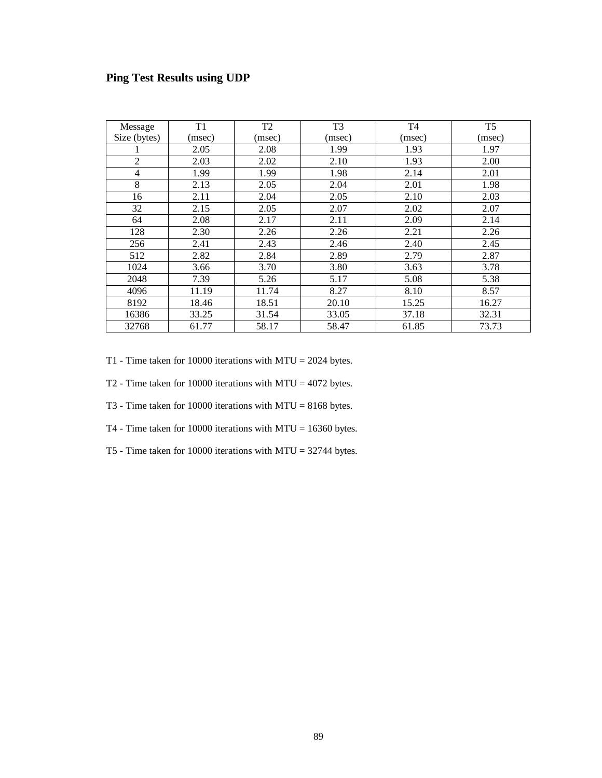## **Ping Test Results using UDP**

| Message        | T <sub>1</sub> | T <sub>2</sub> | T <sub>3</sub> | T <sub>4</sub> | T <sub>5</sub> |
|----------------|----------------|----------------|----------------|----------------|----------------|
| Size (bytes)   | (msec)         | (msec)         | (msec)         | (msec)         | (msec)         |
|                | 2.05           | 2.08           | 1.99           | 1.93           | 1.97           |
| $\overline{2}$ | 2.03           | 2.02           | 2.10           | 1.93           | 2.00           |
| 4              | 1.99           | 1.99           | 1.98           | 2.14           | 2.01           |
| 8              | 2.13           | 2.05           | 2.04           | 2.01           | 1.98           |
| 16             | 2.11           | 2.04           | 2.05           | 2.10           | 2.03           |
| 32             | 2.15           | 2.05           | 2.07           | 2.02           | 2.07           |
| 64             | 2.08           | 2.17           | 2.11           | 2.09           | 2.14           |
| 128            | 2.30           | 2.26           | 2.26           | 2.21           | 2.26           |
| 256            | 2.41           | 2.43           | 2.46           | 2.40           | 2.45           |
| 512            | 2.82           | 2.84           | 2.89           | 2.79           | 2.87           |
| 1024           | 3.66           | 3.70           | 3.80           | 3.63           | 3.78           |
| 2048           | 7.39           | 5.26           | 5.17           | 5.08           | 5.38           |
| 4096           | 11.19          | 11.74          | 8.27           | 8.10           | 8.57           |
| 8192           | 18.46          | 18.51          | 20.10          | 15.25          | 16.27          |
| 16386          | 33.25          | 31.54          | 33.05          | 37.18          | 32.31          |
| 32768          | 61.77          | 58.17          | 58.47          | 61.85          | 73.73          |

T1 - Time taken for 10000 iterations with MTU = 2024 bytes.

- T2 Time taken for 10000 iterations with MTU = 4072 bytes.
- T3 Time taken for 10000 iterations with MTU = 8168 bytes.
- T4 Time taken for 10000 iterations with MTU = 16360 bytes.
- T5 Time taken for 10000 iterations with MTU = 32744 bytes.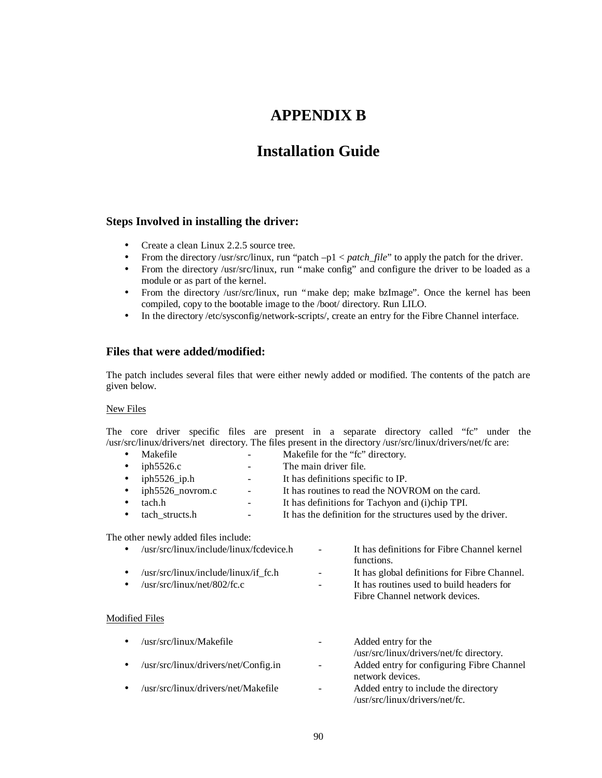# **APPENDIX B**

# **Installation Guide**

### **Steps Involved in installing the driver:**

- Create a clean Linux 2.2.5 source tree.
- From the directory /usr/src/linux, run "patch –p1 < *patch\_file*" to apply the patch for the driver.
- From the directory /usr/src/linux, run "make config" and configure the driver to be loaded as a module or as part of the kernel.
- From the directory /usr/src/linux, run "make dep; make bzImage". Once the kernel has been compiled, copy to the bootable image to the /boot/ directory. Run LILO.
- In the directory /etc/sysconfig/network-scripts/, create an entry for the Fibre Channel interface.

### **Files that were added/modified:**

The patch includes several files that were either newly added or modified. The contents of the patch are given below.

### New Files

The core driver specific files are present in a separate directory called "fc" under the /usr/src/linux/drivers/net directory. The files present in the directory /usr/src/linux/drivers/net/fc are:

• Makefile **-** Makefile for the "fc" directory. • iph5526.c - The main driver file. • iph5526\_ip.h - It has definitions specific to IP. • iph5526 novrom.c - It has routines to read the NOVROM on the card. • tach.h - It has definitions for Tachyon and (i)chip TPI. • tach structs.h - It has the definition for the structures used by the driver.

The other newly added files include:

|           | /usr/src/linux/include/linux/fcdevice.h      | <b>Service</b> | It has definitions for Fibre Channel kernel  |
|-----------|----------------------------------------------|----------------|----------------------------------------------|
|           |                                              |                | functions.                                   |
|           | $\sqrt{usr/src/linux/include/linux/if}$ fc.h | $\sim 100$     | It has global definitions for Fibre Channel. |
| $\bullet$ | $\sqrt{usr/sr}$ c/linux/net/802/fc.c         | $\sim 100$     | It has routines used to build headers for    |
|           |                                              |                | Fibre Channel network devices.               |

### Modified Files

| $\bullet$ | /usr/src/linux/Makefile              | $\overline{\phantom{a}}$ | Added entry for the                                           |
|-----------|--------------------------------------|--------------------------|---------------------------------------------------------------|
|           |                                      |                          | /usr/src/linux/drivers/net/fc directory.                      |
| $\bullet$ | /usr/src/linux/drivers/net/Config.in | $\blacksquare$           | Added entry for configuring Fibre Channel<br>network devices. |
| $\bullet$ | /usr/src/linux/drivers/net/Makefile  | $\qquad \qquad -$        | Added entry to include the directory                          |
|           |                                      |                          | /usr/src/linux/drivers/net/fc.                                |